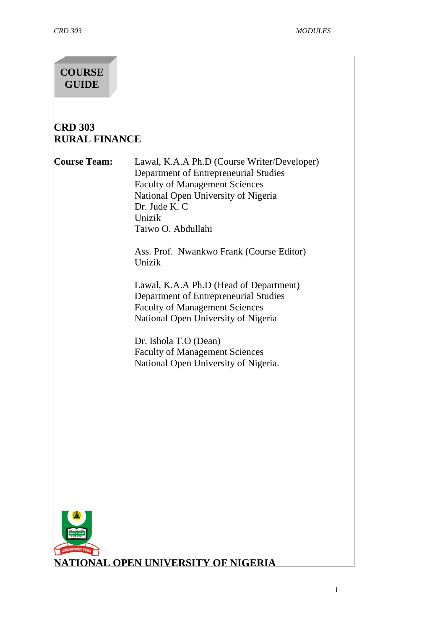# **COURSE GUIDE**

# **CRD 303 RURAL FINANCE**

**Course Team:** Lawal, K.A.A Ph.D (Course Writer/Developer) Department of Entrepreneurial Studies Faculty of Management Sciences National Open University of Nigeria Dr. Jude K. C Unizik Taiwo O. Abdullahi

> Ass. Prof. Nwankwo Frank (Course Editor) Unizik

Lawal, K.A.A Ph.D (Head of Department) Department of Entrepreneurial Studies Faculty of Management Sciences National Open University of Nigeria

Dr. Ishola T.O (Dean) Faculty of Management Sciences National Open University of Nigeria.

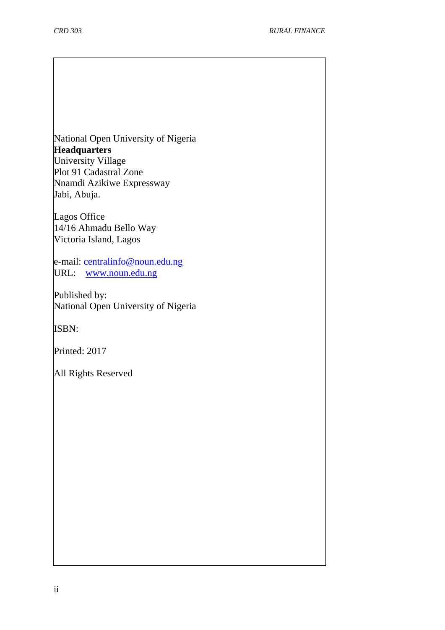National Open University of Nigeria **Headquarters** University Village Plot 91 Cadastral Zone Nnamdi Azikiwe Expressway Jabi, Abuja.

Lagos Office 14/16 Ahmadu Bello Way Victoria Island, Lagos

e-mail: [centralinfo@noun.edu.ng](mailto:centralinfo@noun.edu.ng) URL: [www.noun.edu.ng](http://www.noun.edu.ng/)

Published by: National Open University of Nigeria

ISBN:

Printed: 2017

All Rights Reserved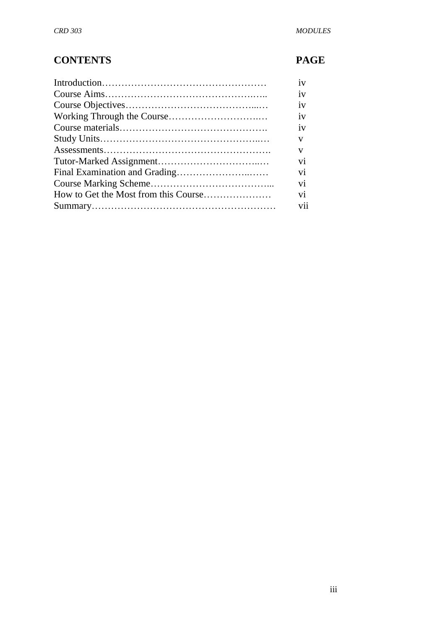# **CONTENTS PAGE**

| iv  |
|-----|
| iv  |
| iv  |
| iv  |
| iv  |
| V   |
| V   |
| vi  |
| vi  |
| vi  |
| vi  |
| vii |
|     |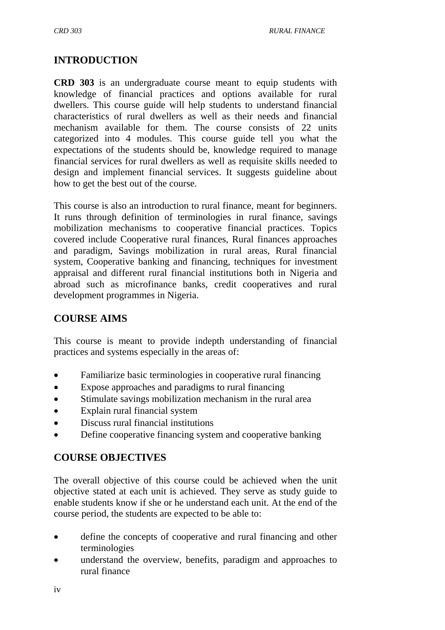## **INTRODUCTION**

**CRD 303** is an undergraduate course meant to equip students with knowledge of financial practices and options available for rural dwellers. This course guide will help students to understand financial characteristics of rural dwellers as well as their needs and financial mechanism available for them. The course consists of 22 units categorized into 4 modules. This course guide tell you what the expectations of the students should be, knowledge required to manage financial services for rural dwellers as well as requisite skills needed to design and implement financial services. It suggests guideline about how to get the best out of the course.

This course is also an introduction to rural finance, meant for beginners. It runs through definition of terminologies in rural finance, savings mobilization mechanisms to cooperative financial practices. Topics covered include Cooperative rural finances, Rural finances approaches and paradigm, Savings mobilization in rural areas, Rural financial system, Cooperative banking and financing, techniques for investment appraisal and different rural financial institutions both in Nigeria and abroad such as microfinance banks, credit cooperatives and rural development programmes in Nigeria.

## **COURSE AIMS**

This course is meant to provide indepth understanding of financial practices and systems especially in the areas of:

- Familiarize basic terminologies in cooperative rural financing
- Expose approaches and paradigms to rural financing
- Stimulate savings mobilization mechanism in the rural area
- Explain rural financial system
- Discuss rural financial institutions
- Define cooperative financing system and cooperative banking

## **COURSE OBJECTIVES**

The overall objective of this course could be achieved when the unit objective stated at each unit is achieved. They serve as study guide to enable students know if she or he understand each unit. At the end of the course period, the students are expected to be able to:

- define the concepts of cooperative and rural financing and other terminologies
- understand the overview, benefits, paradigm and approaches to rural finance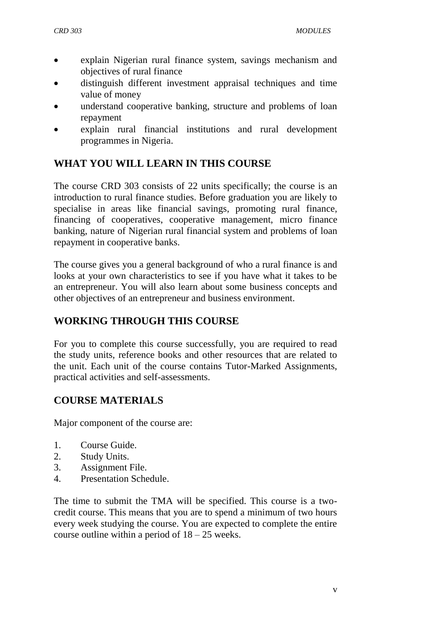- explain Nigerian rural finance system, savings mechanism and objectives of rural finance
- distinguish different investment appraisal techniques and time value of money
- understand cooperative banking, structure and problems of loan repayment
- explain rural financial institutions and rural development programmes in Nigeria.

# **WHAT YOU WILL LEARN IN THIS COURSE**

The course CRD 303 consists of 22 units specifically; the course is an introduction to rural finance studies. Before graduation you are likely to specialise in areas like financial savings, promoting rural finance, financing of cooperatives, cooperative management, micro finance banking, nature of Nigerian rural financial system and problems of loan repayment in cooperative banks.

The course gives you a general background of who a rural finance is and looks at your own characteristics to see if you have what it takes to be an entrepreneur. You will also learn about some business concepts and other objectives of an entrepreneur and business environment.

# **WORKING THROUGH THIS COURSE**

For you to complete this course successfully, you are required to read the study units, reference books and other resources that are related to the unit. Each unit of the course contains Tutor-Marked Assignments, practical activities and self-assessments.

# **COURSE MATERIALS**

Major component of the course are:

- 1. Course Guide.
- 2. Study Units.
- 3. Assignment File.
- 4. Presentation Schedule.

The time to submit the TMA will be specified. This course is a twocredit course. This means that you are to spend a minimum of two hours every week studying the course. You are expected to complete the entire course outline within a period of  $18 - 25$  weeks.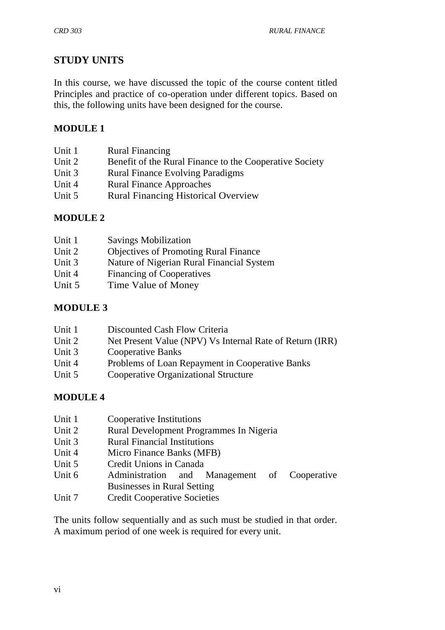# **STUDY UNITS**

In this course, we have discussed the topic of the course content titled Principles and practice of co-operation under different topics. Based on this, the following units have been designed for the course.

## **MODULE 1**

| Unit 1 | <b>Rural Financing</b>                                  |
|--------|---------------------------------------------------------|
| Unit 2 | Benefit of the Rural Finance to the Cooperative Society |
| Unit 3 | <b>Rural Finance Evolving Paradigms</b>                 |
| Unit 4 | <b>Rural Finance Approaches</b>                         |
| Unit 5 | <b>Rural Financing Historical Overview</b>              |

## **MODULE 2**

| Unit 1 | <b>Savings Mobilization</b>                  |
|--------|----------------------------------------------|
| Unit 2 | <b>Objectives of Promoting Rural Finance</b> |
| Unit 3 | Nature of Nigerian Rural Financial System    |
| Unit 4 | Financing of Cooperatives                    |
| Unit 5 | Time Value of Money                          |
|        |                                              |

## **MODULE 3**

| Unit 1 | Discounted Cash Flow Criteria |  |  |  |
|--------|-------------------------------|--|--|--|
|--------|-------------------------------|--|--|--|

- Unit 2 Net Present Value (NPV) Vs Internal Rate of Return (IRR)
- Unit 3 Cooperative Banks
- Unit 4 Problems of Loan Repayment in Cooperative Banks
- Unit 5 Cooperative Organizational Structure

## **MODULE 4**

- Unit 1 Cooperative Institutions
- Unit 2 Rural Development Programmes In Nigeria
- Unit 3 Rural Financial Institutions
- Unit 4 Micro Finance Banks (MFB)
- Unit 5 Credit Unions in Canada
- Unit 6 Administration and Management of Cooperative Businesses in Rural Setting
- Unit 7 Credit Cooperative Societies

The units follow sequentially and as such must be studied in that order. A maximum period of one week is required for every unit.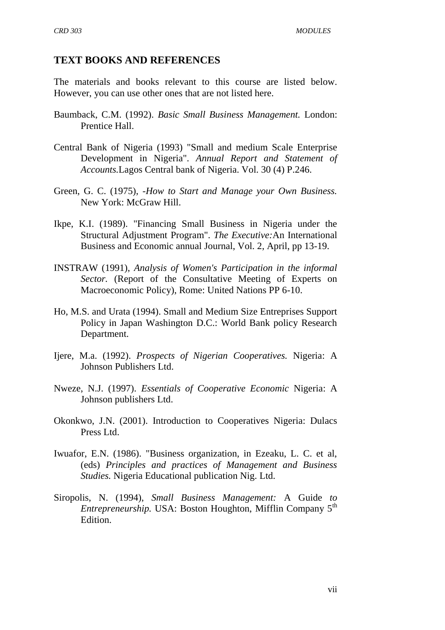#### **TEXT BOOKS AND REFERENCES**

The materials and books relevant to this course are listed below. However, you can use other ones that are not listed here.

- Baumback, C.M. (1992). *Basic Small Business Management.* London: Prentice Hall.
- Central Bank of Nigeria (1993) "Small and medium Scale Enterprise Development in Nigeria". *Annual Report and Statement of Accounts.*Lagos Central bank of Nigeria. Vol. 30 (4) P.246.
- Green, G. C. (1975), *-How to Start and Manage your Own Business.*  New York: McGraw Hill.
- Ikpe, K.I. (1989). "Financing Small Business in Nigeria under the Structural Adjustment Program". *The Executive:*An International Business and Economic annual Journal, Vol. 2, April, pp 13-19.
- INSTRAW (1991), *Analysis of Women's Participation in the informal Sector.* (Report of the Consultative Meeting of Experts on Macroeconomic Policy), Rome: United Nations PP 6-10.
- Ho, M.S. and Urata (1994). Small and Medium Size Entreprises Support Policy in Japan Washington D.C.: World Bank policy Research Department.
- Ijere, M.a. (1992). *Prospects of Nigerian Cooperatives.* Nigeria: A Johnson Publishers Ltd.
- Nweze, N.J. (1997). *Essentials of Cooperative Economic* Nigeria: A Johnson publishers Ltd.
- Okonkwo, J.N. (2001). Introduction to Cooperatives Nigeria: Dulacs Press Ltd.
- Iwuafor, E.N. (1986). "Business organization, in Ezeaku, L. C. et al, (eds) *Principles and practices of Management and Business Studies.* Nigeria Educational publication Nig. Ltd.
- Siropolis, N. (1994), *Small Business Management:* A Guide *to Entrepreneurship.* USA: Boston Houghton, Mifflin Company 5<sup>th</sup> Edition.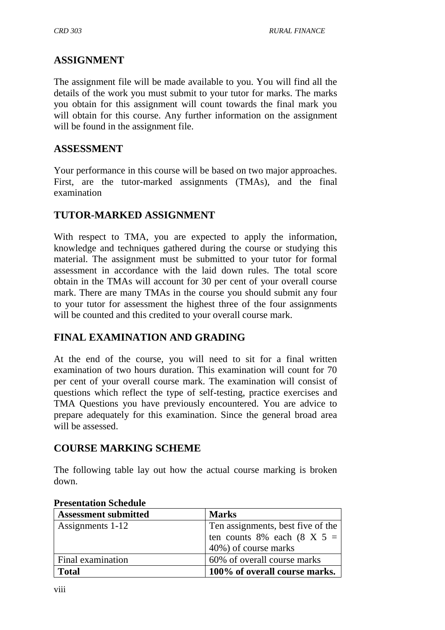#### **ASSIGNMENT**

The assignment file will be made available to you. You will find all the details of the work you must submit to your tutor for marks. The marks you obtain for this assignment will count towards the final mark you will obtain for this course. Any further information on the assignment will be found in the assignment file.

#### **ASSESSMENT**

Your performance in this course will be based on two major approaches. First, are the tutor-marked assignments (TMAs), and the final examination

#### **TUTOR-MARKED ASSIGNMENT**

With respect to TMA, you are expected to apply the information, knowledge and techniques gathered during the course or studying this material. The assignment must be submitted to your tutor for formal assessment in accordance with the laid down rules. The total score obtain in the TMAs will account for 30 per cent of your overall course mark. There are many TMAs in the course you should submit any four to your tutor for assessment the highest three of the four assignments will be counted and this credited to your overall course mark.

## **FINAL EXAMINATION AND GRADING**

At the end of the course, you will need to sit for a final written examination of two hours duration. This examination will count for 70 per cent of your overall course mark. The examination will consist of questions which reflect the type of self-testing, practice exercises and TMA Questions you have previously encountered. You are advice to prepare adequately for this examination. Since the general broad area will be assessed.

#### **COURSE MARKING SCHEME**

The following table lay out how the actual course marking is broken down.

| <b>Assessment submitted</b> | <b>Marks</b>                      |
|-----------------------------|-----------------------------------|
| Assignments 1-12            | Ten assignments, best five of the |
|                             | ten counts 8% each (8 X 5 =       |
|                             | 40%) of course marks              |
| Final examination           | 60% of overall course marks       |
| <b>Total</b>                | 100% of overall course marks.     |

#### **Presentation Schedule**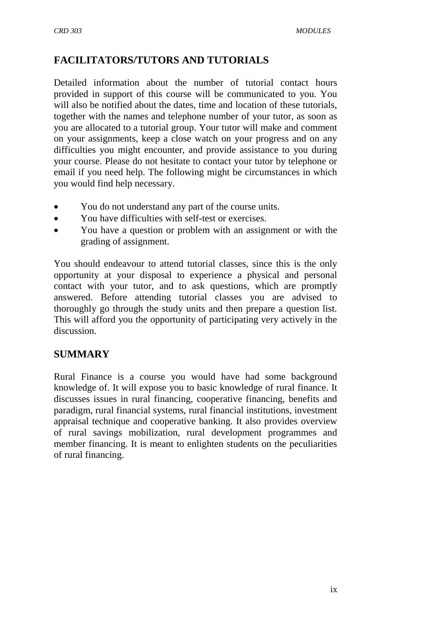## **FACILITATORS/TUTORS AND TUTORIALS**

Detailed information about the number of tutorial contact hours provided in support of this course will be communicated to you. You will also be notified about the dates, time and location of these tutorials, together with the names and telephone number of your tutor, as soon as you are allocated to a tutorial group. Your tutor will make and comment on your assignments, keep a close watch on your progress and on any difficulties you might encounter, and provide assistance to you during your course. Please do not hesitate to contact your tutor by telephone or email if you need help. The following might be circumstances in which you would find help necessary.

- You do not understand any part of the course units.
- You have difficulties with self-test or exercises.
- You have a question or problem with an assignment or with the grading of assignment.

You should endeavour to attend tutorial classes, since this is the only opportunity at your disposal to experience a physical and personal contact with your tutor, and to ask questions, which are promptly answered. Before attending tutorial classes you are advised to thoroughly go through the study units and then prepare a question list. This will afford you the opportunity of participating very actively in the discussion.

## **SUMMARY**

Rural Finance is a course you would have had some background knowledge of. It will expose you to basic knowledge of rural finance. It discusses issues in rural financing, cooperative financing, benefits and paradigm, rural financial systems, rural financial institutions, investment appraisal technique and cooperative banking. It also provides overview of rural savings mobilization, rural development programmes and member financing. It is meant to enlighten students on the peculiarities of rural financing.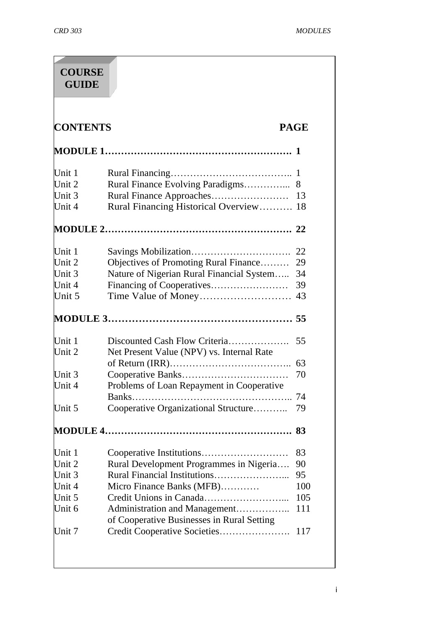| <b>GUIDE</b>                                                                                               | <b>COURSE</b>                                                               |                   |
|------------------------------------------------------------------------------------------------------------|-----------------------------------------------------------------------------|-------------------|
| <b>CONTENTS</b>                                                                                            |                                                                             | <b>PAGE</b>       |
|                                                                                                            |                                                                             |                   |
| Unit 1                                                                                                     |                                                                             |                   |
| Unit 2                                                                                                     | Rural Finance Evolving Paradigms                                            | 8                 |
| Unit 3                                                                                                     |                                                                             | 13                |
| Unit 4                                                                                                     | Rural Financing Historical Overview                                         | 18                |
|                                                                                                            |                                                                             | 22                |
| Unit 1                                                                                                     |                                                                             | 22                |
| Unit 2                                                                                                     | Objectives of Promoting Rural Finance                                       | 29                |
| Unit 3                                                                                                     | Nature of Nigerian Rural Financial System                                   | 34                |
| Unit 4                                                                                                     |                                                                             | 39                |
| Unit 5                                                                                                     |                                                                             | 43                |
|                                                                                                            |                                                                             | 55                |
|                                                                                                            |                                                                             |                   |
|                                                                                                            | Discounted Cash Flow Criteria                                               | 55                |
|                                                                                                            | Net Present Value (NPV) vs. Internal Rate                                   |                   |
|                                                                                                            |                                                                             | 63                |
|                                                                                                            |                                                                             | 70                |
|                                                                                                            |                                                                             |                   |
|                                                                                                            | Problems of Loan Repayment in Cooperative<br>$Banks$                        |                   |
|                                                                                                            | Cooperative Organizational Structure                                        | 79                |
|                                                                                                            |                                                                             | 83                |
|                                                                                                            |                                                                             | 83                |
|                                                                                                            |                                                                             | 90                |
|                                                                                                            | Rural Development Programmes in Nigeria                                     | 95                |
|                                                                                                            |                                                                             |                   |
|                                                                                                            | Micro Finance Banks (MFB)                                                   |                   |
|                                                                                                            |                                                                             |                   |
| Unit 1<br>Unit 2<br>Unit 3<br>Unit 4<br>Unit 5<br>Unit 1<br>Unit 2<br>Unit 3<br>Unit 4<br>Unit 5<br>Unit 6 | Administration and Management<br>of Cooperative Businesses in Rural Setting | 100<br>105<br>111 |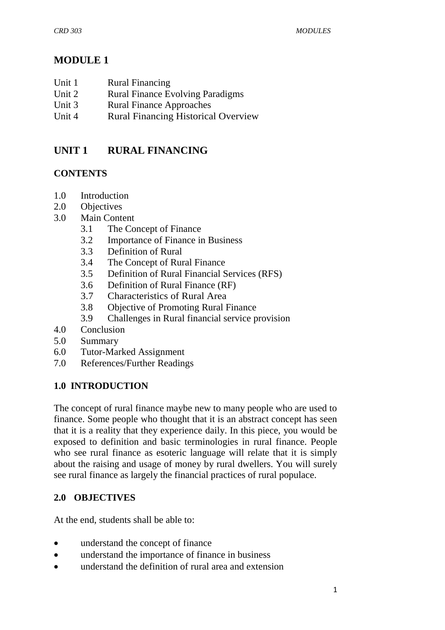# **MODULE 1**

| Unit 1<br><b>Rural Financing</b> |
|----------------------------------|
|----------------------------------|

- Unit 2 Rural Finance Evolving Paradigms
- Unit 3 Rural Finance Approaches
- Unit 4 Rural Financing Historical Overview

# **UNIT 1 RURAL FINANCING**

## **CONTENTS**

- 1.0 Introduction
- 2.0 Objectives
- 3.0 Main Content
	- 3.1 The Concept of Finance
	- 3.2 Importance of Finance in Business
	- 3.3 Definition of Rural
	- 3.4 The Concept of Rural Finance
	- 3.5 Definition of Rural Financial Services (RFS)
	- 3.6 Definition of Rural Finance (RF)
	- 3.7 Characteristics of Rural Area
	- 3.8 Objective of Promoting Rural Finance
	- 3.9 Challenges in Rural financial service provision
- 4.0 Conclusion
- 5.0 Summary
- 6.0 Tutor-Marked Assignment
- 7.0 References/Further Readings

## **1.0 INTRODUCTION**

The concept of rural finance maybe new to many people who are used to finance. Some people who thought that it is an abstract concept has seen that it is a reality that they experience daily. In this piece, you would be exposed to definition and basic terminologies in rural finance. People who see rural finance as esoteric language will relate that it is simply about the raising and usage of money by rural dwellers. You will surely see rural finance as largely the financial practices of rural populace.

## **2.0 OBJECTIVES**

At the end, students shall be able to:

- understand the concept of finance
- understand the importance of finance in business
- understand the definition of rural area and extension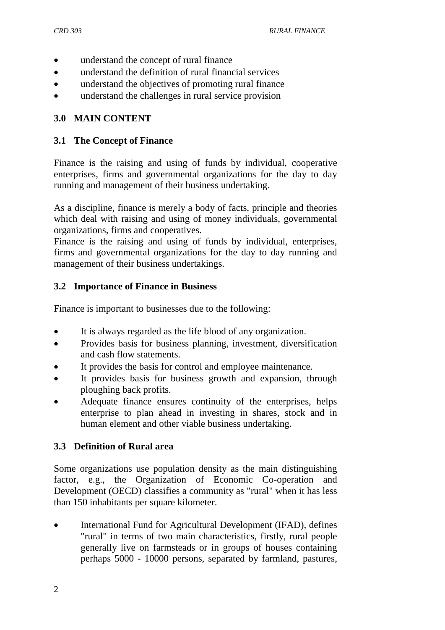- understand the concept of rural finance
- understand the definition of rural financial services
- understand the objectives of promoting rural finance
- understand the challenges in rural service provision

## **3.0 MAIN CONTENT**

#### **3.1 The Concept of Finance**

Finance is the raising and using of funds by individual, cooperative enterprises, firms and governmental organizations for the day to day running and management of their business undertaking.

As a discipline, finance is merely a body of facts, principle and theories which deal with raising and using of money individuals, governmental organizations, firms and cooperatives.

Finance is the raising and using of funds by individual, enterprises, firms and governmental organizations for the day to day running and management of their business undertakings.

#### **3.2 Importance of Finance in Business**

Finance is important to businesses due to the following:

- It is always regarded as the life blood of any organization.
- Provides basis for business planning, investment, diversification and cash flow statements.
- It provides the basis for control and employee maintenance.
- It provides basis for business growth and expansion, through ploughing back profits.
- Adequate finance ensures continuity of the enterprises, helps enterprise to plan ahead in investing in shares, stock and in human element and other viable business undertaking.

#### **3.3 Definition of Rural area**

Some organizations use population density as the main distinguishing factor, e.g., the Organization of Economic Co-operation and Development (OECD) classifies a community as "rural" when it has less than 150 inhabitants per square kilometer.

• International Fund for Agricultural Development (IFAD), defines "rural" in terms of two main characteristics, firstly, rural people generally live on farmsteads or in groups of houses containing perhaps 5000 - 10000 persons, separated by farmland, pastures,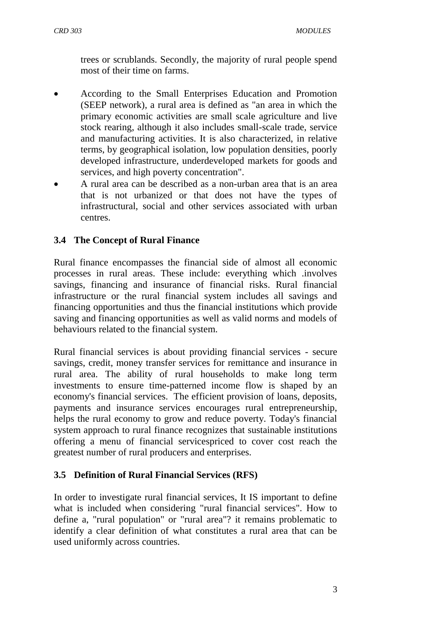trees or scrublands. Secondly, the majority of rural people spend most of their time on farms.

- According to the Small Enterprises Education and Promotion (SEEP network), a rural area is defined as "an area in which the primary economic activities are small scale agriculture and live stock rearing, although it also includes small-scale trade, service and manufacturing activities. It is also characterized, in relative terms, by geographical isolation, low population densities, poorly developed infrastructure, underdeveloped markets for goods and services, and high poverty concentration".
- A rural area can be described as a non-urban area that is an area that is not urbanized or that does not have the types of infrastructural, social and other services associated with urban centres.

## **3.4 The Concept of Rural Finance**

Rural finance encompasses the financial side of almost all economic processes in rural areas. These include: everything which .involves savings, financing and insurance of financial risks. Rural financial infrastructure or the rural financial system includes all savings and financing opportunities and thus the financial institutions which provide saving and financing opportunities as well as valid norms and models of behaviours related to the financial system.

Rural financial services is about providing financial services - secure savings, credit, money transfer services for remittance and insurance in rural area. The ability of rural households to make long term investments to ensure time-patterned income flow is shaped by an economy's financial services. The efficient provision of loans, deposits, payments and insurance services encourages rural entrepreneurship, helps the rural economy to grow and reduce poverty. Today's financial system approach to rural finance recognizes that sustainable institutions offering a menu of financial servicespriced to cover cost reach the greatest number of rural producers and enterprises.

## **3.5 Definition of Rural Financial Services (RFS)**

In order to investigate rural financial services, It IS important to define what is included when considering "rural financial services". How to define a, "rural population" or "rural area"? it remains problematic to identify a clear definition of what constitutes a rural area that can be used uniformly across countries.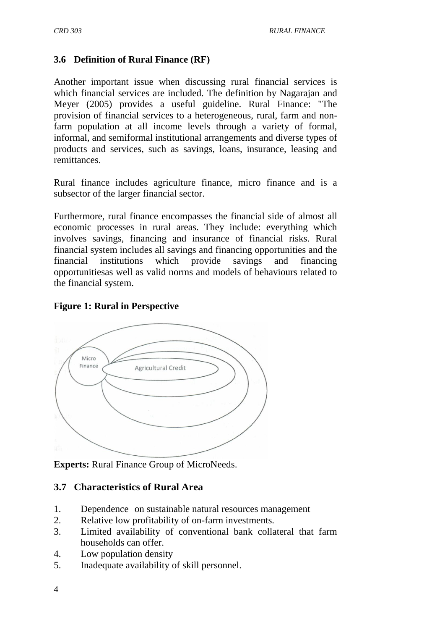#### **3.6 Definition of Rural Finance (RF)**

Another important issue when discussing rural financial services is which financial services are included. The definition by Nagarajan and Meyer (2005) provides a useful guideline. Rural Finance: "The provision of financial services to a heterogeneous, rural, farm and nonfarm population at all income levels through a variety of formal, informal, and semiformal institutional arrangements and diverse types of products and services, such as savings, loans, insurance, leasing and remittances.

Rural finance includes agriculture finance, micro finance and is a subsector of the larger financial sector.

Furthermore, rural finance encompasses the financial side of almost all economic processes in rural areas. They include: everything which involves savings, financing and insurance of financial risks. Rural financial system includes all savings and financing opportunities and the financial institutions which provide savings and financing opportunitiesas well as valid norms and models of behaviours related to the financial system.

#### **Figure 1: Rural in Perspective**



**Experts:** Rural Finance Group of MicroNeeds.

#### **3.7 Characteristics of Rural Area**

- 1. Dependence on sustainable natural resources management
- 2. Relative low profitability of on-farm investments.
- 3. Limited availability of conventional bank collateral that farm households can offer.
- 4. Low population density
- 5. Inadequate availability of skill personnel.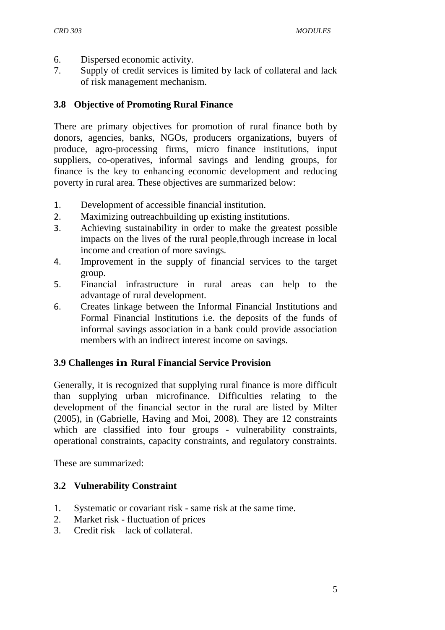- 6. Dispersed economic activity.
- 7. Supply of credit services is limited by lack of collateral and lack of risk management mechanism.

#### **3.8 Objective of Promoting Rural Finance**

There are primary objectives for promotion of rural finance both by donors, agencies, banks, NGOs, producers organizations, buyers of produce, agro-processing firms, micro finance institutions, input suppliers, co-operatives, informal savings and lending groups, for finance is the key to enhancing economic development and reducing poverty in rural area. These objectives are summarized below:

- 1. Development of accessible financial institution.
- 2. Maximizing outreachbuilding up existing institutions.
- 3. Achieving sustainability in order to make the greatest possible impacts on the lives of the rural people,through increase in local income and creation of more savings.
- 4. Improvement in the supply of financial services to the target group.
- 5. Financial infrastructure in rural areas can help to the advantage of rural development.
- 6. Creates linkage between the Informal Financial Institutions and Formal Financial Institutions i.e. the deposits of the funds of informal savings association in a bank could provide association members with an indirect interest income on savings.

#### **3.9 Challenges in Rural Financial Service Provision**

Generally, it is recognized that supplying rural finance is more difficult than supplying urban microfinance. Difficulties relating to the development of the financial sector in the rural are listed by Milter (2005), in (Gabrielle, Having and Moi, 2008). They are 12 constraints which are classified into four groups - vulnerability constraints, operational constraints, capacity constraints, and regulatory constraints.

These are summarized:

#### **3.2 Vulnerability Constraint**

- 1. Systematic or covariant risk same risk at the same time.
- 2. Market risk fluctuation of prices
- 3. Credit risk lack of collateral.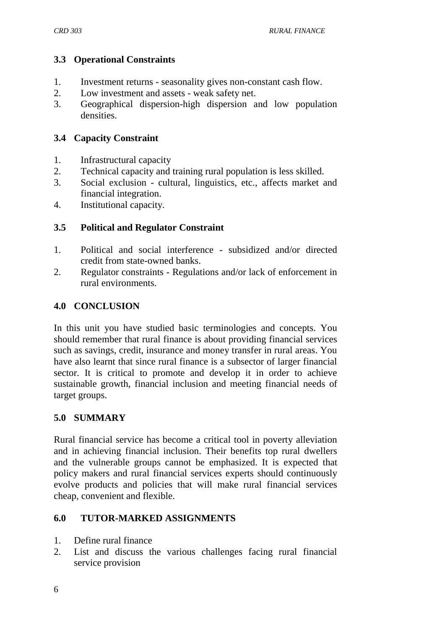#### **3.3 Operational Constraints**

- 1. Investment returns seasonality gives non-constant cash flow.
- 2. Low investment and assets weak safety net.
- 3. Geographical dispersion-high dispersion and low population densities.

#### **3.4 Capacity Constraint**

- 1. Infrastructural capacity
- 2. Technical capacity and training rural population is less skilled.
- 3. Social exclusion cultural, linguistics, etc., affects market and financial integration.
- 4. Institutional capacity.

#### **3.5 Political and Regulator Constraint**

- 1. Political and social interference subsidized and/or directed credit from state-owned banks.
- 2. Regulator constraints Regulations and/or lack of enforcement in rural environments.

#### **4.0 CONCLUSION**

In this unit you have studied basic terminologies and concepts. You should remember that rural finance is about providing financial services such as savings, credit, insurance and money transfer in rural areas. You have also learnt that since rural finance is a subsector of larger financial sector. It is critical to promote and develop it in order to achieve sustainable growth, financial inclusion and meeting financial needs of target groups.

#### **5.0 SUMMARY**

Rural financial service has become a critical tool in poverty alleviation and in achieving financial inclusion. Their benefits top rural dwellers and the vulnerable groups cannot be emphasized. It is expected that policy makers and rural financial services experts should continuously evolve products and policies that will make rural financial services cheap, convenient and flexible.

#### **6.0 TUTOR-MARKED ASSIGNMENTS**

- 1. Define rural finance
- 2. List and discuss the various challenges facing rural financial service provision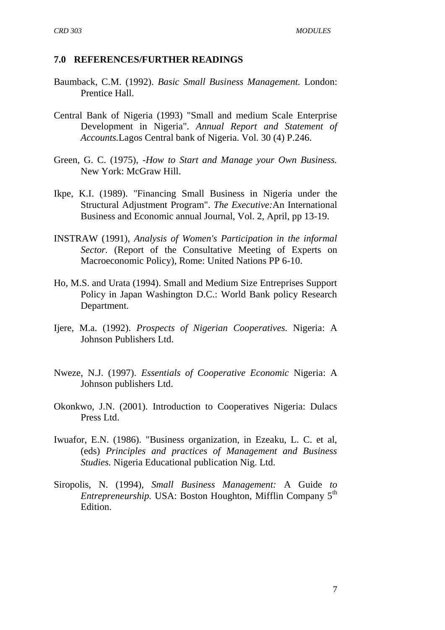#### **7.0 REFERENCES/FURTHER READINGS**

- Baumback, C.M. (1992). *Basic Small Business Management.* London: Prentice Hall.
- Central Bank of Nigeria (1993) "Small and medium Scale Enterprise Development in Nigeria". *Annual Report and Statement of Accounts.*Lagos Central bank of Nigeria. Vol. 30 (4) P.246.
- Green, G. C. (1975), *-How to Start and Manage your Own Business.*  New York: McGraw Hill.
- Ikpe, K.I. (1989). "Financing Small Business in Nigeria under the Structural Adjustment Program". *The Executive:*An International Business and Economic annual Journal, Vol. 2, April, pp 13-19.
- INSTRAW (1991), *Analysis of Women's Participation in the informal Sector.* (Report of the Consultative Meeting of Experts on Macroeconomic Policy), Rome: United Nations PP 6-10.
- Ho, M.S. and Urata (1994). Small and Medium Size Entreprises Support Policy in Japan Washington D.C.: World Bank policy Research Department.
- Ijere, M.a. (1992). *Prospects of Nigerian Cooperatives.* Nigeria: A Johnson Publishers Ltd.
- Nweze, N.J. (1997). *Essentials of Cooperative Economic* Nigeria: A Johnson publishers Ltd.
- Okonkwo, J.N. (2001). Introduction to Cooperatives Nigeria: Dulacs Press Ltd.
- Iwuafor, E.N. (1986). "Business organization, in Ezeaku, L. C. et al, (eds) *Principles and practices of Management and Business Studies.* Nigeria Educational publication Nig. Ltd.
- Siropolis, N. (1994), *Small Business Management:* A Guide *to Entrepreneurship.* USA: Boston Houghton, Mifflin Company 5<sup>th</sup> Edition.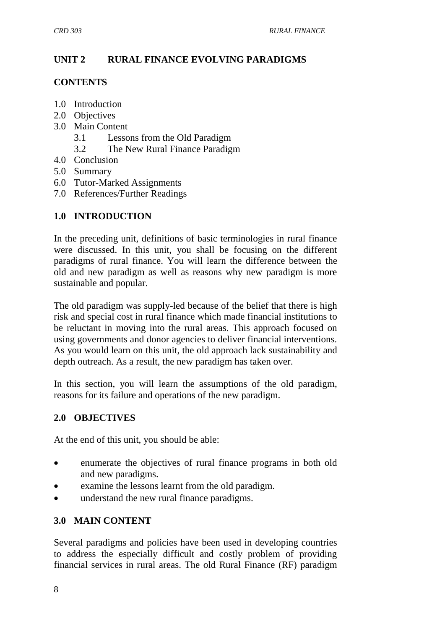# **UNIT 2 RURAL FINANCE EVOLVING PARADIGMS**

#### **CONTENTS**

- 1.0 Introduction
- 2.0 Objectives
- 3.0 Main Content
	- 3.1 Lessons from the Old Paradigm
	- 3.2 The New Rural Finance Paradigm
- 4.0 Conclusion
- 5.0 Summary
- 6.0 Tutor-Marked Assignments
- 7.0 References/Further Readings

## **1.0 INTRODUCTION**

In the preceding unit, definitions of basic terminologies in rural finance were discussed. In this unit, you shall be focusing on the different paradigms of rural finance. You will learn the difference between the old and new paradigm as well as reasons why new paradigm is more sustainable and popular.

The old paradigm was supply-led because of the belief that there is high risk and special cost in rural finance which made financial institutions to be reluctant in moving into the rural areas. This approach focused on using governments and donor agencies to deliver financial interventions. As you would learn on this unit, the old approach lack sustainability and depth outreach. As a result, the new paradigm has taken over.

In this section, you will learn the assumptions of the old paradigm, reasons for its failure and operations of the new paradigm.

## **2.0 OBJECTIVES**

At the end of this unit, you should be able:

- enumerate the objectives of rural finance programs in both old and new paradigms.
- examine the lessons learnt from the old paradigm.
- understand the new rural finance paradigms.

## **3.0 MAIN CONTENT**

Several paradigms and policies have been used in developing countries to address the especially difficult and costly problem of providing financial services in rural areas. The old Rural Finance (RF) paradigm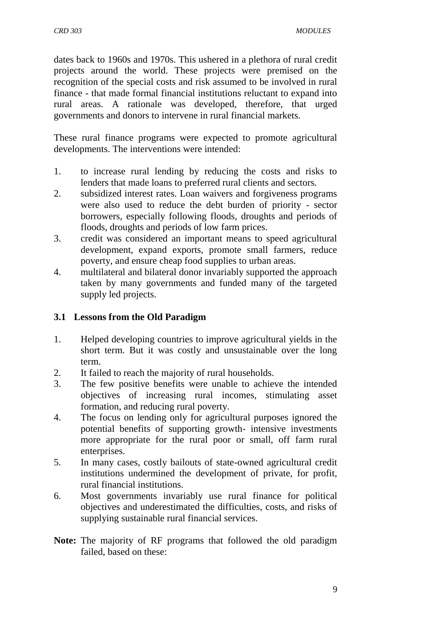dates back to 1960s and 1970s. This ushered in a plethora of rural credit projects around the world. These projects were premised on the recognition of the special costs and risk assumed to be involved in rural finance - that made formal financial institutions reluctant to expand into rural areas. A rationale was developed, therefore, that urged governments and donors to intervene in rural financial markets.

These rural finance programs were expected to promote agricultural developments. The interventions were intended:

- 1. to increase rural lending by reducing the costs and risks to lenders that made loans to preferred rural clients and sectors.
- 2. subsidized interest rates. Loan waivers and forgiveness programs were also used to reduce the debt burden of priority - sector borrowers, especially following floods, droughts and periods of floods, droughts and periods of low farm prices.
- 3. credit was considered an important means to speed agricultural development, expand exports, promote small farmers, reduce poverty, and ensure cheap food supplies to urban areas.
- 4. multilateral and bilateral donor invariably supported the approach taken by many governments and funded many of the targeted supply led projects.

## **3.1 Lessons from the Old Paradigm**

- 1. Helped developing countries to improve agricultural yields in the short term. But it was costly and unsustainable over the long term.
- 2. It failed to reach the majority of rural households.
- 3. The few positive benefits were unable to achieve the intended objectives of increasing rural incomes, stimulating asset formation, and reducing rural poverty.
- 4. The focus on lending only for agricultural purposes ignored the potential benefits of supporting growth- intensive investments more appropriate for the rural poor or small, off farm rural enterprises.
- 5. In many cases, costly bailouts of state-owned agricultural credit institutions undermined the development of private, for profit, rural financial institutions.
- 6. Most governments invariably use rural finance for political objectives and underestimated the difficulties, costs, and risks of supplying sustainable rural financial services.
- **Note:** The majority of RF programs that followed the old paradigm failed, based on these: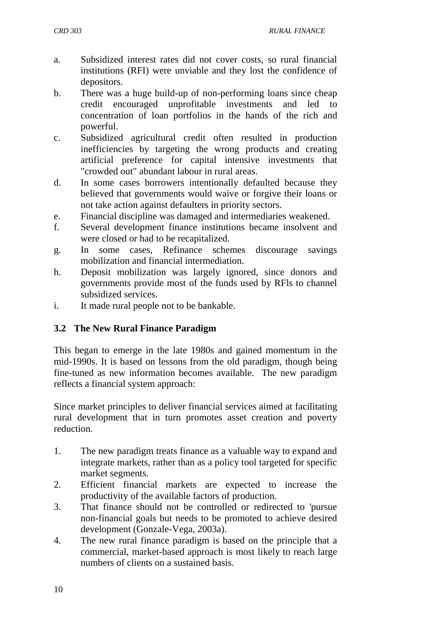- a. Subsidized interest rates did not cover costs, so rural financial institutions (RFI) were unviable and they lost the confidence of depositors.
- b. There was a huge build-up of non-performing loans since cheap credit encouraged unprofitable investments and led to concentration of loan portfolios in the hands of the rich and powerful.
- c. Subsidized agricultural credit often resulted in production inefficiencies by targeting the wrong products and creating artificial preference for capital intensive investments that "crowded out" abundant labour in rural areas.
- d. In some cases borrowers intentionally defaulted because they believed that governments would waive or forgive their loans or not take action against defaulters in priority sectors.
- e. Financial discipline was damaged and intermediaries weakened.
- f. Several development finance institutions became insolvent and were closed or had to be recapitalized.
- g. In some cases, Refinance schemes discourage savings mobilization and financial intermediation.
- h. Deposit mobilization was largely ignored, since donors and governments provide most of the funds used by RFls to channel subsidized services.
- i. It made rural people not to be bankable.

#### **3.2 The New Rural Finance Paradigm**

This began to emerge in the late 1980s and gained momentum in the mid-1990s. It is based on lessons from the old paradigm, though being fine-tuned as new information becomes available. The new paradigm reflects a financial system approach:

Since market principles to deliver financial services aimed at facilitating rural development that in turn promotes asset creation and poverty reduction.

- 1. The new paradigm treats finance as a valuable way to expand and integrate markets, rather than as a policy tool targeted for specific market segments.
- 2. Efficient financial markets are expected to increase the productivity of the available factors of production.
- 3. That finance should not be controlled or redirected to 'pursue non-financial goals but needs to be promoted to achieve desired development (Gonzale-Vega, 2003a).
- 4. The new rural finance paradigm is based on the principle that a commercial, market-based approach is most likely to reach large numbers of clients on a sustained basis.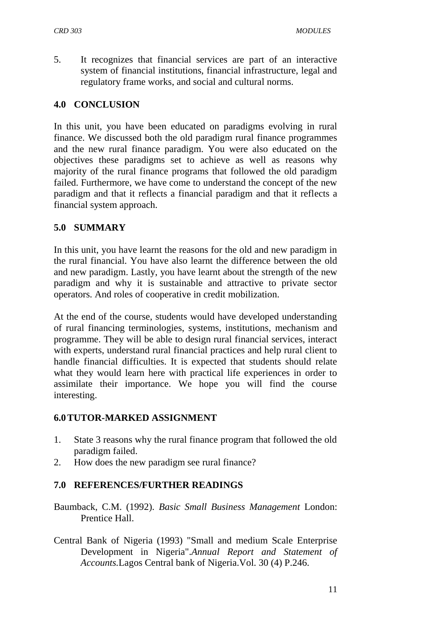5. It recognizes that financial services are part of an interactive system of financial institutions, financial infrastructure, legal and regulatory frame works, and social and cultural norms.

#### **4.0 CONCLUSION**

In this unit, you have been educated on paradigms evolving in rural finance. We discussed both the old paradigm rural finance programmes and the new rural finance paradigm. You were also educated on the objectives these paradigms set to achieve as well as reasons why majority of the rural finance programs that followed the old paradigm failed. Furthermore, we have come to understand the concept of the new paradigm and that it reflects a financial paradigm and that it reflects a financial system approach.

#### **5.0 SUMMARY**

In this unit, you have learnt the reasons for the old and new paradigm in the rural financial. You have also learnt the difference between the old and new paradigm. Lastly, you have learnt about the strength of the new paradigm and why it is sustainable and attractive to private sector operators. And roles of cooperative in credit mobilization.

At the end of the course, students would have developed understanding of rural financing terminologies, systems, institutions, mechanism and programme. They will be able to design rural financial services, interact with experts, understand rural financial practices and help rural client to handle financial difficulties. It is expected that students should relate what they would learn here with practical life experiences in order to assimilate their importance. We hope you will find the course interesting.

#### **6.0TUTOR-MARKED ASSIGNMENT**

- 1. State 3 reasons why the rural finance program that followed the old paradigm failed.
- 2. How does the new paradigm see rural finance?

#### **7.0 REFERENCES/FURTHER READINGS**

- Baumback, C.M. (1992). *Basic Small Business Management* London: Prentice Hall.
- Central Bank of Nigeria (1993) "Small and medium Scale Enterprise Development in Nigeria".*Annual Report and Statement of Accounts.*Lagos Central bank of Nigeria.Vol. 30 (4) P.246.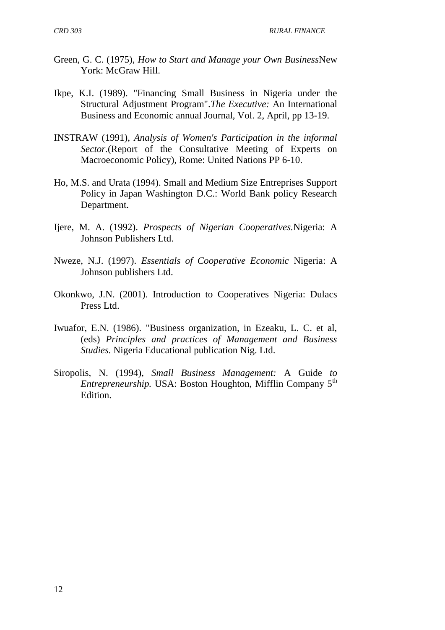*CRD 303 RURAL FINANCE*

- Green, G. C. (1975), *How to Start and Manage your Own Business*New York: McGraw Hill.
- Ikpe, K.I. (1989). "Financing Small Business in Nigeria under the Structural Adjustment Program".*The Executive:* An International Business and Economic annual Journal, Vol. 2, April, pp 13-19.
- INSTRAW (1991), *Analysis of Women's Participation in the informal Sector.*(Report of the Consultative Meeting of Experts on Macroeconomic Policy), Rome: United Nations PP 6-10.
- Ho, M.S. and Urata (1994). Small and Medium Size Entreprises Support Policy in Japan Washington D.C.: World Bank policy Research Department.
- Ijere, M. A. (1992). *Prospects of Nigerian Cooperatives.*Nigeria: A Johnson Publishers Ltd.
- Nweze, N.J. (1997). *Essentials of Cooperative Economic* Nigeria: A Johnson publishers Ltd.
- Okonkwo, J.N. (2001). Introduction to Cooperatives Nigeria: Dulacs Press Ltd.
- Iwuafor, E.N. (1986). "Business organization, in Ezeaku, L. C. et al, (eds) *Principles and practices of Management and Business Studies.* Nigeria Educational publication Nig. Ltd.
- Siropolis, N. (1994), *Small Business Management:* A Guide *to Entrepreneurship.* USA: Boston Houghton, Mifflin Company 5<sup>th</sup> Edition.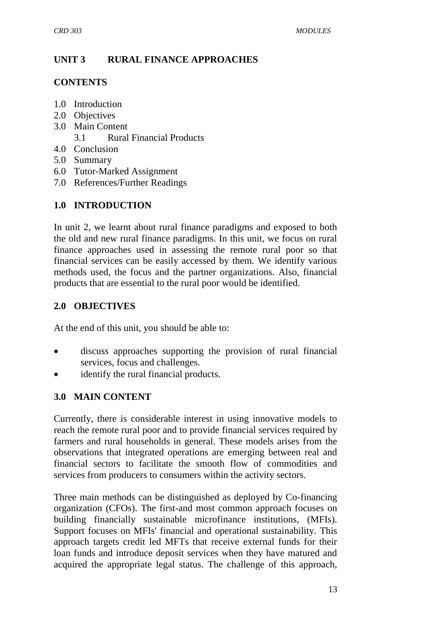## **UNIT 3 RURAL FINANCE APPROACHES**

#### **CONTENTS**

- 1.0 Introduction
- 2.0 Objectives
- 3.0 Main Content
	- 3.1 Rural Financial Products
- 4.0 Conclusion
- 5.0 Summary
- 6.0 Tutor-Marked Assignment
- 7.0 References/Further Readings

# **1.0 INTRODUCTION**

In unit 2, we learnt about rural finance paradigms and exposed to both the old and new rural finance paradigms. In this unit, we focus on rural finance approaches used in assessing the remote rural poor so that financial services can be easily accessed by them. We identify various methods used, the focus and the partner organizations. Also, financial products that are essential to the rural poor would be identified.

## **2.0 OBJECTIVES**

At the end of this unit, you should be able to:

- discuss approaches supporting the provision of rural financial services, focus and challenges.
- identify the rural financial products.

## **3.0 MAIN CONTENT**

Currently, there is considerable interest in using innovative models to reach the remote rural poor and to provide financial services required by farmers and rural households in general. These models arises from the observations that integrated operations are emerging between real and financial sectors to facilitate the smooth flow of commodities and services from producers to consumers within the activity sectors.

Three main methods can be distinguished as deployed by Co-financing organization (CFOs). The first-and most common approach focuses on building financially sustainable microfinance institutions, (MFIs). Support focuses on MFIs' financial and operational sustainability. This approach targets credit led MFTs that receive external funds for their loan funds and introduce deposit services when they have matured and acquired the appropriate legal status. The challenge of this approach,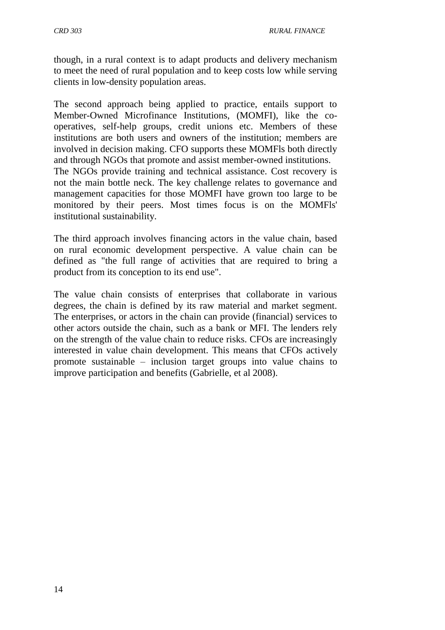though, in a rural context is to adapt products and delivery mechanism to meet the need of rural population and to keep costs low while serving clients in low-density population areas.

The second approach being applied to practice, entails support to Member-Owned Microfinance Institutions, (MOMFI), like the cooperatives, self-help groups, credit unions etc. Members of these institutions are both users and owners of the institution; members are involved in decision making. CFO supports these MOMFls both directly and through NGOs that promote and assist member-owned institutions. The NGOs provide training and technical assistance. Cost recovery is not the main bottle neck. The key challenge relates to governance and management capacities for those MOMFI have grown too large to be monitored by their peers. Most times focus is on the MOMFls' institutional sustainability.

The third approach involves financing actors in the value chain, based on rural economic development perspective. A value chain can be defined as "the full range of activities that are required to bring a product from its conception to its end use".

The value chain consists of enterprises that collaborate in various degrees, the chain is defined by its raw material and market segment. The enterprises, or actors in the chain can provide (financial) services to other actors outside the chain, such as a bank or MFI. The lenders rely on the strength of the value chain to reduce risks. CFOs are increasingly interested in value chain development. This means that CFOs actively promote sustainable – inclusion target groups into value chains to improve participation and benefits (Gabrielle, et al 2008).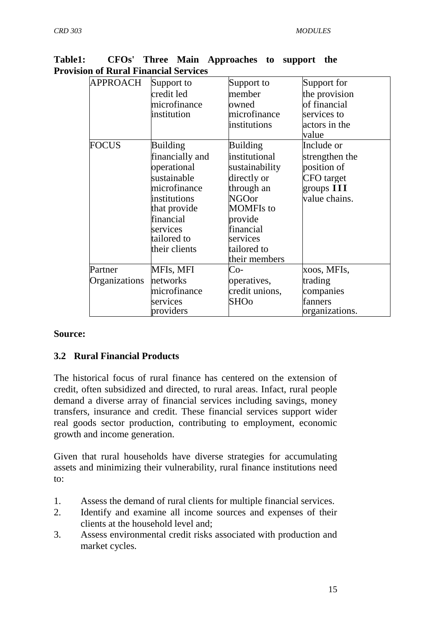| <b>APPROACH</b> | Support to      | Support to       | Support for       |
|-----------------|-----------------|------------------|-------------------|
|                 | credit led      | member           | the provision     |
|                 | microfinance    | owned            | of financial      |
|                 | institution     | microfinance     | services to       |
|                 |                 | institutions     | actors in the     |
|                 |                 |                  | value             |
| <b>FOCUS</b>    | <b>Building</b> | <b>Building</b>  | Include or        |
|                 | financially and | institutional    | strengthen the    |
|                 | operational     | sustainability   | position of       |
|                 | sustainable     | directly or      | <b>CFO</b> target |
|                 | microfinance    | through an       | groups $III$      |
|                 | institutions    | <b>NGOor</b>     | value chains.     |
|                 | that provide    | <b>MOMFIs</b> to |                   |
|                 | financial       | provide          |                   |
|                 | services        | financial        |                   |
|                 | tailored to     | services         |                   |
|                 | their clients   | tailored to      |                   |
|                 |                 | their members    |                   |
| Partner         | MFIs, MFI       | $Co-$            | xoos, MFIs,       |
| Organizations   | networks        | operatives,      | trading           |
|                 | microfinance    | credit unions,   | companies         |
|                 | services        | <b>SHOo</b>      | fanners           |
|                 | providers       |                  | organizations.    |

**Table1: CFOs' Three Main Approaches to support the Provision of Rural Financial Services** 

#### **Source:**

## **3.2 Rural Financial Products**

The historical focus of rural finance has centered on the extension of credit, often subsidized and directed, to rural areas. Infact, rural people demand a diverse array of financial services including savings, money transfers, insurance and credit. These financial services support wider real goods sector production, contributing to employment, economic growth and income generation.

Given that rural households have diverse strategies for accumulating assets and minimizing their vulnerability, rural finance institutions need to:

- 1. Assess the demand of rural clients for multiple financial services.
- 2. Identify and examine all income sources and expenses of their clients at the household level and;
- 3. Assess environmental credit risks associated with production and market cycles.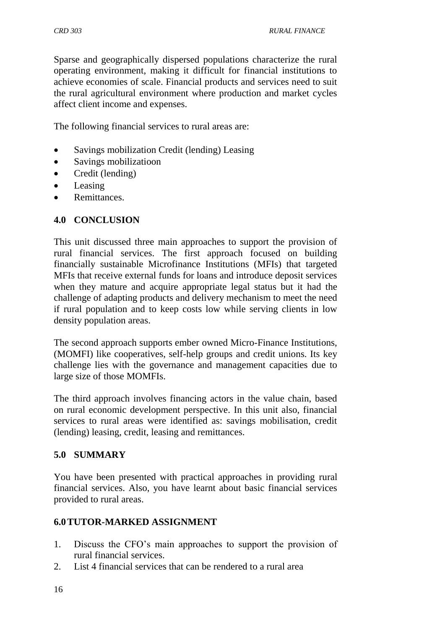Sparse and geographically dispersed populations characterize the rural operating environment, making it difficult for financial institutions to achieve economies of scale. Financial products and services need to suit the rural agricultural environment where production and market cycles affect client income and expenses.

The following financial services to rural areas are:

- Savings mobilization Credit (lending) Leasing
- Savings mobilizatioon
- Credit (lending)
- Leasing
- Remittances.

#### **4.0 CONCLUSION**

This unit discussed three main approaches to support the provision of rural financial services. The first approach focused on building financially sustainable Microfinance Institutions (MFIs) that targeted MFIs that receive external funds for loans and introduce deposit services when they mature and acquire appropriate legal status but it had the challenge of adapting products and delivery mechanism to meet the need if rural population and to keep costs low while serving clients in low density population areas.

The second approach supports ember owned Micro-Finance Institutions, (MOMFI) like cooperatives, self-help groups and credit unions. Its key challenge lies with the governance and management capacities due to large size of those MOMFIs.

The third approach involves financing actors in the value chain, based on rural economic development perspective. In this unit also, financial services to rural areas were identified as: savings mobilisation, credit (lending) leasing, credit, leasing and remittances.

#### **5.0 SUMMARY**

You have been presented with practical approaches in providing rural financial services. Also, you have learnt about basic financial services provided to rural areas.

#### **6.0TUTOR-MARKED ASSIGNMENT**

- 1. Discuss the CFO's main approaches to support the provision of rural financial services.
- 2. List 4 financial services that can be rendered to a rural area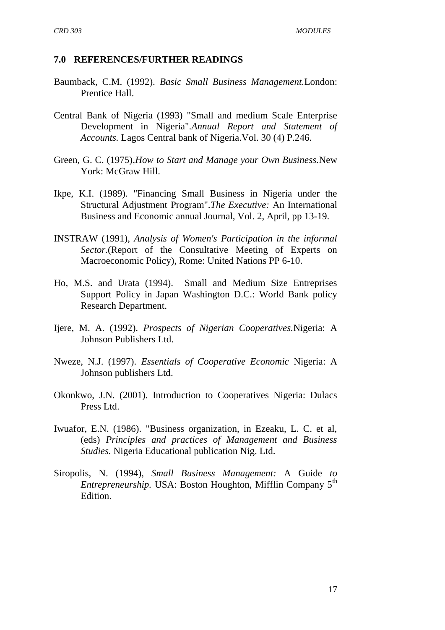#### **7.0 REFERENCES/FURTHER READINGS**

- Baumback, C.M. (1992). *Basic Small Business Management.*London: Prentice Hall.
- Central Bank of Nigeria (1993) "Small and medium Scale Enterprise Development in Nigeria".*Annual Report and Statement of Accounts.* Lagos Central bank of Nigeria.Vol. 30 (4) P.246.
- Green, G. C. (1975),*How to Start and Manage your Own Business.*New York: McGraw Hill.
- Ikpe, K.I. (1989). "Financing Small Business in Nigeria under the Structural Adjustment Program".*The Executive:* An International Business and Economic annual Journal, Vol. 2, April, pp 13-19.
- INSTRAW (1991), *Analysis of Women's Participation in the informal Sector.*(Report of the Consultative Meeting of Experts on Macroeconomic Policy), Rome: United Nations PP 6-10.
- Ho, M.S. and Urata (1994). Small and Medium Size Entreprises Support Policy in Japan Washington D.C.: World Bank policy Research Department.
- Ijere, M. A. (1992). *Prospects of Nigerian Cooperatives.*Nigeria: A Johnson Publishers Ltd.
- Nweze, N.J. (1997). *Essentials of Cooperative Economic* Nigeria: A Johnson publishers Ltd.
- Okonkwo, J.N. (2001). Introduction to Cooperatives Nigeria: Dulacs Press Ltd.
- Iwuafor, E.N. (1986). "Business organization, in Ezeaku, L. C. et al, (eds) *Principles and practices of Management and Business Studies.* Nigeria Educational publication Nig. Ltd.
- Siropolis, N. (1994), *Small Business Management:* A Guide *to Entrepreneurship.* USA: Boston Houghton, Mifflin Company 5<sup>th</sup> Edition.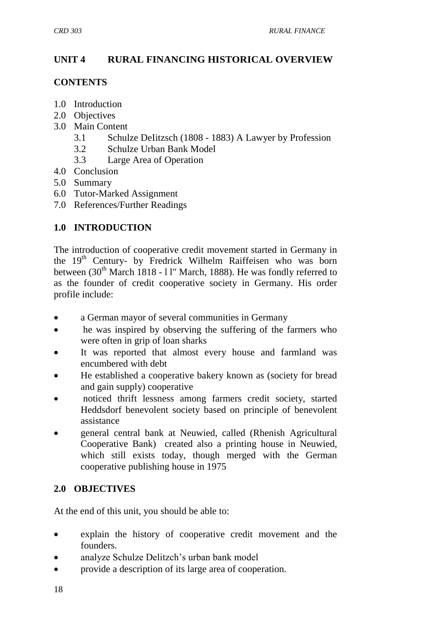## **UNIT 4 RURAL FINANCING HISTORICAL OVERVIEW**

#### **CONTENTS**

- 1.0 Introduction
- 2.0 Objectives
- 3.0 Main Content
	- 3.1 Schulze DeIitzsch (1808 1883) A Lawyer by Profession
	- 3.2 Schulze Urban Bank Model
	- 3.3 Large Area of Operation
- 4.0 Conclusion
- 5.0 Summary
- 6.0 Tutor-Marked Assignment
- 7.0 References/Further Readings

## **1.0 INTRODUCTION**

The introduction of cooperative credit movement started in Germany in the 19<sup>th</sup> Century- by Fredrick Wilhelm Raiffeisen who was born between  $(30<sup>th</sup> March 1818 - 11<sup>th</sup> March, 1888)$ . He was fondly referred to as the founder of credit cooperative society in Germany. His order profile include:

- a German mayor of several communities in Germany
- he was inspired by observing the suffering of the farmers who were often in grip of loan sharks
- It was reported that almost every house and farmland was encumbered with debt
- He established a cooperative bakery known as (society for bread and gain supply) cooperative
- noticed thrift lessness among farmers credit society, started Heddsdorf benevolent society based on principle of benevolent assistance
- general central bank at Neuwied, called (Rhenish Agricultural Cooperative Bank) created also a printing house in Neuwied, which still exists today, though merged with the German cooperative publishing house in 1975

## **2.0 OBJECTIVES**

At the end of this unit, you should be able to:

- explain the history of cooperative credit movement and the founders.
- analyze Schulze Delitzch's urban bank model
- provide a description of its large area of cooperation.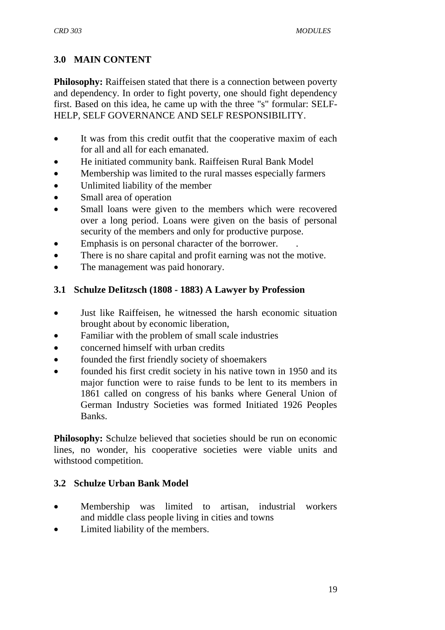## **3.0 MAIN CONTENT**

**Philosophy:** Raiffeisen stated that there is a connection between poverty and dependency. In order to fight poverty, one should fight dependency first. Based on this idea, he came up with the three "s" formular: SELF-HELP, SELF GOVERNANCE AND SELF RESPONSIBILITY.

- It was from this credit outfit that the cooperative maxim of each for all and all for each emanated.
- He initiated community bank. Raiffeisen Rural Bank Model
- Membership was limited to the rural masses especially farmers
- Unlimited liability of the member
- Small area of operation
- Small loans were given to the members which were recovered over a long period. Loans were given on the basis of personal security of the members and only for productive purpose.
- Emphasis is on personal character of the borrower. .
- There is no share capital and profit earning was not the motive.
- The management was paid honorary.

#### **3.1 Schulze DeIitzsch (1808 - 1883) A Lawyer by Profession**

- Just like Raiffeisen, he witnessed the harsh economic situation brought about by economic liberation,
- Familiar with the problem of small scale industries
- concerned himself with urban credits
- founded the first friendly society of shoemakers
- founded his first credit society in his native town in 1950 and its major function were to raise funds to be lent to its members in 1861 called on congress of his banks where General Union of German Industry Societies was formed Initiated 1926 Peoples Banks.

**Philosophy:** Schulze believed that societies should be run on economic lines, no wonder, his cooperative societies were viable units and withstood competition.

## **3.2 Schulze Urban Bank Model**

- Membership was limited to artisan, industrial workers and middle class people living in cities and towns
- Limited liability of the members.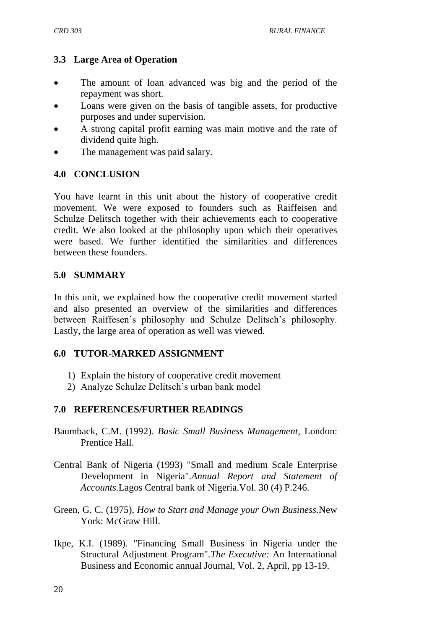## **3.3 Large Area of Operation**

- The amount of loan advanced was big and the period of the repayment was short.
- Loans were given on the basis of tangible assets, for productive purposes and under supervision.
- A strong capital profit earning was main motive and the rate of dividend quite high.
- The management was paid salary.

#### **4.0 CONCLUSION**

You have learnt in this unit about the history of cooperative credit movement. We were exposed to founders such as Raiffeisen and Schulze Delitsch together with their achievements each to cooperative credit. We also looked at the philosophy upon which their operatives were based. We further identified the similarities and differences between these founders.

#### **5.0 SUMMARY**

In this unit, we explained how the cooperative credit movement started and also presented an overview of the similarities and differences between Raiffesen's philosophy and Schulze Delitsch's philosophy. Lastly, the large area of operation as well was viewed.

#### **6.0 TUTOR-MARKED ASSIGNMENT**

- 1) Explain the history of cooperative credit movement
- 2) Analyze Schulze Delitsch's urban bank model

## **7.0 REFERENCES/FURTHER READINGS**

- Baumback, C.M. (1992). *Basic Small Business Management,* London: Prentice Hall.
- Central Bank of Nigeria (1993) "Small and medium Scale Enterprise Development in Nigeria".*Annual Report and Statement of Accounts.*Lagos Central bank of Nigeria.Vol. 30 (4) P.246.
- Green, G. C. (1975), *How to Start and Manage your Own Business.*New York: McGraw Hill.
- Ikpe, K.I. (1989). "Financing Small Business in Nigeria under the Structural Adjustment Program".*The Executive:* An International Business and Economic annual Journal, Vol. 2, April, pp 13-19.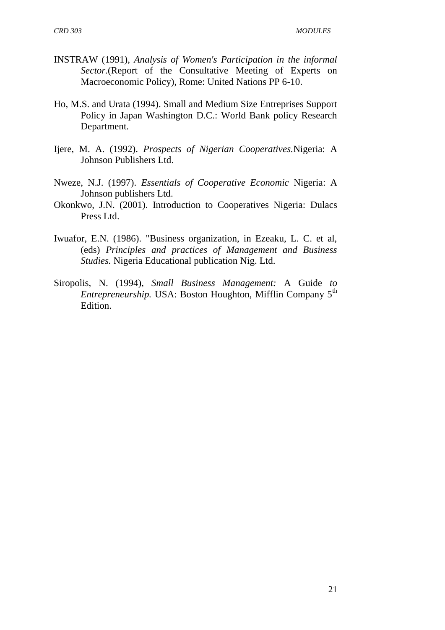- INSTRAW (1991), *Analysis of Women's Participation in the informal Sector.*(Report of the Consultative Meeting of Experts on Macroeconomic Policy), Rome: United Nations PP 6-10.
- Ho, M.S. and Urata (1994). Small and Medium Size Entreprises Support Policy in Japan Washington D.C.: World Bank policy Research Department.
- Ijere, M. A. (1992). *Prospects of Nigerian Cooperatives.*Nigeria: A Johnson Publishers Ltd.
- Nweze, N.J. (1997). *Essentials of Cooperative Economic* Nigeria: A Johnson publishers Ltd.
- Okonkwo, J.N. (2001). Introduction to Cooperatives Nigeria: Dulacs Press Ltd.
- Iwuafor, E.N. (1986). "Business organization, in Ezeaku, L. C. et al, (eds) *Principles and practices of Management and Business Studies.* Nigeria Educational publication Nig. Ltd.
- Siropolis, N. (1994), *Small Business Management:* A Guide *to Entrepreneurship.* USA: Boston Houghton, Mifflin Company 5<sup>th</sup> Edition.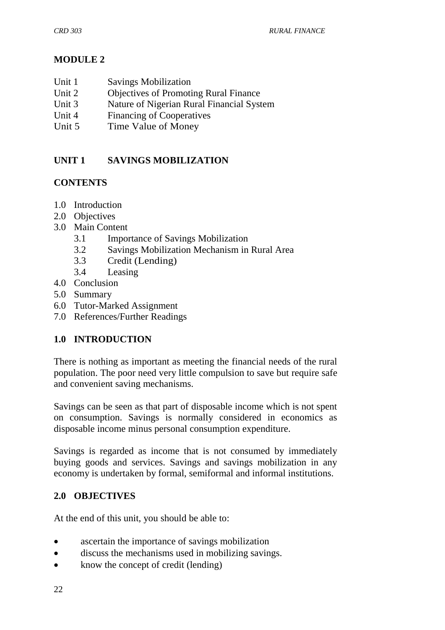## **MODULE 2**

- Unit 1 Savings Mobilization
- Unit 2 Objectives of Promoting Rural Finance<br>
Unit 3 Nature of Nigerian Rural Financial Syst
- Nature of Nigerian Rural Financial System
- Unit 4 Financing of Cooperatives
- Unit 5 Time Value of Money

# **UNIT 1 SAVINGS MOBILIZATION**

## **CONTENTS**

- 1.0 Introduction
- 2.0 Objectives
- 3.0 Main Content
	- 3.1 Importance of Savings Mobilization
	- 3.2 Savings Mobilization Mechanism in Rural Area
	- 3.3 Credit (Lending)
	- 3.4 Leasing
- 4.0 Conclusion
- 5.0 Summary
- 6.0 Tutor-Marked Assignment
- 7.0 References/Further Readings

# **1.0 INTRODUCTION**

There is nothing as important as meeting the financial needs of the rural population. The poor need very little compulsion to save but require safe and convenient saving mechanisms.

Savings can be seen as that part of disposable income which is not spent on consumption. Savings is normally considered in economics as disposable income minus personal consumption expenditure.

Savings is regarded as income that is not consumed by immediately buying goods and services. Savings and savings mobilization in any economy is undertaken by formal, semiformal and informal institutions.

# **2.0 OBJECTIVES**

At the end of this unit, you should be able to:

- ascertain the importance of savings mobilization
- discuss the mechanisms used in mobilizing savings.
- know the concept of credit (lending)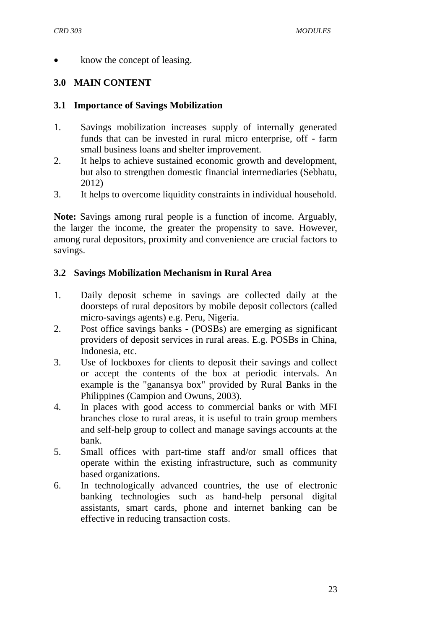know the concept of leasing.

## **3.0 MAIN CONTENT**

#### **3.1 Importance of Savings Mobilization**

- 1. Savings mobilization increases supply of internally generated funds that can be invested in rural micro enterprise, off - farm small business loans and shelter improvement.
- 2. It helps to achieve sustained economic growth and development, but also to strengthen domestic financial intermediaries (Sebhatu, 2012)
- 3. It helps to overcome liquidity constraints in individual household.

**Note:** Savings among rural people is a function of income. Arguably, the larger the income, the greater the propensity to save. However, among rural depositors, proximity and convenience are crucial factors to savings.

## **3.2 Savings Mobilization Mechanism in Rural Area**

- 1. Daily deposit scheme in savings are collected daily at the doorsteps of rural depositors by mobile deposit collectors (called micro-savings agents) e.g. Peru, Nigeria.
- 2. Post office savings banks (POSBs) are emerging as significant providers of deposit services in rural areas. E.g. POSBs in China, Indonesia, etc.
- 3. Use of lockboxes for clients to deposit their savings and collect or accept the contents of the box at periodic intervals. An example is the "ganansya box" provided by Rural Banks in the Philippines (Campion and Owuns, 2003).
- 4. In places with good access to commercial banks or with MFI branches close to rural areas, it is useful to train group members and self-help group to collect and manage savings accounts at the bank.
- 5. Small offices with part-time staff and/or small offices that operate within the existing infrastructure, such as community based organizations.
- 6. In technologically advanced countries, the use of electronic banking technologies such as hand-help personal digital assistants, smart cards, phone and internet banking can be effective in reducing transaction costs.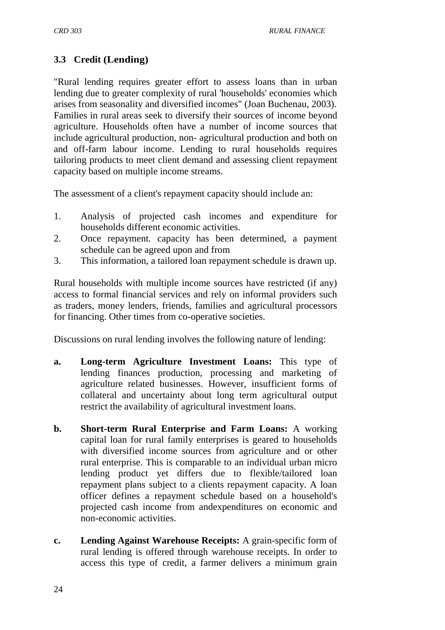# **3.3 Credit (Lending)**

"Rural lending requires greater effort to assess loans than in urban lending due to greater complexity of rural 'households' economies which arises from seasonality and diversified incomes" (Joan Buchenau, 2003). Families in rural areas seek to diversify their sources of income beyond agriculture. Households often have a number of income sources that include agricultural production, non- agricultural production and both on and off-farm labour income. Lending to rural households requires tailoring products to meet client demand and assessing client repayment capacity based on multiple income streams.

The assessment of a client's repayment capacity should include an:

- 1. Analysis of projected cash incomes and expenditure for households different economic activities.
- 2. Once repayment. capacity has been determined, a payment schedule can be agreed upon and from
- 3. This information, a tailored loan repayment schedule is drawn up.

Rural households with multiple income sources have restricted (if any) access to formal financial services and rely on informal providers such as traders, money lenders, friends, families and agricultural processors for financing. Other times from co-operative societies.

Discussions on rural lending involves the following nature of lending:

- **a. Long-term Agriculture Investment Loans:** This type of lending finances production, processing and marketing of agriculture related businesses. However, insufficient forms of collateral and uncertainty about long term agricultural output restrict the availability of agricultural investment loans.
- **b. Short-term Rural Enterprise and Farm Loans:** A working capital loan for rural family enterprises is geared to households with diversified income sources from agriculture and or other rural enterprise. This is comparable to an individual urban micro lending product yet differs due to flexible/tailored loan repayment plans subject to a clients repayment capacity. A loan officer defines a repayment schedule based on a household's projected cash income from andexpenditures on economic and non-economic activities.
- **c. Lending Against Warehouse Receipts:** A grain-specific form of rural lending is offered through warehouse receipts. In order to access this type of credit, a farmer delivers a minimum grain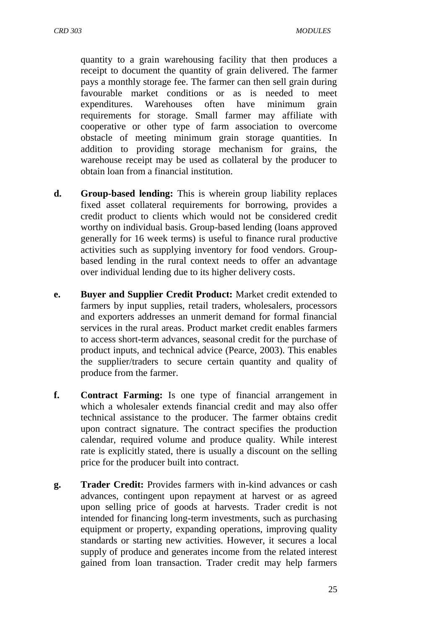*CRD 303 MODULES*

quantity to a grain warehousing facility that then produces a receipt to document the quantity of grain delivered. The farmer pays a monthly storage fee. The farmer can then sell grain during favourable market conditions or as is needed to meet expenditures. Warehouses often have minimum grain requirements for storage. Small farmer may affiliate with cooperative or other type of farm association to overcome obstacle of meeting minimum grain storage quantities. In addition to providing storage mechanism for grains, the warehouse receipt may be used as collateral by the producer to obtain loan from a financial institution.

- **d. Group-based lending:** This is wherein group liability replaces fixed asset collateral requirements for borrowing, provides a credit product to clients which would not be considered credit worthy on individual basis. Group-based lending (loans approved generally for 16 week terms) is useful to finance rural productive activities such as supplying inventory for food vendors. Groupbased lending in the rural context needs to offer an advantage over individual lending due to its higher delivery costs.
- **e. Buyer and Supplier Credit Product:** Market credit extended to farmers by input supplies, retail traders, wholesalers, processors and exporters addresses an unmerit demand for formal financial services in the rural areas. Product market credit enables farmers to access short-term advances, seasonal credit for the purchase of product inputs, and technical advice (Pearce, 2003). This enables the supplier/traders to secure certain quantity and quality of produce from the farmer.
- **f. Contract Farming:** Is one type of financial arrangement in which a wholesaler extends financial credit and may also offer technical assistance to the producer. The farmer obtains credit upon contract signature. The contract specifies the production calendar, required volume and produce quality. While interest rate is explicitly stated, there is usually a discount on the selling price for the producer built into contract.
- **g. Trader Credit:** Provides farmers with in-kind advances or cash advances, contingent upon repayment at harvest or as agreed upon selling price of goods at harvests. Trader credit is not intended for financing long-term investments, such as purchasing equipment or property, expanding operations, improving quality standards or starting new activities. However, it secures a local supply of produce and generates income from the related interest gained from loan transaction. Trader credit may help farmers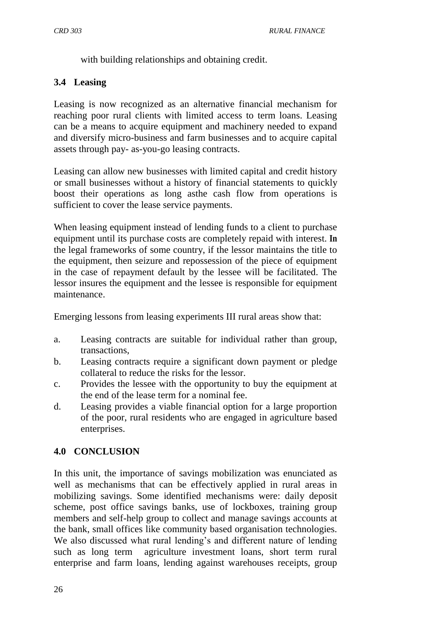with building relationships and obtaining credit.

# **3.4 Leasing**

Leasing is now recognized as an alternative financial mechanism for reaching poor rural clients with limited access to term loans. Leasing can be a means to acquire equipment and machinery needed to expand and diversify micro-business and farm businesses and to acquire capital assets through pay- as-you-go leasing contracts.

Leasing can allow new businesses with limited capital and credit history or small businesses without a history of financial statements to quickly boost their operations as long asthe cash flow from operations is sufficient to cover the lease service payments.

When leasing equipment instead of lending funds to a client to purchase equipment until its purchase costs are completely repaid with interest. **In**  the legal frameworks of some country, if the lessor maintains the title to the equipment, then seizure and repossession of the piece of equipment in the case of repayment default by the lessee will be facilitated. The lessor insures the equipment and the lessee is responsible for equipment maintenance.

Emerging lessons from leasing experiments III rural areas show that:

- a. Leasing contracts are suitable for individual rather than group, transactions,
- b. Leasing contracts require a significant down payment or pledge collateral to reduce the risks for the lessor.
- c. Provides the lessee with the opportunity to buy the equipment at the end of the lease term for a nominal fee.
- d. Leasing provides a viable financial option for a large proportion of the poor, rural residents who are engaged in agriculture based enterprises.

# **4.0 CONCLUSION**

In this unit, the importance of savings mobilization was enunciated as well as mechanisms that can be effectively applied in rural areas in mobilizing savings. Some identified mechanisms were: daily deposit scheme, post office savings banks, use of lockboxes, training group members and self-help group to collect and manage savings accounts at the bank, small offices like community based organisation technologies. We also discussed what rural lending's and different nature of lending such as long term agriculture investment loans, short term rural enterprise and farm loans, lending against warehouses receipts, group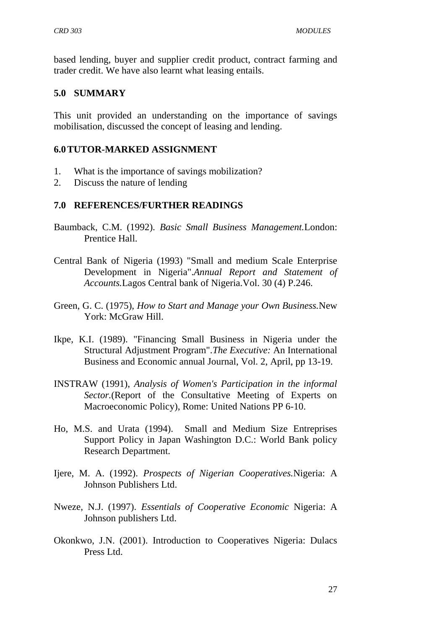based lending, buyer and supplier credit product, contract farming and trader credit. We have also learnt what leasing entails.

#### **5.0 SUMMARY**

This unit provided an understanding on the importance of savings mobilisation, discussed the concept of leasing and lending.

#### **6.0TUTOR-MARKED ASSIGNMENT**

- 1. What is the importance of savings mobilization?
- 2. Discuss the nature of lending

#### **7.0 REFERENCES/FURTHER READINGS**

- Baumback, C.M. (1992). *Basic Small Business Management.*London: Prentice Hall.
- Central Bank of Nigeria (1993) "Small and medium Scale Enterprise Development in Nigeria".*Annual Report and Statement of Accounts.*Lagos Central bank of Nigeria.Vol. 30 (4) P.246.
- Green, G. C. (1975), *How to Start and Manage your Own Business.*New York: McGraw Hill.
- Ikpe, K.I. (1989). "Financing Small Business in Nigeria under the Structural Adjustment Program".*The Executive:* An International Business and Economic annual Journal, Vol. 2, April, pp 13-19.
- INSTRAW (1991), *Analysis of Women's Participation in the informal Sector.*(Report of the Consultative Meeting of Experts on Macroeconomic Policy), Rome: United Nations PP 6-10.
- Ho, M.S. and Urata (1994). Small and Medium Size Entreprises Support Policy in Japan Washington D.C.: World Bank policy Research Department.
- Ijere, M. A. (1992). *Prospects of Nigerian Cooperatives.*Nigeria: A Johnson Publishers Ltd.
- Nweze, N.J. (1997). *Essentials of Cooperative Economic* Nigeria: A Johnson publishers Ltd.
- Okonkwo, J.N. (2001). Introduction to Cooperatives Nigeria: Dulacs Press Ltd.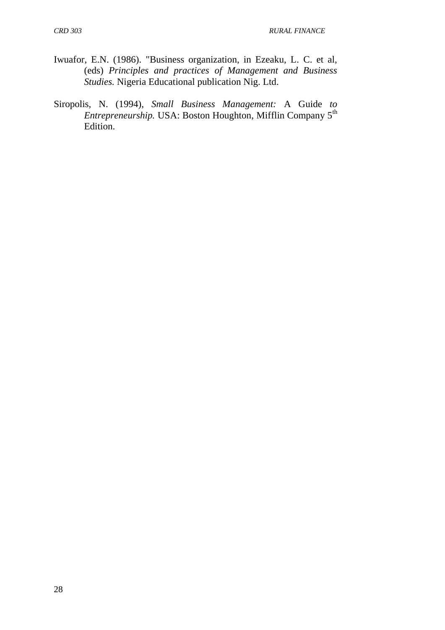- Iwuafor, E.N. (1986). "Business organization, in Ezeaku, L. C. et al, (eds) *Principles and practices of Management and Business Studies.* Nigeria Educational publication Nig. Ltd.
- Siropolis, N. (1994), *Small Business Management:* A Guide *to Entrepreneurship.* USA: Boston Houghton, Mifflin Company 5<sup>th</sup> Edition.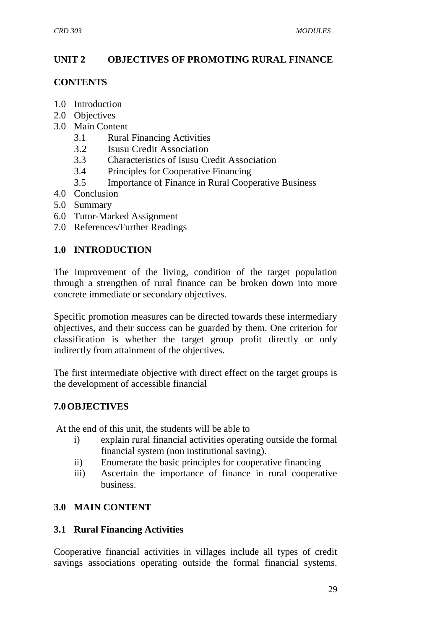# **UNIT 2 OBJECTIVES OF PROMOTING RURAL FINANCE**

### **CONTENTS**

- 1.0 Introduction
- 2.0 Objectives
- 3.0 Main Content
	- 3.1 Rural Financing Activities
	- 3.2 Isusu Credit Association
	- 3.3 Characteristics of Isusu Credit Association
	- 3.4 Principles for Cooperative Financing
	- 3.5 Importance of Finance in Rural Cooperative Business
- 4.0 Conclusion
- 5.0 Summary
- 6.0 Tutor-Marked Assignment
- 7.0 References/Further Readings

# **1.0 INTRODUCTION**

The improvement of the living, condition of the target population through a strengthen of rural finance can be broken down into more concrete immediate or secondary objectives.

Specific promotion measures can be directed towards these intermediary objectives, and their success can be guarded by them. One criterion for classification is whether the target group profit directly or only indirectly from attainment of the objectives.

The first intermediate objective with direct effect on the target groups is the development of accessible financial

# **7.0OBJECTIVES**

At the end of this unit, the students will be able to

- i) explain rural financial activities operating outside the formal financial system (non institutional saving).
- ii) Enumerate the basic principles for cooperative financing
- iii) Ascertain the importance of finance in rural cooperative business.

# **3.0 MAIN CONTENT**

# **3.1 Rural Financing Activities**

Cooperative financial activities in villages include all types of credit savings associations operating outside the formal financial systems.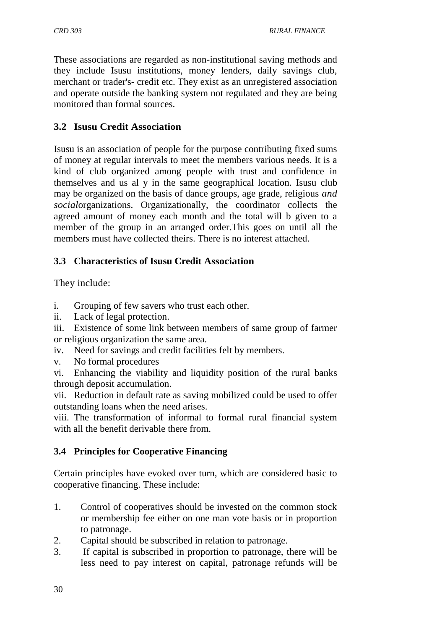These associations are regarded as non-institutional saving methods and they include Isusu institutions, money lenders, daily savings club, merchant or trader's- credit etc. They exist as an unregistered association and operate outside the banking system not regulated and they are being monitored than formal sources.

# **3.2 Isusu Credit Association**

Isusu is an association of people for the purpose contributing fixed sums of money at regular intervals to meet the members various needs. It is a kind of club organized among people with trust and confidence in themselves and us al y in the same geographical location. Isusu club may be organized on the basis of dance groups, age grade, religious *and social*organizations. Organizationally, the coordinator collects the agreed amount of money each month and the total will b given to a member of the group in an arranged order.This goes on until all the members must have collected theirs. There is no interest attached.

# **3.3 Characteristics of Isusu Credit Association**

They include:

- i. Grouping of few savers who trust each other.
- ii. Lack of legal protection.
- iii. Existence of some link between members of same group of farmer or religious organization the same area.
- iv. Need for savings and credit facilities felt by members.
- v. No formal procedures
- vi. Enhancing the viability and liquidity position of the rural banks through deposit accumulation.
- vii. Reduction in default rate as saving mobilized could be used to offer outstanding loans when the need arises.
- viii. The transformation of informal to formal rural financial system with all the benefit derivable there from.

# **3.4 Principles for Cooperative Financing**

Certain principles have evoked over turn, which are considered basic to cooperative financing. These include:

- 1. Control of cooperatives should be invested on the common stock or membership fee either on one man vote basis or in proportion to patronage.
- 2. Capital should be subscribed in relation to patronage.
- 3. If capital is subscribed in proportion to patronage, there will be less need to pay interest on capital, patronage refunds will be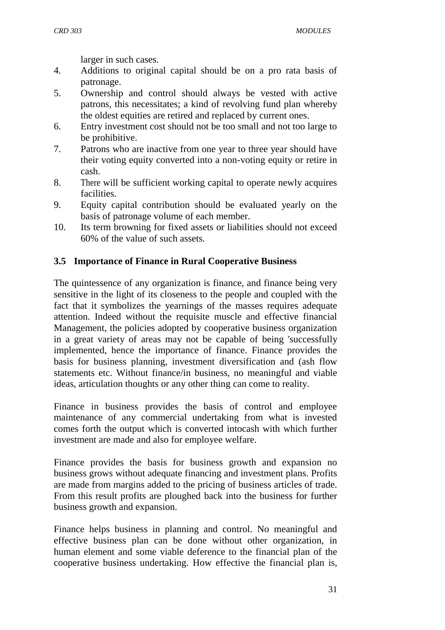larger in such cases.

- 4. Additions to original capital should be on a pro rata basis of patronage.
- 5. Ownership and control should always be vested with active patrons, this necessitates; a kind of revolving fund plan whereby the oldest equities are retired and replaced by current ones.
- 6. Entry investment cost should not be too small and not too large to be prohibitive.
- 7. Patrons who are inactive from one year to three year should have their voting equity converted into a non-voting equity or retire in cash.
- 8. There will be sufficient working capital to operate newly acquires facilities.
- 9. Equity capital contribution should be evaluated yearly on the basis of patronage volume of each member.
- 10. Its term browning for fixed assets or liabilities should not exceed 60% of the value of such assets.

# **3.5 Importance of Finance in Rural Cooperative Business**

The quintessence of any organization is finance, and finance being very sensitive in the light of its closeness to the people and coupled with the fact that it symbolizes the yearnings of the masses requires adequate attention. Indeed without the requisite muscle and effective financial Management, the policies adopted by cooperative business organization in a great variety of areas may not be capable of being 'successfully implemented, hence the importance of finance. Finance provides the basis for business planning, investment diversification and (ash flow statements etc. Without finance/in business, no meaningful and viable ideas, articulation thoughts or any other thing can come to reality.

Finance in business provides the basis of control and employee maintenance of any commercial undertaking from what is invested comes forth the output which is converted intocash with which further investment are made and also for employee welfare.

Finance provides the basis for business growth and expansion no business grows without adequate financing and investment plans. Profits are made from margins added to the pricing of business articles of trade. From this result profits are ploughed back into the business for further business growth and expansion.

Finance helps business in planning and control. No meaningful and effective business plan can be done without other organization, in human element and some viable deference to the financial plan of the cooperative business undertaking. How effective the financial plan is,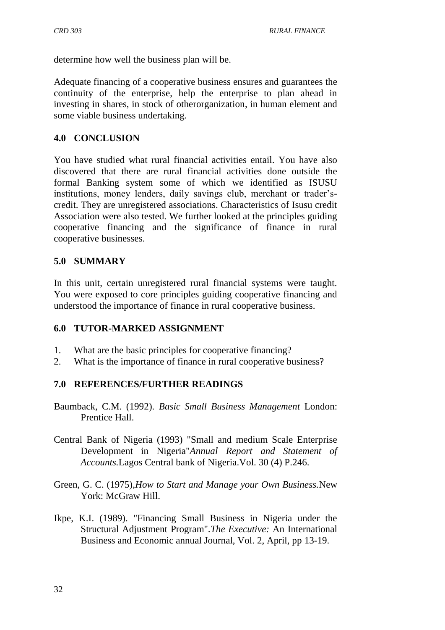determine how well the business plan will be.

Adequate financing of a cooperative business ensures and guarantees the continuity of the enterprise, help the enterprise to plan ahead in investing in shares, in stock of otherorganization, in human element and some viable business undertaking.

### **4.0 CONCLUSION**

You have studied what rural financial activities entail. You have also discovered that there are rural financial activities done outside the formal Banking system some of which we identified as ISUSU institutions, money lenders, daily savings club, merchant or trader'scredit. They are unregistered associations. Characteristics of Isusu credit Association were also tested. We further looked at the principles guiding cooperative financing and the significance of finance in rural cooperative businesses.

### **5.0 SUMMARY**

In this unit, certain unregistered rural financial systems were taught. You were exposed to core principles guiding cooperative financing and understood the importance of finance in rural cooperative business.

### **6.0 TUTOR-MARKED ASSIGNMENT**

- 1. What are the basic principles for cooperative financing?
- 2. What is the importance of finance in rural cooperative business?

### **7.0 REFERENCES/FURTHER READINGS**

- Baumback, C.M. (1992). *Basic Small Business Management* London: Prentice Hall.
- Central Bank of Nigeria (1993) "Small and medium Scale Enterprise Development in Nigeria"*Annual Report and Statement of Accounts.*Lagos Central bank of Nigeria.Vol. 30 (4) P.246.
- Green, G. C. (1975),*How to Start and Manage your Own Business.*New York: McGraw Hill.
- Ikpe, K.I. (1989). "Financing Small Business in Nigeria under the Structural Adjustment Program".*The Executive:* An International Business and Economic annual Journal, Vol. 2, April, pp 13-19.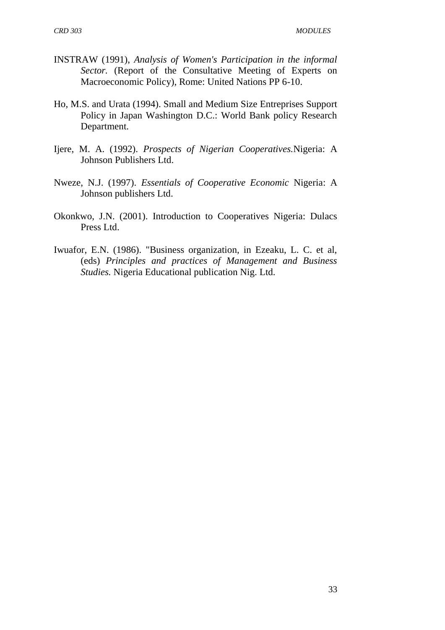- INSTRAW (1991), *Analysis of Women's Participation in the informal Sector.* (Report of the Consultative Meeting of Experts on Macroeconomic Policy), Rome: United Nations PP 6-10.
- Ho, M.S. and Urata (1994). Small and Medium Size Entreprises Support Policy in Japan Washington D.C.: World Bank policy Research Department.
- Ijere, M. A. (1992). *Prospects of Nigerian Cooperatives.*Nigeria: A Johnson Publishers Ltd.
- Nweze, N.J. (1997). *Essentials of Cooperative Economic* Nigeria: A Johnson publishers Ltd.
- Okonkwo, J.N. (2001). Introduction to Cooperatives Nigeria: Dulacs Press Ltd.
- Iwuafor, E.N. (1986). "Business organization, in Ezeaku, L. C. et al, (eds) *Principles and practices of Management and Business Studies.* Nigeria Educational publication Nig. Ltd.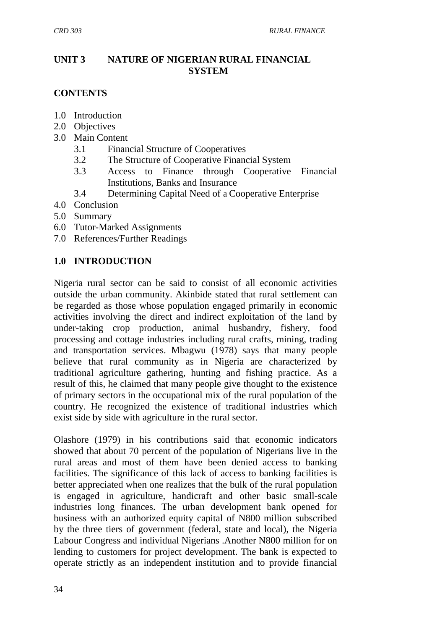# **UNIT 3 NATURE OF NIGERIAN RURAL FINANCIAL SYSTEM**

### **CONTENTS**

- 1.0 Introduction
- 2.0 Objectives
- 3.0 Main Content
	- 3.1 Financial Structure of Cooperatives
	- 3.2 The Structure of Cooperative Financial System
	- 3.3 Access to Finance through Cooperative Financial Institutions, Banks and Insurance
	- 3.4 Determining Capital Need of a Cooperative Enterprise
- 4.0 Conclusion
- 5.0 Summary
- 6.0 Tutor-Marked Assignments
- 7.0 References/Further Readings

### **1.0 INTRODUCTION**

Nigeria rural sector can be said to consist of all economic activities outside the urban community. Akinbide stated that rural settlement can be regarded as those whose population engaged primarily in economic activities involving the direct and indirect exploitation of the land by under-taking crop production, animal husbandry, fishery, food processing and cottage industries including rural crafts, mining, trading and transportation services. Mbagwu (1978) says that many people believe that rural community as in Nigeria are characterized by traditional agriculture gathering, hunting and fishing practice. As a result of this, he claimed that many people give thought to the existence of primary sectors in the occupational mix of the rural population of the country. He recognized the existence of traditional industries which exist side by side with agriculture in the rural sector.

Olashore (1979) in his contributions said that economic indicators showed that about 70 percent of the population of Nigerians live in the rural areas and most of them have been denied access to banking facilities. The significance of this lack of access to banking facilities is better appreciated when one realizes that the bulk of the rural population is engaged in agriculture, handicraft and other basic small-scale industries long finances. The urban development bank opened for business with an authorized equity capital of N800 million subscribed by the three tiers of government (federal, state and local), the Nigeria Labour Congress and individual Nigerians .Another N800 million for on lending to customers for project development. The bank is expected to operate strictly as an independent institution and to provide financial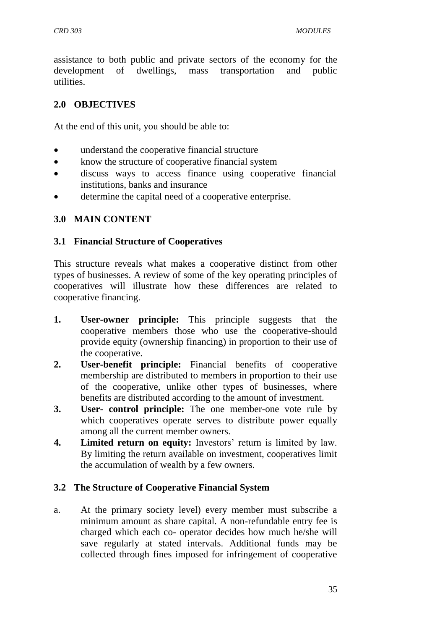assistance to both public and private sectors of the economy for the development of dwellings, mass transportation and public utilities.

### **2.0 OBJECTIVES**

At the end of this unit, you should be able to:

- understand the cooperative financial structure
- know the structure of cooperative financial system
- discuss ways to access finance using cooperative financial institutions, banks and insurance
- determine the capital need of a cooperative enterprise.

### **3.0 MAIN CONTENT**

### **3.1 Financial Structure of Cooperatives**

This structure reveals what makes a cooperative distinct from other types of businesses. A review of some of the key operating principles of cooperatives will illustrate how these differences are related to cooperative financing.

- **1. User-owner principle:** This principle suggests that the cooperative members those who use the cooperative-should provide equity (ownership financing) in proportion to their use of the cooperative.
- **2. User-benefit principle:** Financial benefits of cooperative membership are distributed to members in proportion to their use of the cooperative, unlike other types of businesses, where benefits are distributed according to the amount of investment.
- **3. User- control principle:** The one member-one vote rule by which cooperatives operate serves to distribute power equally among all the current member owners.
- **4. Limited return on equity:** Investors' return is limited by law. By limiting the return available on investment, cooperatives limit the accumulation of wealth by a few owners.

### **3.2 The Structure of Cooperative Financial System**

a. At the primary society level) every member must subscribe a minimum amount as share capital. A non-refundable entry fee is charged which each co- operator decides how much he/she will save regularly at stated intervals. Additional funds may be collected through fines imposed for infringement of cooperative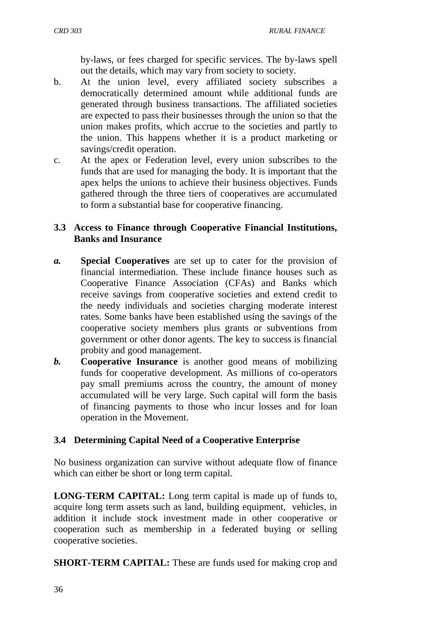by-laws, or fees charged for specific services. The by-laws spell out the details, which may vary from society to society.

- b. At the union level, every affiliated society subscribes a democratically determined amount while additional funds are generated through business transactions. The affiliated societies are expected to pass their businesses through the union so that the union makes profits, which accrue to the societies and partly to the union. This happens whether it is a product marketing or savings/credit operation.
- c. At the apex or Federation level, every union subscribes to the funds that are used for managing the body. It is important that the apex helps the unions to achieve their business objectives. Funds gathered through the three tiers of cooperatives are accumulated to form a substantial base for cooperative financing.

### **3.3 Access to Finance through Cooperative Financial Institutions, Banks and Insurance**

- *a.* **Special Cooperatives** are set up to cater for the provision of financial intermediation. These include finance houses such as Cooperative Finance Association (CFAs) and Banks which receive savings from cooperative societies and extend credit to the needy individuals and societies charging moderate interest rates. Some banks have been established using the savings of the cooperative society members plus grants or subventions from government or other donor agents. The key to success is financial probity and good management.
- *b.* **Cooperative Insurance** is another good means of mobilizing funds for cooperative development. As millions of co-operators pay small premiums across the country, the amount of money accumulated will be very large. Such capital will form the basis of financing payments to those who incur losses and for loan operation in the Movement.

# **3.4 Determining Capital Need of a Cooperative Enterprise**

No business organization can survive without adequate flow of finance which can either be short or long term capital.

**LONG-TERM CAPITAL:** Long term capital is made up of funds to, acquire long term assets such as land, building equipment, vehicles, in addition it include stock investment made in other cooperative or cooperation such as membership in a federated buying or selling cooperative societies.

**SHORT-TERM CAPITAL:** These are funds used for making crop and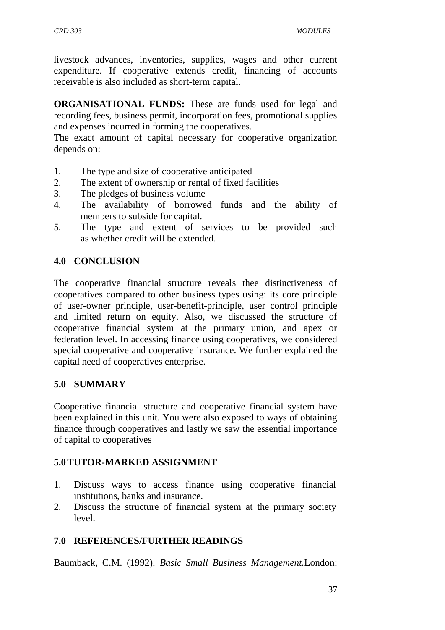livestock advances, inventories, supplies, wages and other current expenditure. If cooperative extends credit, financing of accounts receivable is also included as short-term capital.

**ORGANISATIONAL FUNDS:** These are funds used for legal and recording fees, business permit, incorporation fees, promotional supplies and expenses incurred in forming the cooperatives.

The exact amount of capital necessary for cooperative organization depends on:

- 1. The type and size of cooperative anticipated
- 2. The extent of ownership or rental of fixed facilities
- 3. The pledges of business volume
- 4. The availability of borrowed funds and the ability of members to subside for capital.
- 5. The type and extent of services to be provided such as whether credit will be extended.

### **4.0 CONCLUSION**

The cooperative financial structure reveals thee distinctiveness of cooperatives compared to other business types using: its core principle of user-owner principle, user-benefit-principle, user control principle and limited return on equity. Also, we discussed the structure of cooperative financial system at the primary union, and apex or federation level. In accessing finance using cooperatives, we considered special cooperative and cooperative insurance. We further explained the capital need of cooperatives enterprise.

### **5.0 SUMMARY**

Cooperative financial structure and cooperative financial system have been explained in this unit. You were also exposed to ways of obtaining finance through cooperatives and lastly we saw the essential importance of capital to cooperatives

### **5.0TUTOR-MARKED ASSIGNMENT**

- 1. Discuss ways to access finance using cooperative financial institutions, banks and insurance.
- 2. Discuss the structure of financial system at the primary society level.

# **7.0 REFERENCES/FURTHER READINGS**

Baumback, C.M. (1992). *Basic Small Business Management.*London: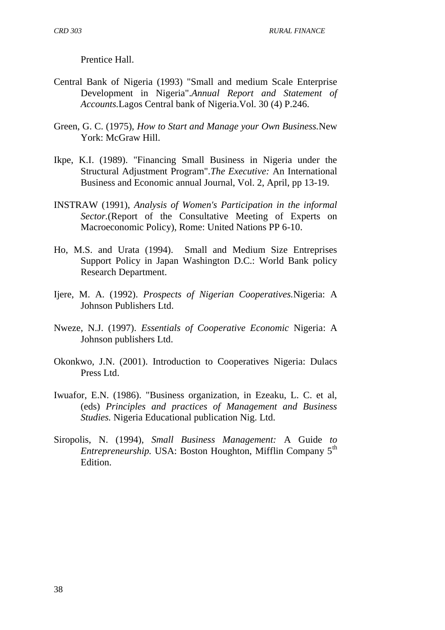Prentice Hall.

- Central Bank of Nigeria (1993) "Small and medium Scale Enterprise Development in Nigeria".*Annual Report and Statement of Accounts.*Lagos Central bank of Nigeria.Vol. 30 (4) P.246.
- Green, G. C. (1975), *How to Start and Manage your Own Business.*New York: McGraw Hill.
- Ikpe, K.I. (1989). "Financing Small Business in Nigeria under the Structural Adjustment Program".*The Executive:* An International Business and Economic annual Journal, Vol. 2, April, pp 13-19.
- INSTRAW (1991), *Analysis of Women's Participation in the informal Sector.*(Report of the Consultative Meeting of Experts on Macroeconomic Policy), Rome: United Nations PP 6-10.
- Ho, M.S. and Urata (1994). Small and Medium Size Entreprises Support Policy in Japan Washington D.C.: World Bank policy Research Department.
- Ijere, M. A. (1992). *Prospects of Nigerian Cooperatives.*Nigeria: A Johnson Publishers Ltd.
- Nweze, N.J. (1997). *Essentials of Cooperative Economic* Nigeria: A Johnson publishers Ltd.
- Okonkwo, J.N. (2001). Introduction to Cooperatives Nigeria: Dulacs Press Ltd.
- Iwuafor, E.N. (1986). "Business organization, in Ezeaku, L. C. et al, (eds) *Principles and practices of Management and Business Studies.* Nigeria Educational publication Nig. Ltd.
- Siropolis, N. (1994), *Small Business Management:* A Guide *to Entrepreneurship.* USA: Boston Houghton, Mifflin Company 5<sup>th</sup> Edition.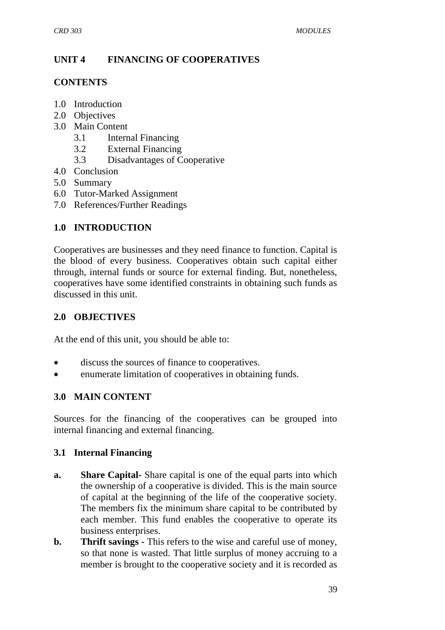# **UNIT 4 FINANCING OF COOPERATIVES**

### **CONTENTS**

- 1.0 Introduction
- 2.0 Objectives
- 3.0 Main Content
	- 3.1 Internal Financing
	- 3.2 External Financing
	- 3.3 Disadvantages of Cooperative
- 4.0 Conclusion
- 5.0 Summary
- 6.0 Tutor-Marked Assignment
- 7.0 References/Further Readings

# **1.0 INTRODUCTION**

Cooperatives are businesses and they need finance to function. Capital is the blood of every business. Cooperatives obtain such capital either through, internal funds or source for external finding. But, nonetheless, cooperatives have some identified constraints in obtaining such funds as discussed in this unit.

# **2.0 OBJECTIVES**

At the end of this unit, you should be able to:

- discuss the sources of finance to cooperatives.
- enumerate limitation of cooperatives in obtaining funds.

# **3.0 MAIN CONTENT**

Sources for the financing of the cooperatives can be grouped into internal financing and external financing.

# **3.1 Internal Financing**

- **a. Share Capital-** Share capital is one of the equal parts into which the ownership of a cooperative is divided. This is the main source of capital at the beginning of the life of the cooperative society. The members fix the minimum share capital to be contributed by each member. This fund enables the cooperative to operate its business enterprises.
- **b. Thrift savings -** This refers to the wise and careful use of money, so that none is wasted. That little surplus of money accruing to a member is brought to the cooperative society and it is recorded as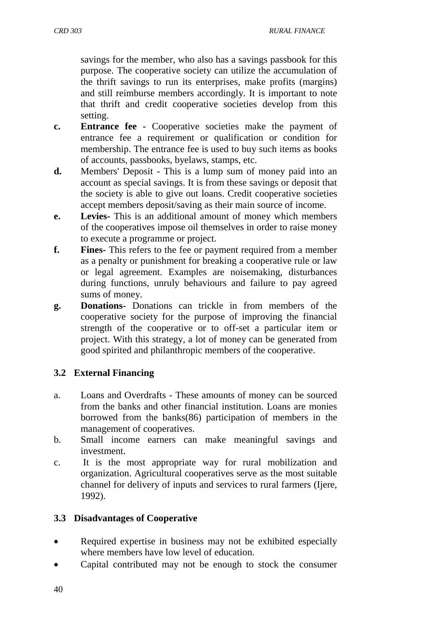savings for the member, who also has a savings passbook for this purpose. The cooperative society can utilize the accumulation of the thrift savings to run its enterprises, make profits (margins) and still reimburse members accordingly. It is important to note that thrift and credit cooperative societies develop from this setting.

- **c. Entrance fee -** Cooperative societies make the payment of entrance fee a requirement or qualification or condition for membership. The entrance fee is used to buy such items as books of accounts, passbooks, byelaws, stamps, etc.
- **d.** Members' Deposit This is a lump sum of money paid into an account as special savings. It is from these savings or deposit that the society is able to give out loans. Credit cooperative societies accept members deposit/saving as their main source of income.
- **e. Levies-** This is an additional amount of money which members of the cooperatives impose oil themselves in order to raise money to execute a programme or project.
- **f. Fines-** This refers to the fee or payment required from a member as a penalty or punishment for breaking a cooperative rule or law or legal agreement. Examples are noisemaking, disturbances during functions, unruly behaviours and failure to pay agreed sums of money.
- **g. Donations-** Donations can trickle in from members of the cooperative society for the purpose of improving the financial strength of the cooperative or to off-set a particular item or project. With this strategy, a lot of money can be generated from good spirited and philanthropic members of the cooperative.

# **3.2 External Financing**

- a. Loans and Overdrafts These amounts of money can be sourced from the banks and other financial institution. Loans are monies borrowed from the banks(86) participation of members in the management of cooperatives.
- b. Small income earners can make meaningful savings and investment.
- c. It is the most appropriate way for rural mobilization and organization. Agricultural cooperatives serve as the most suitable channel for delivery of inputs and services to rural farmers (Ijere, 1992).

### **3.3 Disadvantages of Cooperative**

- Required expertise in business may not be exhibited especially where members have low level of education.
- Capital contributed may not be enough to stock the consumer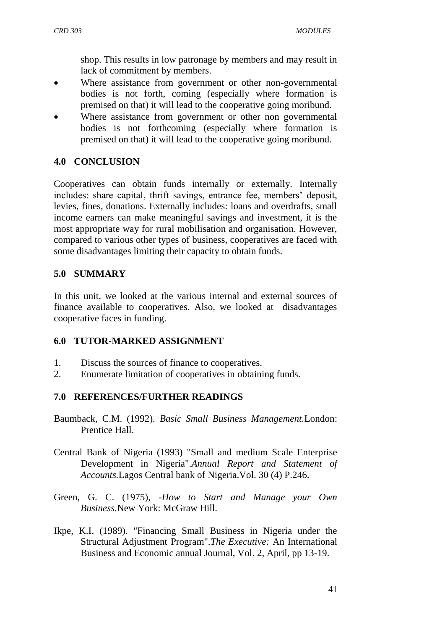shop. This results in low patronage by members and may result in lack of commitment by members.

- Where assistance from government or other non-governmental bodies is not forth, coming (especially where formation is premised on that) it will lead to the cooperative going moribund.
- Where assistance from government or other non governmental bodies is not forthcoming (especially where formation is premised on that) it will lead to the cooperative going moribund.

# **4.0 CONCLUSION**

Cooperatives can obtain funds internally or externally. Internally includes: share capital, thrift savings, entrance fee, members' deposit, levies, fines, donations. Externally includes: loans and overdrafts, small income earners can make meaningful savings and investment, it is the most appropriate way for rural mobilisation and organisation. However, compared to various other types of business, cooperatives are faced with some disadvantages limiting their capacity to obtain funds.

# **5.0 SUMMARY**

In this unit, we looked at the various internal and external sources of finance available to cooperatives. Also, we looked at disadvantages cooperative faces in funding.

# **6.0 TUTOR-MARKED ASSIGNMENT**

- 1. Discuss the sources of finance to cooperatives.
- 2. Enumerate limitation of cooperatives in obtaining funds.

# **7.0 REFERENCES/FURTHER READINGS**

- Baumback, C.M. (1992). *Basic Small Business Management.*London: Prentice Hall.
- Central Bank of Nigeria (1993) "Small and medium Scale Enterprise Development in Nigeria".*Annual Report and Statement of Accounts.*Lagos Central bank of Nigeria.Vol. 30 (4) P.246.
- Green, G. C. (1975), *-How to Start and Manage your Own Business.*New York: McGraw Hill.
- Ikpe, K.I. (1989). "Financing Small Business in Nigeria under the Structural Adjustment Program".*The Executive:* An International Business and Economic annual Journal, Vol. 2, April, pp 13-19.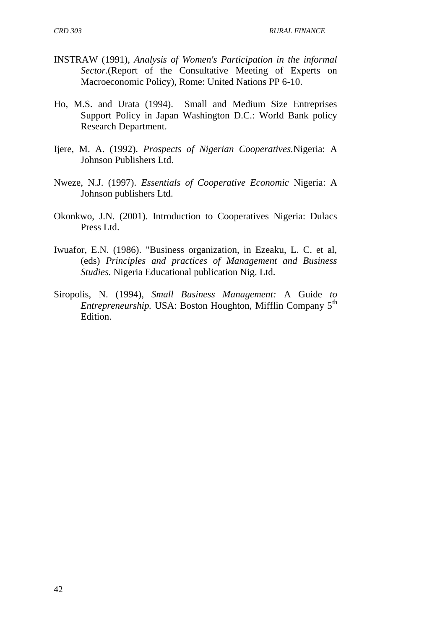- INSTRAW (1991), *Analysis of Women's Participation in the informal Sector.*(Report of the Consultative Meeting of Experts on Macroeconomic Policy), Rome: United Nations PP 6-10.
- Ho, M.S. and Urata (1994). Small and Medium Size Entreprises Support Policy in Japan Washington D.C.: World Bank policy Research Department.
- Ijere, M. A. (1992). *Prospects of Nigerian Cooperatives.*Nigeria: A Johnson Publishers Ltd.
- Nweze, N.J. (1997). *Essentials of Cooperative Economic* Nigeria: A Johnson publishers Ltd.
- Okonkwo, J.N. (2001). Introduction to Cooperatives Nigeria: Dulacs Press Ltd.
- Iwuafor, E.N. (1986). "Business organization, in Ezeaku, L. C. et al, (eds) *Principles and practices of Management and Business Studies.* Nigeria Educational publication Nig. Ltd.
- Siropolis, N. (1994), *Small Business Management:* A Guide *to Entrepreneurship.* USA: Boston Houghton, Mifflin Company 5<sup>th</sup> Edition.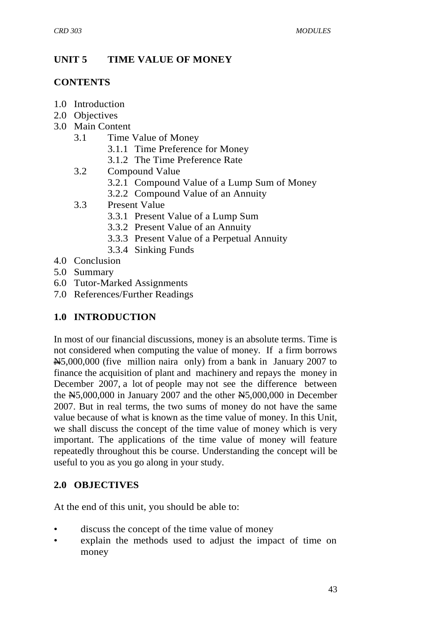# **UNIT 5 TIME VALUE OF MONEY**

### **CONTENTS**

- 1.0 Introduction
- 2.0 Objectives
- 3.0 Main Content
	- 3.1 Time Value of Money
		- 3.1.1 Time Preference for Money
		- 3.1.2 The Time Preference Rate
	- 3.2 Compound Value
		- 3.2.1 Compound Value of a Lump Sum of Money
		- 3.2.2 Compound Value of an Annuity
	- 3.3 Present Value
		- 3.3.1 Present Value of a Lump Sum
		- 3.3.2 Present Value of an Annuity
		- 3.3.3 Present Value of a Perpetual Annuity
		- 3.3.4 Sinking Funds
- 4.0 Conclusion
- 5.0 Summary
- 6.0 Tutor-Marked Assignments
- 7.0 References/Further Readings

# **1.0 INTRODUCTION**

In most of our financial discussions, money is an absolute terms. Time is not considered when computing the value of money. If a firm borrows N5,000,000 (five million naira only) from a bank in January 2007 to finance the acquisition of plant and machinery and repays the money in December 2007, a lot of people may not see the difference between the  $N5,000,000$  in January 2007 and the other  $N5,000,000$  in December 2007. But in real terms, the two sums of money do not have the same value because of what is known as the time value of money. In this Unit, we shall discuss the concept of the time value of money which is very important. The applications of the time value of money will feature repeatedly throughout this be course. Understanding the concept will be useful to you as you go along in your study.

# **2.0 OBJECTIVES**

At the end of this unit, you should be able to:

- discuss the concept of the time value of money
- explain the methods used to adjust the impact of time on money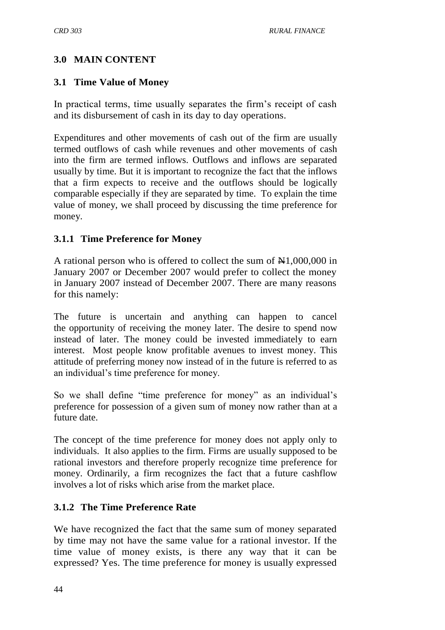# **3.0 MAIN CONTENT**

# **3.1 Time Value of Money**

In practical terms, time usually separates the firm's receipt of cash and its disbursement of cash in its day to day operations.

Expenditures and other movements of cash out of the firm are usually termed outflows of cash while revenues and other movements of cash into the firm are termed inflows. Outflows and inflows are separated usually by time. But it is important to recognize the fact that the inflows that a firm expects to receive and the outflows should be logically comparable especially if they are separated by time. To explain the time value of money, we shall proceed by discussing the time preference for money.

# **3.1.1 Time Preference for Money**

A rational person who is offered to collect the sum of  $\mathbb{N}1,000,000$  in January 2007 or December 2007 would prefer to collect the money in January 2007 instead of December 2007. There are many reasons for this namely:

The future is uncertain and anything can happen to cancel the opportunity of receiving the money later. The desire to spend now instead of later. The money could be invested immediately to earn interest. Most people know profitable avenues to invest money. This attitude of preferring money now instead of in the future is referred to as an individual's time preference for money.

So we shall define "time preference for money" as an individual's preference for possession of a given sum of money now rather than at a future date.

The concept of the time preference for money does not apply only to individuals. It also applies to the firm. Firms are usually supposed to be rational investors and therefore properly recognize time preference for money. Ordinarily, a firm recognizes the fact that a future cashflow involves a lot of risks which arise from the market place.

# **3.1.2 The Time Preference Rate**

We have recognized the fact that the same sum of money separated by time may not have the same value for a rational investor. If the time value of money exists, is there any way that it can be expressed? Yes. The time preference for money is usually expressed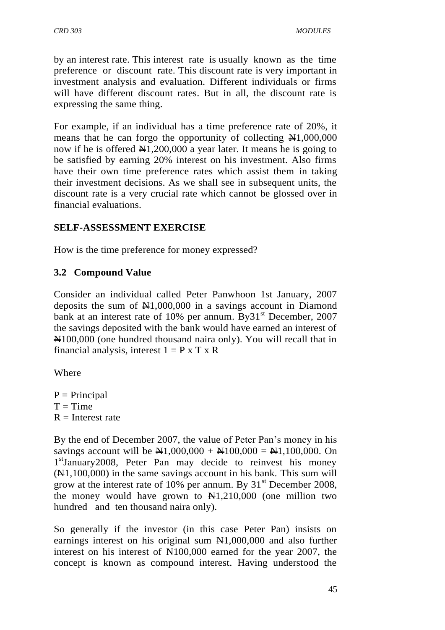by an interest rate. This interest rate is usually known as the time preference or discount rate. This discount rate is very important in investment analysis and evaluation. Different individuals or firms will have different discount rates. But in all, the discount rate is expressing the same thing.

For example, if an individual has a time preference rate of 20%, it means that he can forgo the opportunity of collecting  $\mathbb{H}1,000,000$ now if he is offered  $\mathbb{N}1,200,000$  a year later. It means he is going to be satisfied by earning 20% interest on his investment. Also firms have their own time preference rates which assist them in taking their investment decisions. As we shall see in subsequent units, the discount rate is a very crucial rate which cannot be glossed over in financial evaluations.

### **SELF-ASSESSMENT EXERCISE**

How is the time preference for money expressed?

### **3.2 Compound Value**

Consider an individual called Peter Panwhoon 1st January, 2007 deposits the sum of  $\text{\#}1,000,000$  in a savings account in Diamond bank at an interest rate of 10% per annum. By 31<sup>st</sup> December, 2007 the savings deposited with the bank would have earned an interest of N100,000 (one hundred thousand naira only). You will recall that in financial analysis, interest  $1 = P \times T \times R$ 

Where

 $P = Principal$  $T = Time$  $R =$ Interest rate

By the end of December 2007, the value of Peter Pan's money in his savings account will be  $\text{N1},000,000 + \text{N100},000 = \text{N1},100,000$ . On 1<sup>st</sup>January2008, Peter Pan may decide to reinvest his money  $(\mathbb{N}1,100,000)$  in the same savings account in his bank. This sum will grow at the interest rate of 10% per annum. By  $31<sup>st</sup>$  December 2008, the money would have grown to  $\mathbb{H}1,210,000$  (one million two hundred and ten thousand naira only).

So generally if the investor (in this case Peter Pan) insists on earnings interest on his original sum  $\mathbb{H}1,000,000$  and also further interest on his interest of  $\mathbb{N}100,000$  earned for the year 2007, the concept is known as compound interest. Having understood the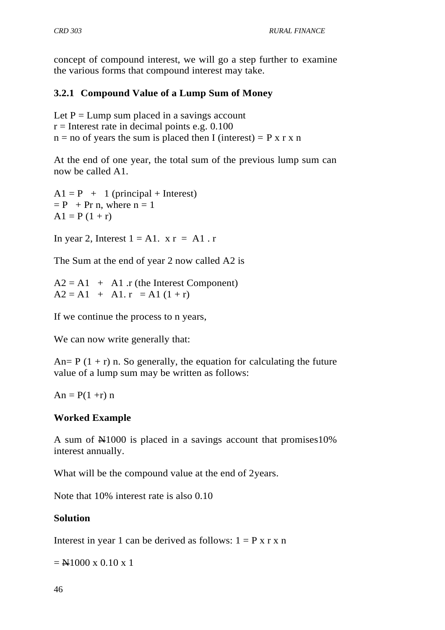concept of compound interest, we will go a step further to examine the various forms that compound interest may take.

# **3.2.1 Compound Value of a Lump Sum of Money**

Let  $P = Lump$  sum placed in a savings account  $r =$ Interest rate in decimal points e.g. 0.100  $n = no$  of years the sum is placed then I (interest) = P x r x n

At the end of one year, the total sum of the previous lump sum can now be called A1.

 $A1 = P + 1$  (principal + Interest)  $= P + Pr n$ , where  $n = 1$  $A1 = P(1 + r)$ 

In year 2, Interest  $1 = A1$ .  $x r = A1$ . r

The Sum at the end of year 2 now called A2 is

 $A2 = A1 + A1$ . r (the Interest Component)  $A2 = A1 + A1. r = A1 (1 + r)$ 

If we continue the process to n years,

We can now write generally that:

An=  $P(1 + r)$  n. So generally, the equation for calculating the future value of a lump sum may be written as follows:

 $An = P(1 + r) n$ 

# **Worked Example**

A sum of N1000 is placed in a savings account that promises10% interest annually.

What will be the compound value at the end of 2years.

Note that 10% interest rate is also 0.10

# **Solution**

Interest in year 1 can be derived as follows:  $1 = P x r x n$ 

 $=$  N1000 x 0.10 x 1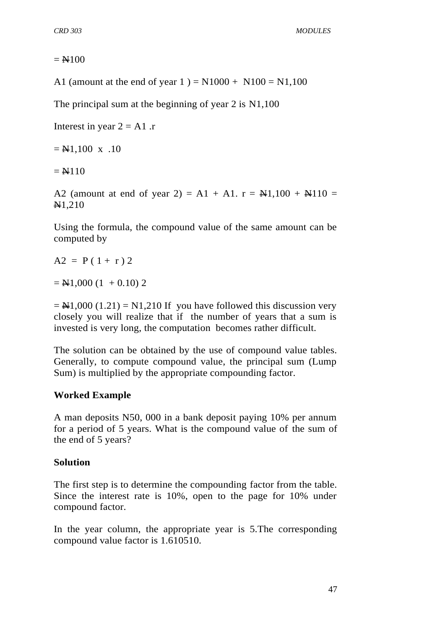*CRD 303 MODULES*

#### $=$  N100

A1 (amount at the end of year 1) =  $N1000 + N100 = N1,100$ 

The principal sum at the beginning of year 2 is N1,100

Interest in year  $2 = A1$ .

 $=$  N1,100 x .10

 $= N110$ 

A2 (amount at end of year 2) = A1 + A1.  $r = \frac{N+1}{100} + \frac{N+10}{100} =$ N1,210

Using the formula, the compound value of the same amount can be computed by

$$
A2 = P(1+r) 2
$$

 $=$  N1,000 (1 + 0.10) 2

 $=$  N1,000 (1.21) = N1,210 If you have followed this discussion very closely you will realize that if the number of years that a sum is invested is very long, the computation becomes rather difficult.

The solution can be obtained by the use of compound value tables. Generally, to compute compound value, the principal sum (Lump Sum) is multiplied by the appropriate compounding factor.

### **Worked Example**

A man deposits N50, 000 in a bank deposit paying 10% per annum for a period of 5 years. What is the compound value of the sum of the end of 5 years?

#### **Solution**

The first step is to determine the compounding factor from the table. Since the interest rate is 10%, open to the page for 10% under compound factor.

In the year column, the appropriate year is 5.The corresponding compound value factor is 1.610510.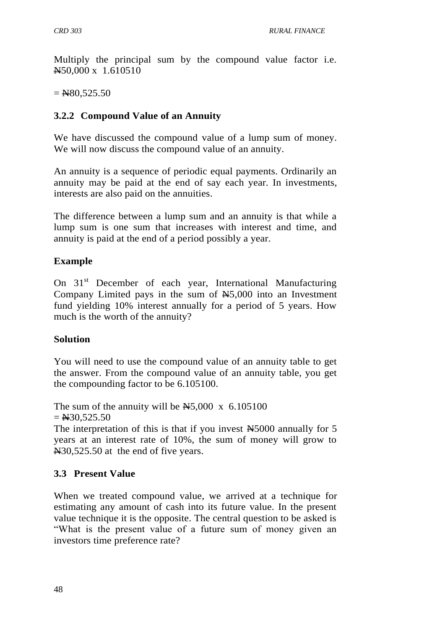Multiply the principal sum by the compound value factor i.e. N50,000 x 1.610510

 $=$  N80,525.50

# **3.2.2 Compound Value of an Annuity**

We have discussed the compound value of a lump sum of money. We will now discuss the compound value of an annuity.

An annuity is a sequence of periodic equal payments. Ordinarily an annuity may be paid at the end of say each year. In investments, interests are also paid on the annuities.

The difference between a lump sum and an annuity is that while a lump sum is one sum that increases with interest and time, and annuity is paid at the end of a period possibly a year.

### **Example**

On 31<sup>st</sup> December of each year, International Manufacturing Company Limited pays in the sum of  $H<sub>5</sub>,000$  into an Investment fund yielding 10% interest annually for a period of 5 years. How much is the worth of the annuity?

### **Solution**

You will need to use the compound value of an annuity table to get the answer. From the compound value of an annuity table, you get the compounding factor to be 6.105100.

The sum of the annuity will be  $\text{A}5,000 \times 6.105100$  $=$  N30.525.50 The interpretation of this is that if you invest  $\overline{N}$  = 5000 annually for 5 years at an interest rate of 10%, the sum of money will grow to

# **3.3 Present Value**

N30,525.50 at the end of five years.

When we treated compound value, we arrived at a technique for estimating any amount of cash into its future value. In the present value technique it is the opposite. The central question to be asked is "What is the present value of a future sum of money given an investors time preference rate?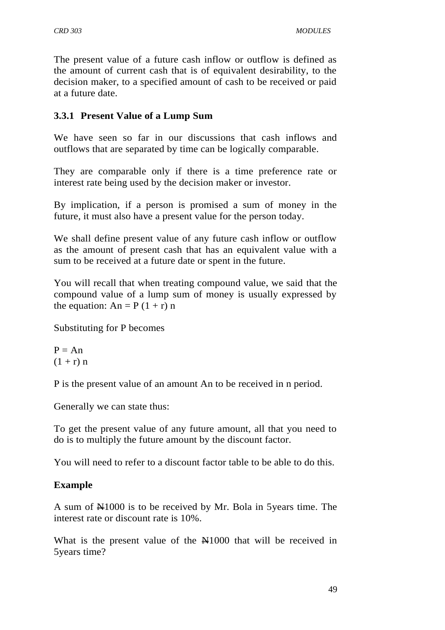The present value of a future cash inflow or outflow is defined as the amount of current cash that is of equivalent desirability, to the decision maker, to a specified amount of cash to be received or paid at a future date.

### **3.3.1 Present Value of a Lump Sum**

We have seen so far in our discussions that cash inflows and outflows that are separated by time can be logically comparable.

They are comparable only if there is a time preference rate or interest rate being used by the decision maker or investor.

By implication, if a person is promised a sum of money in the future, it must also have a present value for the person today.

We shall define present value of any future cash inflow or outflow as the amount of present cash that has an equivalent value with a sum to be received at a future date or spent in the future.

You will recall that when treating compound value, we said that the compound value of a lump sum of money is usually expressed by the equation:  $An = P(1 + r)n$ 

Substituting for P becomes

 $P = An$  $(1 + r) n$ 

P is the present value of an amount An to be received in n period.

Generally we can state thus:

To get the present value of any future amount, all that you need to do is to multiply the future amount by the discount factor.

You will need to refer to a discount factor table to be able to do this.

### **Example**

A sum of N1000 is to be received by Mr. Bola in 5years time. The interest rate or discount rate is 10%.

What is the present value of the N1000 that will be received in 5years time?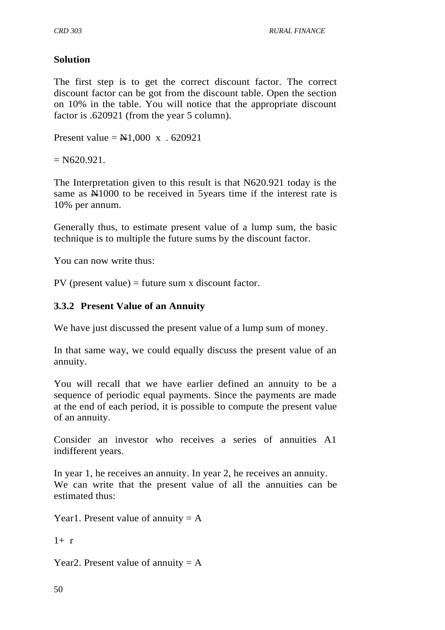### **Solution**

The first step is to get the correct discount factor. The correct discount factor can be got from the discount table. Open the section on 10% in the table. You will notice that the appropriate discount factor is .620921 (from the year 5 column).

Present value =  $\text{H}1,000 \text{ x}$ . 620921

 $= N620.921.$ 

The Interpretation given to this result is that N620.921 today is the same as  $\mathbb{H}1000$  to be received in 5 years time if the interest rate is 10% per annum.

Generally thus, to estimate present value of a lump sum, the basic technique is to multiple the future sums by the discount factor.

You can now write thus:

PV (present value) = future sum x discount factor.

### **3.3.2 Present Value of an Annuity**

We have just discussed the present value of a lump sum of money.

In that same way, we could equally discuss the present value of an annuity.

You will recall that we have earlier defined an annuity to be a sequence of periodic equal payments. Since the payments are made at the end of each period, it is possible to compute the present value of an annuity.

Consider an investor who receives a series of annuities A1 indifferent years.

In year 1, he receives an annuity. In year 2, he receives an annuity. We can write that the present value of all the annuities can be estimated thus:

Year1. Present value of annuity  $= A$ 

 $1 + r$ 

Year2. Present value of annuity  $= A$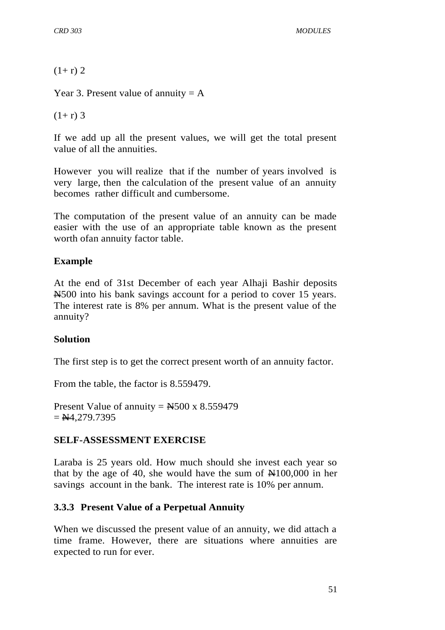*CRD 303 MODULES*

 $(1+r)$  2

Year 3. Present value of annuity  $= A$ 

 $(1+r)$  3

If we add up all the present values, we will get the total present value of all the annuities.

However you will realize that if the number of years involved is very large, then the calculation of the present value of an annuity becomes rather difficult and cumbersome.

The computation of the present value of an annuity can be made easier with the use of an appropriate table known as the present worth ofan annuity factor table.

### **Example**

At the end of 31st December of each year Alhaji Bashir deposits N500 into his bank savings account for a period to cover 15 years. The interest rate is 8% per annum. What is the present value of the annuity?

### **Solution**

The first step is to get the correct present worth of an annuity factor.

From the table, the factor is 8.559479.

Present Value of annuity =  $\text{H}_2$ 500 x 8.559479  $=$  N4,279.7395

### **SELF-ASSESSMENT EXERCISE**

Laraba is 25 years old. How much should she invest each year so that by the age of 40, she would have the sum of  $\mathbb{N}100,000$  in her savings account in the bank. The interest rate is 10% per annum.

### **3.3.3 Present Value of a Perpetual Annuity**

When we discussed the present value of an annuity, we did attach a time frame. However, there are situations where annuities are expected to run for ever.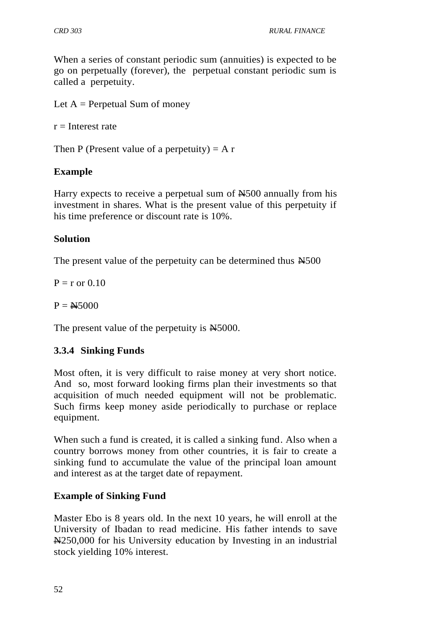When a series of constant periodic sum (annuities) is expected to be go on perpetually (forever), the perpetual constant periodic sum is called a perpetuity.

Let  $A =$  Perpetual Sum of money

 $r =$ Interest rate

Then P (Present value of a perpetuity)  $= A r$ 

# **Example**

Harry expects to receive a perpetual sum of  $\text{\#}500$  annually from his investment in shares. What is the present value of this perpetuity if his time preference or discount rate is 10%.

### **Solution**

The present value of the perpetuity can be determined thus  $\text{N}500$ 

 $P = r$  or 0.10

 $P = N5000$ 

The present value of the perpetuity is  $\text{N5000}$ .

# **3.3.4 Sinking Funds**

Most often, it is very difficult to raise money at very short notice. And so, most forward looking firms plan their investments so that acquisition of much needed equipment will not be problematic. Such firms keep money aside periodically to purchase or replace equipment.

When such a fund is created, it is called a sinking fund. Also when a country borrows money from other countries, it is fair to create a sinking fund to accumulate the value of the principal loan amount and interest as at the target date of repayment.

# **Example of Sinking Fund**

Master Ebo is 8 years old. In the next 10 years, he will enroll at the University of Ibadan to read medicine. His father intends to save N250,000 for his University education by Investing in an industrial stock yielding 10% interest.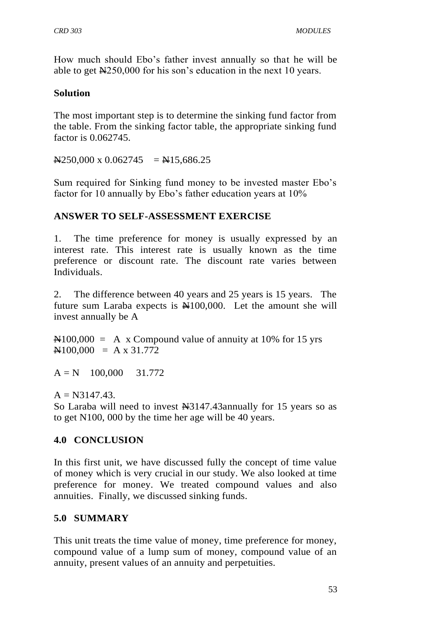How much should Ebo's father invest annually so that he will be able to get N250,000 for his son's education in the next 10 years.

### **Solution**

The most important step is to determine the sinking fund factor from the table. From the sinking factor table, the appropriate sinking fund factor is 0.062745.

 $N250,000 \times 0.062745 = N15,686.25$ 

Sum required for Sinking fund money to be invested master Ebo's factor for 10 annually by Ebo's father education years at 10%

# **ANSWER TO SELF-ASSESSMENT EXERCISE**

1. The time preference for money is usually expressed by an interest rate. This interest rate is usually known as the time preference or discount rate. The discount rate varies between Individuals.

2. The difference between 40 years and 25 years is 15 years. The future sum Laraba expects is  $\mathbb{N}100,000$ . Let the amount she will invest annually be A

 $\text{N}100,000 = A \times$  Compound value of annuity at 10% for 15 yrs  $\mathbf{N}100,000 = \mathbf{A} \times 31.772$ 

 $A = N$  100,000 31.772

 $A = N3147.43.$ 

So Laraba will need to invest  $\frac{13147.43 \text{annually}}{201}$  for 15 years so as to get N100, 000 by the time her age will be 40 years.

# **4.0 CONCLUSION**

In this first unit, we have discussed fully the concept of time value of money which is very crucial in our study. We also looked at time preference for money. We treated compound values and also annuities. Finally, we discussed sinking funds.

### **5.0 SUMMARY**

This unit treats the time value of money, time preference for money, compound value of a lump sum of money, compound value of an annuity, present values of an annuity and perpetuities.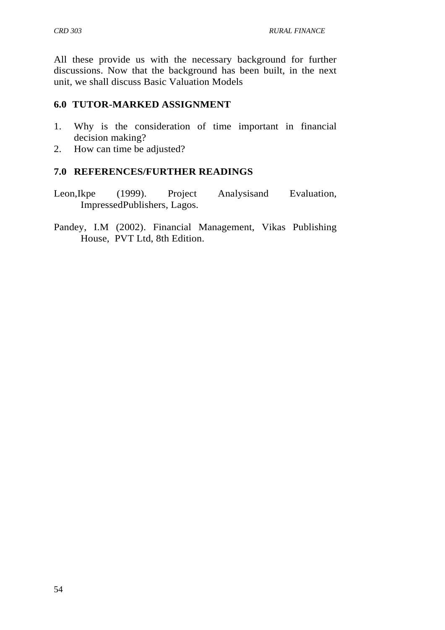All these provide us with the necessary background for further discussions. Now that the background has been built, in the next unit, we shall discuss Basic Valuation Models

### **6.0 TUTOR-MARKED ASSIGNMENT**

- 1. Why is the consideration of time important in financial decision making?
- 2. How can time be adjusted?

### **7.0 REFERENCES/FURTHER READINGS**

- Leon,Ikpe (1999). Project Analysisand Evaluation, ImpressedPublishers, Lagos.
- Pandey, I.M (2002). Financial Management, Vikas Publishing House, PVT Ltd, 8th Edition.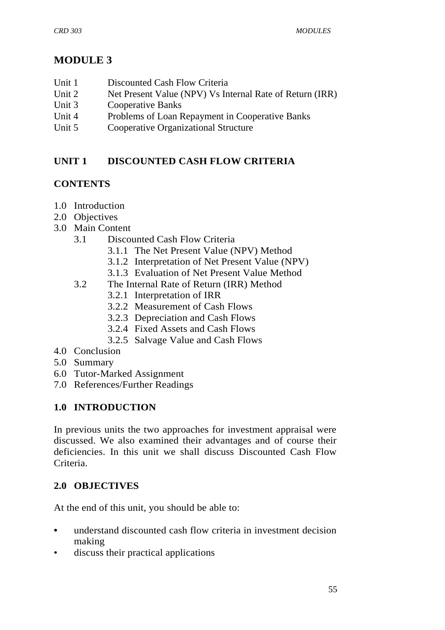# **MODULE 3**

- Unit 1 Discounted Cash Flow Criteria
- Unit 2 Net Present Value (NPV) Vs Internal Rate of Return (IRR)
- Unit 3 Cooperative Banks
- Unit 4 Problems of Loan Repayment in Cooperative Banks
- Unit 5 Cooperative Organizational Structure

# **UNIT 1 DISCOUNTED CASH FLOW CRITERIA**

# **CONTENTS**

- 1.0 Introduction
- 2.0 Objectives
- 3.0 Main Content
	- 3.1 Discounted Cash Flow Criteria
		- 3.1.1 The Net Present Value (NPV) Method
		- 3.1.2 Interpretation of Net Present Value (NPV)
		- 3.1.3 Evaluation of Net Present Value Method
	- 3.2 The Internal Rate of Return (IRR) Method
		- 3.2.1 Interpretation of IRR
		- 3.2.2 Measurement of Cash Flows
		- 3.2.3 Depreciation and Cash Flows
		- 3.2.4 Fixed Assets and Cash Flows
		- 3.2.5 Salvage Value and Cash Flows
- 4.0 Conclusion
- 5.0 Summary
- 6.0 Tutor-Marked Assignment
- 7.0 References/Further Readings

# **1.0 INTRODUCTION**

In previous units the two approaches for investment appraisal were discussed. We also examined their advantages and of course their deficiencies. In this unit we shall discuss Discounted Cash Flow Criteria.

# **2.0 OBJECTIVES**

At the end of this unit, you should be able to:

- understand discounted cash flow criteria in investment decision making
- discuss their practical applications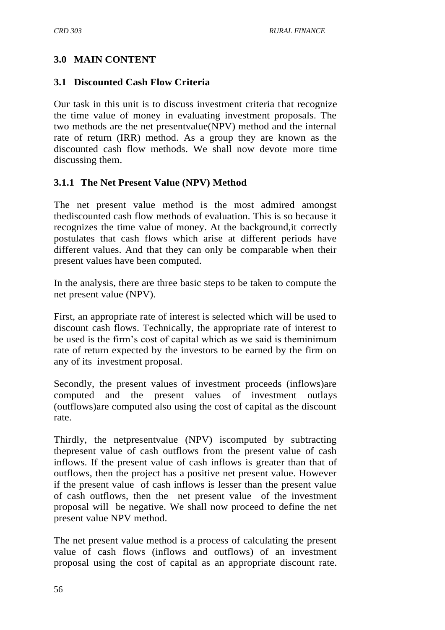### **3.0 MAIN CONTENT**

#### **3.1 Discounted Cash Flow Criteria**

Our task in this unit is to discuss investment criteria that recognize the time value of money in evaluating investment proposals. The two methods are the net presentvalue(NPV) method and the internal rate of return (IRR) method. As a group they are known as the discounted cash flow methods. We shall now devote more time discussing them.

#### **3.1.1 The Net Present Value (NPV) Method**

The net present value method is the most admired amongst thediscounted cash flow methods of evaluation. This is so because it recognizes the time value of money. At the background,it correctly postulates that cash flows which arise at different periods have different values. And that they can only be comparable when their present values have been computed.

In the analysis, there are three basic steps to be taken to compute the net present value (NPV).

First, an appropriate rate of interest is selected which will be used to discount cash flows. Technically, the appropriate rate of interest to be used is the firm's cost of capital which as we said is theminimum rate of return expected by the investors to be earned by the firm on any of its investment proposal.

Secondly, the present values of investment proceeds (inflows)are computed and the present values of investment outlays (outflows)are computed also using the cost of capital as the discount rate.

Thirdly, the netpresentvalue (NPV) iscomputed by subtracting thepresent value of cash outflows from the present value of cash inflows. If the present value of cash inflows is greater than that of outflows, then the project has a positive net present value. However if the present value of cash inflows is lesser than the present value of cash outflows, then the net present value of the investment proposal will be negative. We shall now proceed to define the net present value NPV method.

The net present value method is a process of calculating the present value of cash flows (inflows and outflows) of an investment proposal using the cost of capital as an appropriate discount rate.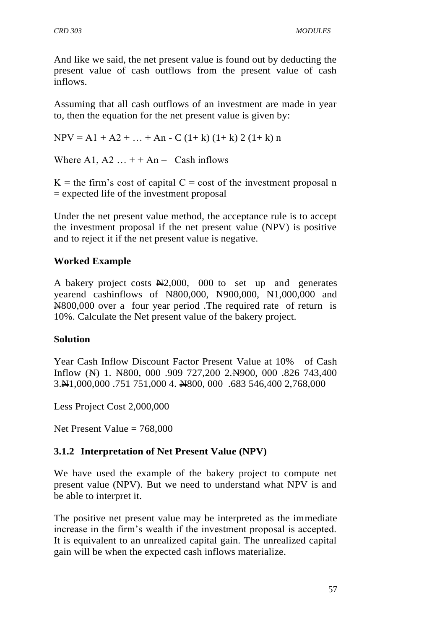And like we said, the net present value is found out by deducting the present value of cash outflows from the present value of cash inflows.

Assuming that all cash outflows of an investment are made in year to, then the equation for the net present value is given by:

 $NPV = A1 + A2 + ... + An - C (1 + k) (1 + k) 2 (1 + k) n$ 

Where A1, A2  $\dots$  + + An = Cash inflows

 $K =$  the firm's cost of capital  $C =$  cost of the investment proposal n = expected life of the investment proposal

Under the net present value method, the acceptance rule is to accept the investment proposal if the net present value (NPV) is positive and to reject it if the net present value is negative.

### **Worked Example**

A bakery project costs  $\frac{N2,000}{N}$ , 000 to set up and generates yearend cashinflows of N800,000, N900,000, N1,000,000 and N800,000 over a four year period .The required rate of return is 10%. Calculate the Net present value of the bakery project.

# **Solution**

Year Cash Inflow Discount Factor Present Value at 10% of Cash Inflow ( $\leftrightarrow$ ) 1.  $\leftrightarrow$  800, 000 .909 727, 200 2. $\leftrightarrow$  900, 000 .826 743, 400 3.N1,000,000 .751 751,000 4. N800, 000 .683 546,400 2,768,000

Less Project Cost 2,000,000

Net Present Value  $= 768,000$ 

# **3.1.2 Interpretation of Net Present Value (NPV)**

We have used the example of the bakery project to compute net present value (NPV). But we need to understand what NPV is and be able to interpret it.

The positive net present value may be interpreted as the immediate increase in the firm's wealth if the investment proposal is accepted. It is equivalent to an unrealized capital gain. The unrealized capital gain will be when the expected cash inflows materialize.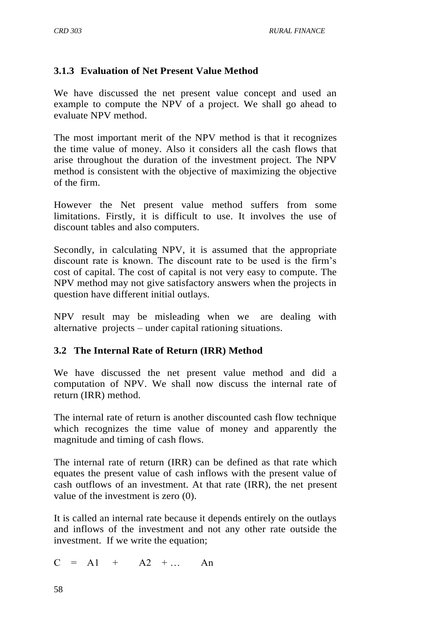### **3.1.3 Evaluation of Net Present Value Method**

We have discussed the net present value concept and used an example to compute the NPV of a project. We shall go ahead to evaluate NPV method.

The most important merit of the NPV method is that it recognizes the time value of money. Also it considers all the cash flows that arise throughout the duration of the investment project. The NPV method is consistent with the objective of maximizing the objective of the firm.

However the Net present value method suffers from some limitations. Firstly, it is difficult to use. It involves the use of discount tables and also computers.

Secondly, in calculating NPV, it is assumed that the appropriate discount rate is known. The discount rate to be used is the firm's cost of capital. The cost of capital is not very easy to compute. The NPV method may not give satisfactory answers when the projects in question have different initial outlays.

NPV result may be misleading when we are dealing with alternative projects – under capital rationing situations.

### **3.2 The Internal Rate of Return (IRR) Method**

We have discussed the net present value method and did a computation of NPV. We shall now discuss the internal rate of return (IRR) method.

The internal rate of return is another discounted cash flow technique which recognizes the time value of money and apparently the magnitude and timing of cash flows.

The internal rate of return (IRR) can be defined as that rate which equates the present value of cash inflows with the present value of cash outflows of an investment. At that rate (IRR), the net present value of the investment is zero (0).

It is called an internal rate because it depends entirely on the outlays and inflows of the investment and not any other rate outside the investment. If we write the equation;

 $C = A1 + A2 + ...$  An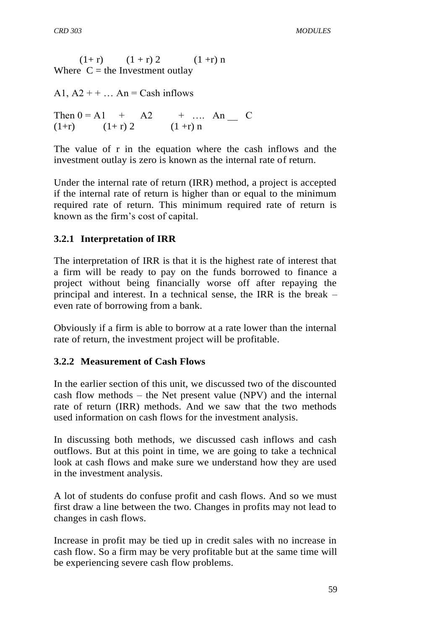$(1+r)$   $(1 + r) 2$   $(1 + r) n$ Where  $C =$  the Investment outlay

A1,  $A2 + + \dots$  An = Cash inflows

Then  $0 = A1 + A2 + ...$  An C  $(1+r)$   $(1+r) 2$   $(1 + r) n$ 

The value of r in the equation where the cash inflows and the investment outlay is zero is known as the internal rate of return.

Under the internal rate of return (IRR) method, a project is accepted if the internal rate of return is higher than or equal to the minimum required rate of return. This minimum required rate of return is known as the firm's cost of capital.

### **3.2.1 Interpretation of IRR**

The interpretation of IRR is that it is the highest rate of interest that a firm will be ready to pay on the funds borrowed to finance a project without being financially worse off after repaying the principal and interest. In a technical sense, the IRR is the break – even rate of borrowing from a bank.

Obviously if a firm is able to borrow at a rate lower than the internal rate of return, the investment project will be profitable.

### **3.2.2 Measurement of Cash Flows**

In the earlier section of this unit, we discussed two of the discounted cash flow methods – the Net present value (NPV) and the internal rate of return (IRR) methods. And we saw that the two methods used information on cash flows for the investment analysis.

In discussing both methods, we discussed cash inflows and cash outflows. But at this point in time, we are going to take a technical look at cash flows and make sure we understand how they are used in the investment analysis.

A lot of students do confuse profit and cash flows. And so we must first draw a line between the two. Changes in profits may not lead to changes in cash flows.

Increase in profit may be tied up in credit sales with no increase in cash flow. So a firm may be very profitable but at the same time will be experiencing severe cash flow problems.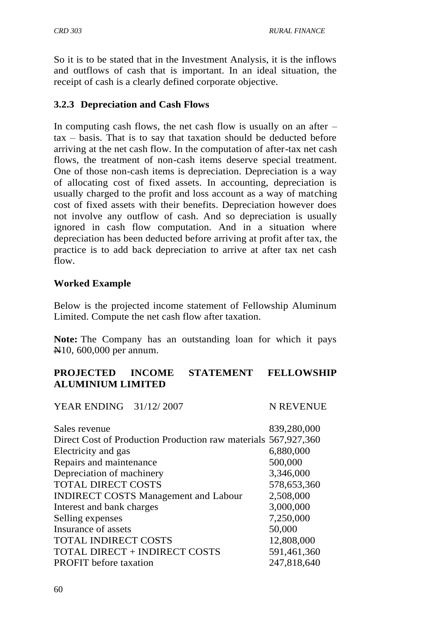So it is to be stated that in the Investment Analysis, it is the inflows and outflows of cash that is important. In an ideal situation, the receipt of cash is a clearly defined corporate objective.

### **3.2.3 Depreciation and Cash Flows**

In computing cash flows, the net cash flow is usually on an after  $$ tax – basis. That is to say that taxation should be deducted before arriving at the net cash flow. In the computation of after-tax net cash flows, the treatment of non-cash items deserve special treatment. One of those non-cash items is depreciation. Depreciation is a way of allocating cost of fixed assets. In accounting, depreciation is usually charged to the profit and loss account as a way of matching cost of fixed assets with their benefits. Depreciation however does not involve any outflow of cash. And so depreciation is usually ignored in cash flow computation. And in a situation where depreciation has been deducted before arriving at profit after tax, the practice is to add back depreciation to arrive at after tax net cash flow.

### **Worked Example**

Below is the projected income statement of Fellowship Aluminum Limited. Compute the net cash flow after taxation.

**Note:** The Company has an outstanding loan for which it pays N10, 600,000 per annum.

### **PROJECTED INCOME STATEMENT FELLOWSHIP ALUMINIUM LIMITED**

YEAR ENDING 31/12/2007 N REVENUE

| Sales revenue                                                  | 839,280,000 |
|----------------------------------------------------------------|-------------|
| Direct Cost of Production Production raw materials 567,927,360 |             |
| Electricity and gas                                            | 6,880,000   |
| Repairs and maintenance                                        | 500,000     |
| Depreciation of machinery                                      | 3,346,000   |
| <b>TOTAL DIRECT COSTS</b>                                      | 578,653,360 |
| <b>INDIRECT COSTS Management and Labour</b>                    | 2,508,000   |
| Interest and bank charges                                      | 3,000,000   |
| Selling expenses                                               | 7,250,000   |
| Insurance of assets                                            | 50,000      |
| <b>TOTAL INDIRECT COSTS</b>                                    | 12,808,000  |
| <b>TOTAL DIRECT + INDIRECT COSTS</b>                           | 591,461,360 |
| <b>PROFIT</b> before taxation                                  | 247,818,640 |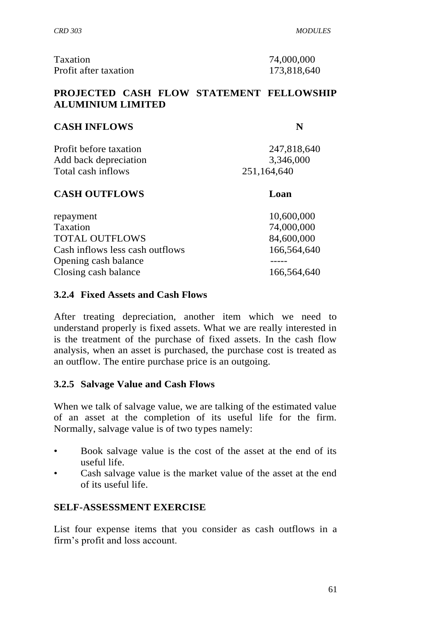*CRD 303 MODULES*

| Taxation              |  |
|-----------------------|--|
| Profit after taxation |  |

74,000,000 173,818,640

# **PROJECTED CASH FLOW STATEMENT FELLOWSHIP ALUMINIUM LIMITED**

# **CASH INFLOWS N**

Profit before taxation 247,818,640 Add back depreciation 3,346,000 Total cash inflows 251,164,640

# **CASH OUTFLOWS Loan**

repayment 10,600,000 Taxation 74,000,000 TOTAL OUTFLOWS 84,600,000 Cash inflows less cash outflows 166,564,640 Opening cash balance -----Closing cash balance 166,564,640

# **3.2.4 Fixed Assets and Cash Flows**

After treating depreciation, another item which we need to understand properly is fixed assets. What we are really interested in is the treatment of the purchase of fixed assets. In the cash flow analysis, when an asset is purchased, the purchase cost is treated as an outflow. The entire purchase price is an outgoing.

# **3.2.5 Salvage Value and Cash Flows**

When we talk of salvage value, we are talking of the estimated value of an asset at the completion of its useful life for the firm. Normally, salvage value is of two types namely:

- Book salvage value is the cost of the asset at the end of its useful life.
- Cash salvage value is the market value of the asset at the end of its useful life.

# **SELF-ASSESSMENT EXERCISE**

List four expense items that you consider as cash outflows in a firm's profit and loss account.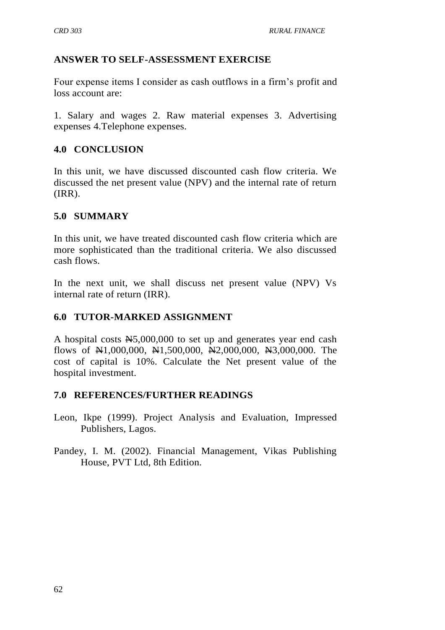# **ANSWER TO SELF-ASSESSMENT EXERCISE**

Four expense items I consider as cash outflows in a firm's profit and loss account are:

1. Salary and wages 2. Raw material expenses 3. Advertising expenses 4.Telephone expenses.

### **4.0 CONCLUSION**

In this unit, we have discussed discounted cash flow criteria. We discussed the net present value (NPV) and the internal rate of return (IRR).

### **5.0 SUMMARY**

In this unit, we have treated discounted cash flow criteria which are more sophisticated than the traditional criteria. We also discussed cash flows.

In the next unit, we shall discuss net present value (NPV) Vs internal rate of return (IRR).

### **6.0 TUTOR-MARKED ASSIGNMENT**

A hospital costs N5,000,000 to set up and generates year end cash flows of  $\mathbb{H}1,000,000$ ,  $\mathbb{H}1,500,000$ ,  $\mathbb{H}2,000,000$ ,  $\mathbb{H}3,000,000$ . The cost of capital is 10%. Calculate the Net present value of the hospital investment.

### **7.0 REFERENCES/FURTHER READINGS**

- Leon, Ikpe (1999). Project Analysis and Evaluation, Impressed Publishers, Lagos.
- Pandey, I. M. (2002). Financial Management, Vikas Publishing House, PVT Ltd, 8th Edition.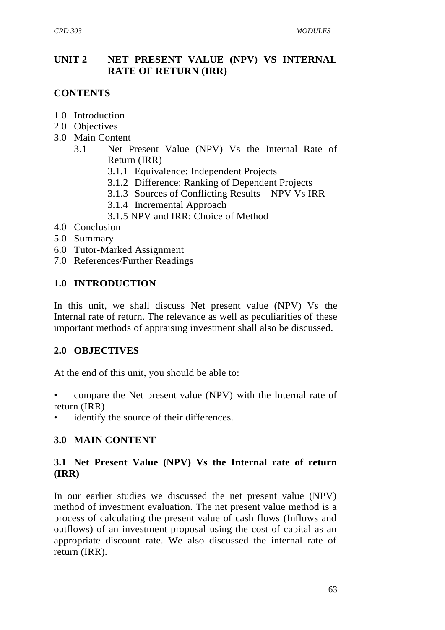### **UNIT 2 NET PRESENT VALUE (NPV) VS INTERNAL RATE OF RETURN (IRR)**

# **CONTENTS**

- 1.0 Introduction
- 2.0 Objectives
- 3.0 Main Content
	- 3.1 Net Present Value (NPV) Vs the Internal Rate of Return (IRR)
		- 3.1.1 Equivalence: Independent Projects
		- 3.1.2 Difference: Ranking of Dependent Projects
		- 3.1.3 Sources of Conflicting Results NPV Vs IRR
		- 3.1.4 Incremental Approach
		- 3.1.5 NPV and IRR: Choice of Method
- 4.0 Conclusion
- 5.0 Summary
- 6.0 Tutor-Marked Assignment
- 7.0 References/Further Readings

# **1.0 INTRODUCTION**

In this unit, we shall discuss Net present value (NPV) Vs the Internal rate of return. The relevance as well as peculiarities of these important methods of appraising investment shall also be discussed.

# **2.0 OBJECTIVES**

At the end of this unit, you should be able to:

- compare the Net present value (NPV) with the Internal rate of return (IRR)
- identify the source of their differences.

# **3.0 MAIN CONTENT**

### **3.1 Net Present Value (NPV) Vs the Internal rate of return (IRR)**

In our earlier studies we discussed the net present value (NPV) method of investment evaluation. The net present value method is a process of calculating the present value of cash flows (Inflows and outflows) of an investment proposal using the cost of capital as an appropriate discount rate. We also discussed the internal rate of return (IRR).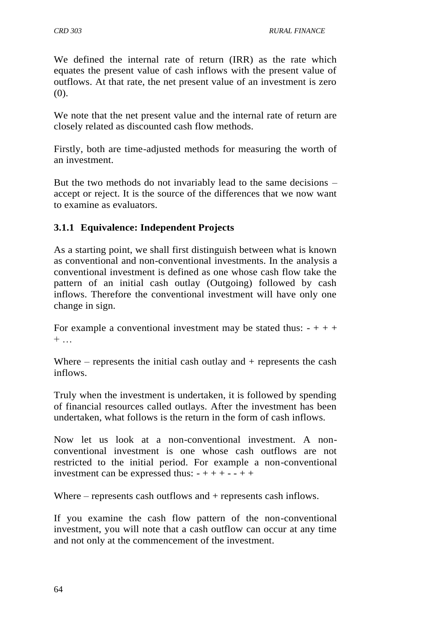We defined the internal rate of return (IRR) as the rate which equates the present value of cash inflows with the present value of outflows. At that rate, the net present value of an investment is zero (0).

We note that the net present value and the internal rate of return are closely related as discounted cash flow methods.

Firstly, both are time-adjusted methods for measuring the worth of an investment.

But the two methods do not invariably lead to the same decisions – accept or reject. It is the source of the differences that we now want to examine as evaluators.

# **3.1.1 Equivalence: Independent Projects**

As a starting point, we shall first distinguish between what is known as conventional and non-conventional investments. In the analysis a conventional investment is defined as one whose cash flow take the pattern of an initial cash outlay (Outgoing) followed by cash inflows. Therefore the conventional investment will have only one change in sign.

For example a conventional investment may be stated thus:  $- + + +$  $+ \ldots$ 

Where – represents the initial cash outlay and  $+$  represents the cash inflows.

Truly when the investment is undertaken, it is followed by spending of financial resources called outlays. After the investment has been undertaken, what follows is the return in the form of cash inflows.

Now let us look at a non-conventional investment. A nonconventional investment is one whose cash outflows are not restricted to the initial period. For example a non-conventional investment can be expressed thus:  $- + + - - + +$ 

Where – represents cash outflows and + represents cash inflows.

If you examine the cash flow pattern of the non-conventional investment, you will note that a cash outflow can occur at any time and not only at the commencement of the investment.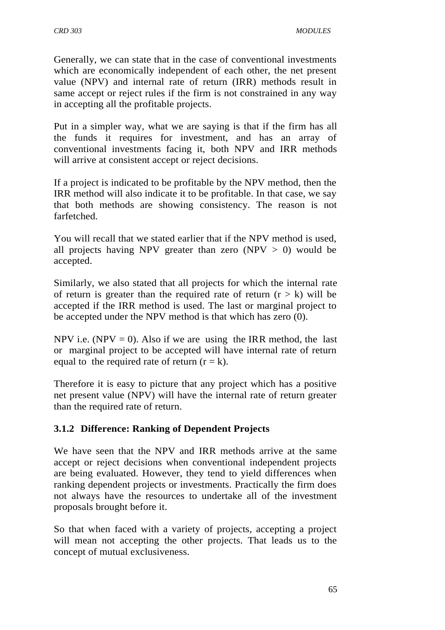Generally, we can state that in the case of conventional investments which are economically independent of each other, the net present value (NPV) and internal rate of return (IRR) methods result in same accept or reject rules if the firm is not constrained in any way in accepting all the profitable projects.

Put in a simpler way, what we are saying is that if the firm has all the funds it requires for investment, and has an array of conventional investments facing it, both NPV and IRR methods will arrive at consistent accept or reject decisions.

If a project is indicated to be profitable by the NPV method, then the IRR method will also indicate it to be profitable. In that case, we say that both methods are showing consistency. The reason is not farfetched.

You will recall that we stated earlier that if the NPV method is used, all projects having NPV greater than zero (NPV  $> 0$ ) would be accepted.

Similarly, we also stated that all projects for which the internal rate of return is greater than the required rate of return  $(r > k)$  will be accepted if the IRR method is used. The last or marginal project to be accepted under the NPV method is that which has zero (0).

NPV i.e. (NPV = 0). Also if we are using the IRR method, the last or marginal project to be accepted will have internal rate of return equal to the required rate of return  $(r = k)$ .

Therefore it is easy to picture that any project which has a positive net present value (NPV) will have the internal rate of return greater than the required rate of return.

# **3.1.2 Difference: Ranking of Dependent Projects**

We have seen that the NPV and IRR methods arrive at the same accept or reject decisions when conventional independent projects are being evaluated. However, they tend to yield differences when ranking dependent projects or investments. Practically the firm does not always have the resources to undertake all of the investment proposals brought before it.

So that when faced with a variety of projects, accepting a project will mean not accepting the other projects. That leads us to the concept of mutual exclusiveness.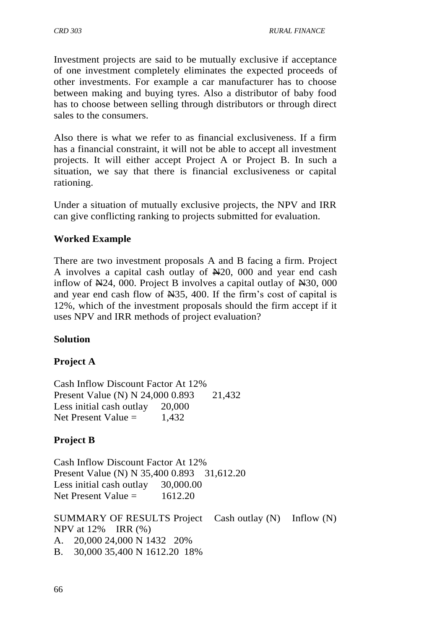Investment projects are said to be mutually exclusive if acceptance of one investment completely eliminates the expected proceeds of other investments. For example a car manufacturer has to choose between making and buying tyres. Also a distributor of baby food has to choose between selling through distributors or through direct sales to the consumers.

Also there is what we refer to as financial exclusiveness. If a firm has a financial constraint, it will not be able to accept all investment projects. It will either accept Project A or Project B. In such a situation, we say that there is financial exclusiveness or capital rationing.

Under a situation of mutually exclusive projects, the NPV and IRR can give conflicting ranking to projects submitted for evaluation.

# **Worked Example**

There are two investment proposals A and B facing a firm. Project A involves a capital cash outlay of  $\mathbb{N}20$ , 000 and year end cash inflow of  $\mathbb{N}24$ , 000. Project B involves a capital outlay of  $\mathbb{N}30$ , 000 and year end cash flow of N35, 400. If the firm's cost of capital is 12%, which of the investment proposals should the firm accept if it uses NPV and IRR methods of project evaluation?

# **Solution**

# **Project A**

Cash Inflow Discount Factor At 12% Present Value (N) N 24,000 0.893 21,432 Less initial cash outlay 20,000 Net Present Value  $=$  1,432

# **Project B**

Cash Inflow Discount Factor At 12% Present Value (N) N 35,400 0.893 31,612.20 Less initial cash outlay 30,000.00 Net Present Value  $=$  1612.20

SUMMARY OF RESULTS Project Cash outlay (N) Inflow (N) NPV at 12% IRR (%) A. 20,000 24,000 N 1432 20% B. 30,000 35,400 N 1612.20 18%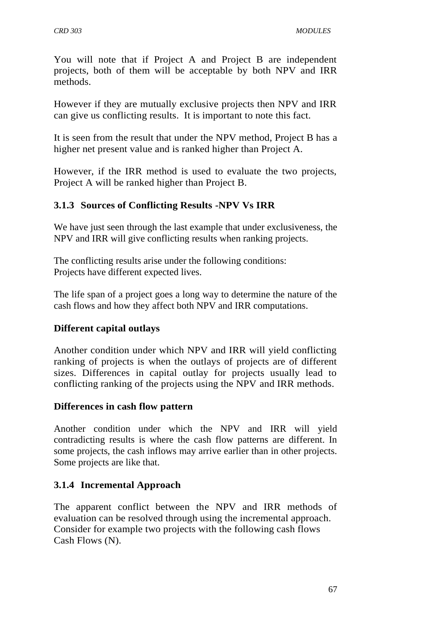You will note that if Project A and Project B are independent projects, both of them will be acceptable by both NPV and IRR methods.

However if they are mutually exclusive projects then NPV and IRR can give us conflicting results. It is important to note this fact.

It is seen from the result that under the NPV method, Project B has a higher net present value and is ranked higher than Project A.

However, if the IRR method is used to evaluate the two projects, Project A will be ranked higher than Project B.

# **3.1.3 Sources of Conflicting Results -NPV Vs IRR**

We have just seen through the last example that under exclusiveness, the NPV and IRR will give conflicting results when ranking projects.

The conflicting results arise under the following conditions: Projects have different expected lives.

The life span of a project goes a long way to determine the nature of the cash flows and how they affect both NPV and IRR computations.

### **Different capital outlays**

Another condition under which NPV and IRR will yield conflicting ranking of projects is when the outlays of projects are of different sizes. Differences in capital outlay for projects usually lead to conflicting ranking of the projects using the NPV and IRR methods.

### **Differences in cash flow pattern**

Another condition under which the NPV and IRR will yield contradicting results is where the cash flow patterns are different. In some projects, the cash inflows may arrive earlier than in other projects. Some projects are like that.

# **3.1.4 Incremental Approach**

The apparent conflict between the NPV and IRR methods of evaluation can be resolved through using the incremental approach. Consider for example two projects with the following cash flows Cash Flows (N).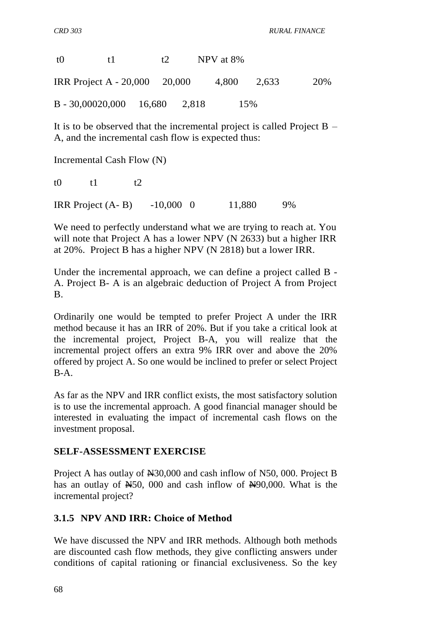| f()                                 | f L | $+2$ | NPV at 8% |       |     |
|-------------------------------------|-----|------|-----------|-------|-----|
| IRR Project A - 20,000 20,000       |     |      | 4,800     | 2.633 | 20% |
| $B - 30,00020,000$ $16,680$ $2,818$ |     |      | 15%       |       |     |

It is to be observed that the incremental project is called Project  $B -$ A, and the incremental cash flow is expected thus:

Incremental Cash Flow (N)

t0  $t1$   $t2$ 

IRR Project (A- B) -10,000 0 11,880 9%

We need to perfectly understand what we are trying to reach at. You will note that Project A has a lower NPV (N 2633) but a higher IRR at 20%. Project B has a higher NPV (N 2818) but a lower IRR.

Under the incremental approach, we can define a project called B - A. Project B- A is an algebraic deduction of Project A from Project B.

Ordinarily one would be tempted to prefer Project A under the IRR method because it has an IRR of 20%. But if you take a critical look at the incremental project, Project B-A, you will realize that the incremental project offers an extra 9% IRR over and above the 20% offered by project A. So one would be inclined to prefer or select Project B-A.

As far as the NPV and IRR conflict exists, the most satisfactory solution is to use the incremental approach. A good financial manager should be interested in evaluating the impact of incremental cash flows on the investment proposal.

### **SELF-ASSESSMENT EXERCISE**

Project A has outlay of N30,000 and cash inflow of N50, 000. Project B has an outlay of N50, 000 and cash inflow of N90,000. What is the incremental project?

### **3.1.5 NPV AND IRR: Choice of Method**

We have discussed the NPV and IRR methods. Although both methods are discounted cash flow methods, they give conflicting answers under conditions of capital rationing or financial exclusiveness. So the key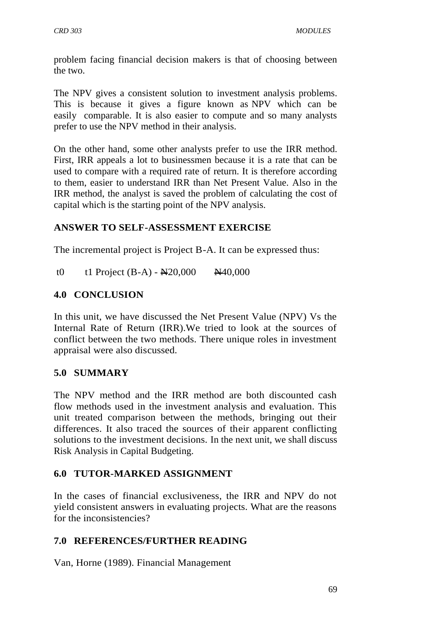problem facing financial decision makers is that of choosing between the two.

The NPV gives a consistent solution to investment analysis problems. This is because it gives a figure known as NPV which can be easily comparable. It is also easier to compute and so many analysts prefer to use the NPV method in their analysis.

On the other hand, some other analysts prefer to use the IRR method. First, IRR appeals a lot to businessmen because it is a rate that can be used to compare with a required rate of return. It is therefore according to them, easier to understand IRR than Net Present Value. Also in the IRR method, the analyst is saved the problem of calculating the cost of capital which is the starting point of the NPV analysis.

### **ANSWER TO SELF-ASSESSMENT EXERCISE**

The incremental project is Project B-A. It can be expressed thus:

t0 t1 Project  $(B-A) - \frac{N20,000}{N40,000}$ 

### **4.0 CONCLUSION**

In this unit, we have discussed the Net Present Value (NPV) Vs the Internal Rate of Return (IRR).We tried to look at the sources of conflict between the two methods. There unique roles in investment appraisal were also discussed.

### **5.0 SUMMARY**

The NPV method and the IRR method are both discounted cash flow methods used in the investment analysis and evaluation. This unit treated comparison between the methods, bringing out their differences. It also traced the sources of their apparent conflicting solutions to the investment decisions. In the next unit, we shall discuss Risk Analysis in Capital Budgeting.

### **6.0 TUTOR-MARKED ASSIGNMENT**

In the cases of financial exclusiveness, the IRR and NPV do not yield consistent answers in evaluating projects. What are the reasons for the inconsistencies?

### **7.0 REFERENCES/FURTHER READING**

Van, Horne (1989). Financial Management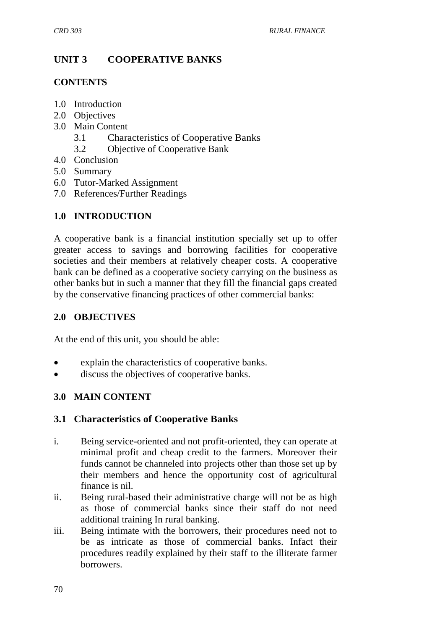# **UNIT 3 COOPERATIVE BANKS**

### **CONTENTS**

- 1.0 Introduction
- 2.0 Objectives
- 3.0 Main Content
	- 3.1 Characteristics of Cooperative Banks
	- 3.2 Objective of Cooperative Bank
- 4.0 Conclusion
- 5.0 Summary
- 6.0 Tutor-Marked Assignment
- 7.0 References/Further Readings

# **1.0 INTRODUCTION**

A cooperative bank is a financial institution specially set up to offer greater access to savings and borrowing facilities for cooperative societies and their members at relatively cheaper costs. A cooperative bank can be defined as a cooperative society carrying on the business as other banks but in such a manner that they fill the financial gaps created by the conservative financing practices of other commercial banks:

# **2.0 OBJECTIVES**

At the end of this unit, you should be able:

- explain the characteristics of cooperative banks.
- discuss the objectives of cooperative banks.

# **3.0 MAIN CONTENT**

### **3.1 Characteristics of Cooperative Banks**

- i. Being service-oriented and not profit-oriented, they can operate at minimal profit and cheap credit to the farmers. Moreover their funds cannot be channeled into projects other than those set up by their members and hence the opportunity cost of agricultural finance is nil.
- ii. Being rural-based their administrative charge will not be as high as those of commercial banks since their staff do not need additional training In rural banking.
- iii. Being intimate with the borrowers, their procedures need not to be as intricate as those of commercial banks. Infact their procedures readily explained by their staff to the illiterate farmer borrowers.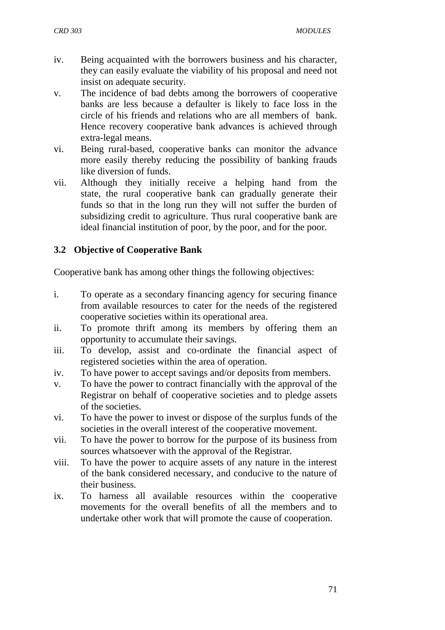- iv. Being acquainted with the borrowers business and his character, they can easily evaluate the viability of his proposal and need not insist on adequate security.
- v. The incidence of bad debts among the borrowers of cooperative banks are less because a defaulter is likely to face loss in the circle of his friends and relations who are all members of bank. Hence recovery cooperative bank advances is achieved through extra-legal means.
- vi. Being rural-based, cooperative banks can monitor the advance more easily thereby reducing the possibility of banking frauds like diversion of funds.
- vii. Although they initially receive a helping hand from the state, the rural cooperative bank can gradually generate their funds so that in the long run they will not suffer the burden of subsidizing credit to agriculture. Thus rural cooperative bank are ideal financial institution of poor, by the poor, and for the poor.

# **3.2 Objective of Cooperative Bank**

Cooperative bank has among other things the following objectives:

- i. To operate as a secondary financing agency for securing finance from available resources to cater for the needs of the registered cooperative societies within its operational area.
- ii. To promote thrift among its members by offering them an opportunity to accumulate their savings.
- iii. To develop, assist and co-ordinate the financial aspect of registered societies within the area of operation.
- iv. To have power to accept savings and/or deposits from members.
- v. To have the power to contract financially with the approval of the Registrar on behalf of cooperative societies and to pledge assets of the societies.
- vi. To have the power to invest or dispose of the surplus funds of the societies in the overall interest of the cooperative movement.
- vii. To have the power to borrow for the purpose of its business from sources whatsoever with the approval of the Registrar.
- viii. To have the power to acquire assets of any nature in the interest of the bank considered necessary, and conducive to the nature of their business.
- ix. To harness all available resources within the cooperative movements for the overall benefits of all the members and to undertake other work that will promote the cause of cooperation.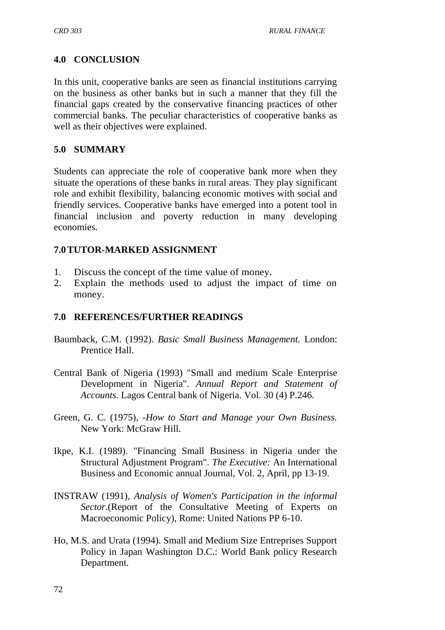# **4.0 CONCLUSION**

In this unit, cooperative banks are seen as financial institutions carrying on the business as other banks but in such a manner that they fill the financial gaps created by the conservative financing practices of other commercial banks. The peculiar characteristics of cooperative banks as well as their objectives were explained.

### **5.0 SUMMARY**

Students can appreciate the role of cooperative bank more when they situate the operations of these banks in rural areas. They play significant role and exhibit flexibility, balancing economic motives with social and friendly services. Cooperative banks have emerged into a potent tool in financial inclusion and poverty reduction in many developing economies.

# **7.0TUTOR-MARKED ASSIGNMENT**

- 1. Discuss the concept of the time value of money.
- 2. Explain the methods used to adjust the impact of time on money.

# **7.0 REFERENCES/FURTHER READINGS**

- Baumback, C.M. (1992). *Basic Small Business Management.* London: Prentice Hall.
- Central Bank of Nigeria (1993) "Small and medium Scale Enterprise Development in Nigeria". *Annual Report and Statement of Accounts.* Lagos Central bank of Nigeria. Vol. 30 (4) P.246.
- Green, G. C. (1975), *-How to Start and Manage your Own Business.*  New York: McGraw Hill.
- Ikpe, K.I. (1989). "Financing Small Business in Nigeria under the Structural Adjustment Program". *The Executive:* An International Business and Economic annual Journal, Vol. 2, April, pp 13-19.
- INSTRAW (1991), *Analysis of Women's Participation in the informal Sector.*(Report of the Consultative Meeting of Experts on Macroeconomic Policy), Rome: United Nations PP 6-10.
- Ho, M.S. and Urata (1994). Small and Medium Size Entreprises Support Policy in Japan Washington D.C.: World Bank policy Research Department.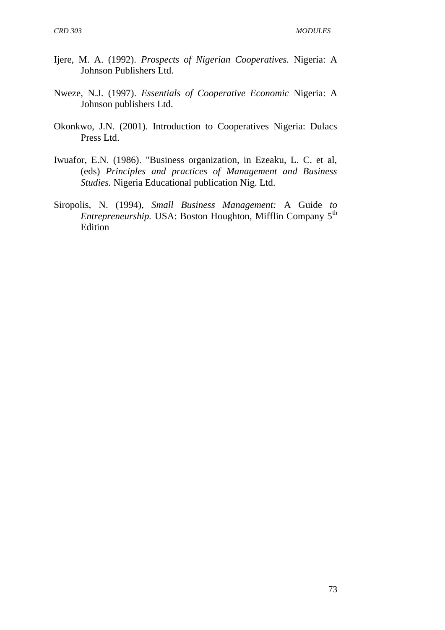- Ijere, M. A. (1992). *Prospects of Nigerian Cooperatives.* Nigeria: A Johnson Publishers Ltd.
- Nweze, N.J. (1997). *Essentials of Cooperative Economic* Nigeria: A Johnson publishers Ltd.
- Okonkwo, J.N. (2001). Introduction to Cooperatives Nigeria: Dulacs Press Ltd.
- Iwuafor, E.N. (1986). "Business organization, in Ezeaku, L. C. et al, (eds) *Principles and practices of Management and Business Studies.* Nigeria Educational publication Nig. Ltd.
- Siropolis, N. (1994), *Small Business Management:* A Guide *to Entrepreneurship.* USA: Boston Houghton, Mifflin Company 5th Edition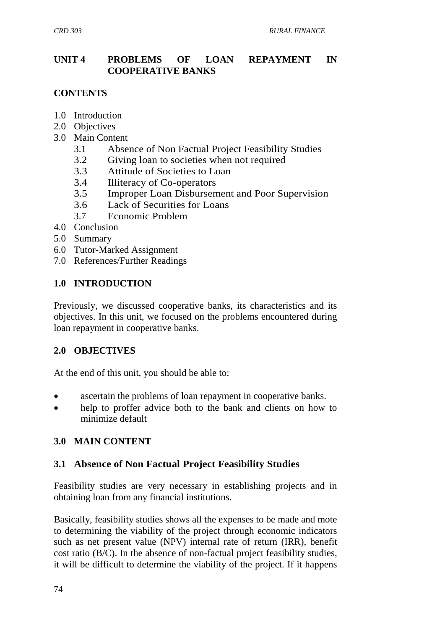### **UNIT 4 PROBLEMS OF LOAN REPAYMENT IN COOPERATIVE BANKS**

### **CONTENTS**

- 1.0 Introduction
- 2.0 Objectives
- 3.0 Main Content
	- 3.1 Absence of Non Factual Project Feasibility Studies
	- 3.2 Giving loan to societies when not required
	- 3.3 Attitude of Societies to Loan
	- 3.4 Illiteracy of Co-operators
	- 3.5 Improper Loan Disbursement and Poor Supervision
	- 3.6 Lack of Securities for Loans
	- 3.7 Economic Problem
- 4.0 Conclusion
- 5.0 Summary
- 6.0 Tutor-Marked Assignment
- 7.0 References/Further Readings

### **1.0 INTRODUCTION**

Previously, we discussed cooperative banks, its characteristics and its objectives. In this unit, we focused on the problems encountered during loan repayment in cooperative banks.

### **2.0 OBJECTIVES**

At the end of this unit, you should be able to:

- ascertain the problems of loan repayment in cooperative banks.
- help to proffer advice both to the bank and clients on how to minimize default

### **3.0 MAIN CONTENT**

### **3.1 Absence of Non Factual Project Feasibility Studies**

Feasibility studies are very necessary in establishing projects and in obtaining loan from any financial institutions.

Basically, feasibility studies shows all the expenses to be made and mote to determining the viability of the project through economic indicators such as net present value (NPV) internal rate of return (IRR), benefit cost ratio (B/C). In the absence of non-factual project feasibility studies, it will be difficult to determine the viability of the project. If it happens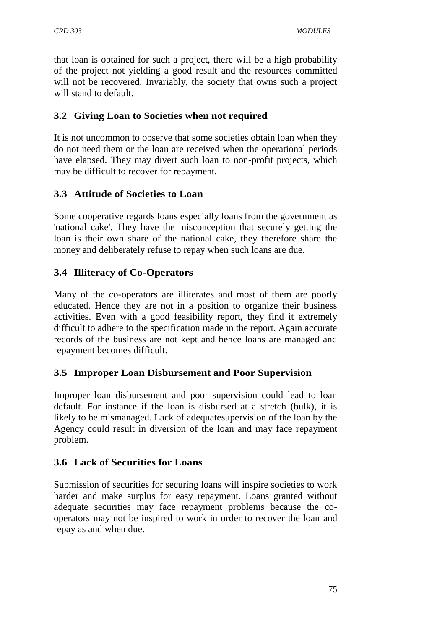that loan is obtained for such a project, there will be a high probability of the project not yielding a good result and the resources committed will not be recovered. Invariably, the society that owns such a project will stand to default.

### **3.2 Giving Loan to Societies when not required**

It is not uncommon to observe that some societies obtain loan when they do not need them or the loan are received when the operational periods have elapsed. They may divert such loan to non-profit projects, which may be difficult to recover for repayment.

# **3.3 Attitude of Societies to Loan**

Some cooperative regards loans especially loans from the government as 'national cake'. They have the misconception that securely getting the loan is their own share of the national cake, they therefore share the money and deliberately refuse to repay when such loans are due.

# **3.4 Illiteracy of Co-Operators**

Many of the co-operators are illiterates and most of them are poorly educated. Hence they are not in a position to organize their business activities. Even with a good feasibility report, they find it extremely difficult to adhere to the specification made in the report. Again accurate records of the business are not kept and hence loans are managed and repayment becomes difficult.

# **3.5 Improper Loan Disbursement and Poor Supervision**

Improper loan disbursement and poor supervision could lead to loan default. For instance if the loan is disbursed at a stretch (bulk), it is likely to be mismanaged. Lack of adequatesupervision of the loan by the Agency could result in diversion of the loan and may face repayment problem.

# **3.6 Lack of Securities for Loans**

Submission of securities for securing loans will inspire societies to work harder and make surplus for easy repayment. Loans granted without adequate securities may face repayment problems because the cooperators may not be inspired to work in order to recover the loan and repay as and when due.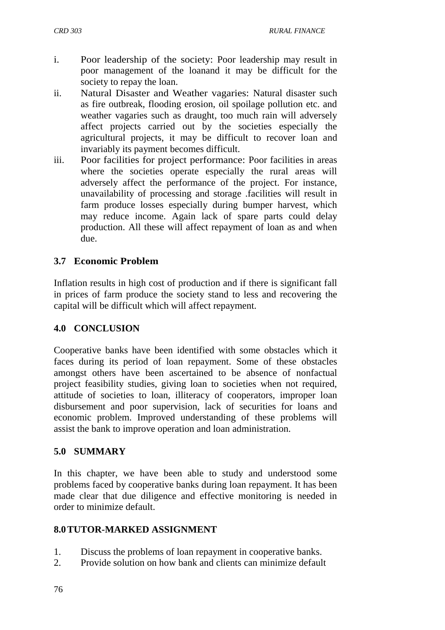- i. Poor leadership of the society: Poor leadership may result in poor management of the loanand it may be difficult for the society to repay the loan.
- ii. Natural Disaster and Weather vagaries: Natural disaster such as fire outbreak, flooding erosion, oil spoilage pollution etc. and weather vagaries such as draught, too much rain will adversely affect projects carried out by the societies especially the agricultural projects, it may be difficult to recover loan and invariably its payment becomes difficult.
- iii. Poor facilities for project performance: Poor facilities in areas where the societies operate especially the rural areas will adversely affect the performance of the project. For instance, unavailability of processing and storage .facilities will result in farm produce losses especially during bumper harvest, which may reduce income. Again lack of spare parts could delay production. All these will affect repayment of loan as and when due.

### **3.7 Economic Problem**

Inflation results in high cost of production and if there is significant fall in prices of farm produce the society stand to less and recovering the capital will be difficult which will affect repayment.

### **4.0 CONCLUSION**

Cooperative banks have been identified with some obstacles which it faces during its period of loan repayment. Some of these obstacles amongst others have been ascertained to be absence of nonfactual project feasibility studies, giving loan to societies when not required, attitude of societies to loan, illiteracy of cooperators, improper loan disbursement and poor supervision, lack of securities for loans and economic problem. Improved understanding of these problems will assist the bank to improve operation and loan administration.

### **5.0 SUMMARY**

In this chapter, we have been able to study and understood some problems faced by cooperative banks during loan repayment. It has been made clear that due diligence and effective monitoring is needed in order to minimize default.

### **8.0TUTOR-MARKED ASSIGNMENT**

- 1. Discuss the problems of loan repayment in cooperative banks.
- 2. Provide solution on how bank and clients can minimize default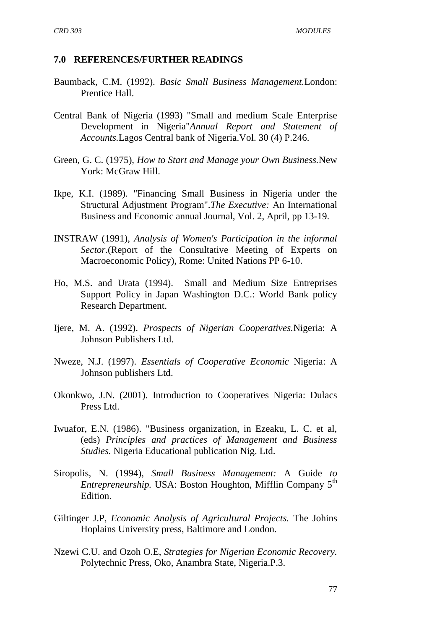#### **7.0 REFERENCES/FURTHER READINGS**

- Baumback, C.M. (1992). *Basic Small Business Management.*London: Prentice Hall.
- Central Bank of Nigeria (1993) "Small and medium Scale Enterprise Development in Nigeria"*Annual Report and Statement of Accounts.*Lagos Central bank of Nigeria.Vol. 30 (4) P.246.
- Green, G. C. (1975), *How to Start and Manage your Own Business.*New York: McGraw Hill.
- Ikpe, K.I. (1989). "Financing Small Business in Nigeria under the Structural Adjustment Program".*The Executive:* An International Business and Economic annual Journal, Vol. 2, April, pp 13-19.
- INSTRAW (1991), *Analysis of Women's Participation in the informal Sector.*(Report of the Consultative Meeting of Experts on Macroeconomic Policy), Rome: United Nations PP 6-10.
- Ho, M.S. and Urata (1994). Small and Medium Size Entreprises Support Policy in Japan Washington D.C.: World Bank policy Research Department.
- Ijere, M. A. (1992). *Prospects of Nigerian Cooperatives.*Nigeria: A Johnson Publishers Ltd.
- Nweze, N.J. (1997). *Essentials of Cooperative Economic* Nigeria: A Johnson publishers Ltd.
- Okonkwo, J.N. (2001). Introduction to Cooperatives Nigeria: Dulacs Press Ltd.
- Iwuafor, E.N. (1986). "Business organization, in Ezeaku, L. C. et al, (eds) *Principles and practices of Management and Business Studies.* Nigeria Educational publication Nig. Ltd.
- Siropolis, N. (1994), *Small Business Management:* A Guide *to Entrepreneurship.* USA: Boston Houghton, Mifflin Company 5<sup>th</sup> Edition.
- Giltinger J.P, *Economic Analysis of Agricultural Projects.* The Johins Hoplains University press, Baltimore and London.
- Nzewi C.U. and Ozoh O.E, *Strategies for Nigerian Economic Recovery.* Polytechnic Press, Oko, Anambra State, Nigeria.P.3.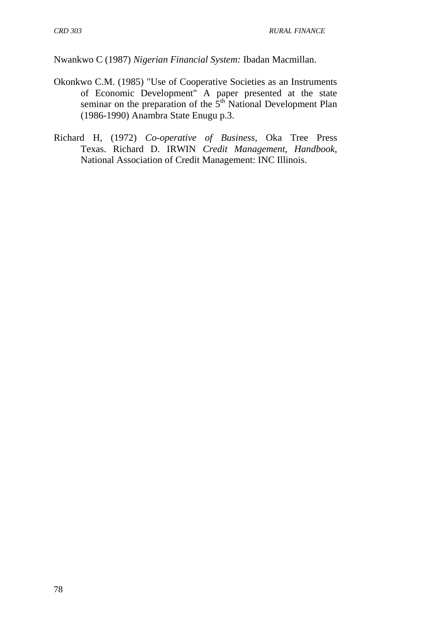Nwankwo C (1987) *Nigerian Financial System:* Ibadan Macmillan.

- Okonkwo C.M. (1985) "Use of Cooperative Societies as an Instruments of Economic Development" A paper presented at the state seminar on the preparation of the  $5<sup>th</sup>$  National Development Plan (1986-1990) Anambra State Enugu p.3.
- Richard H, (1972) *Co-operative of Business,* Oka Tree Press Texas. Richard D. IRWIN *Credit Management, Handbook,*  National Association of Credit Management: INC Illinois.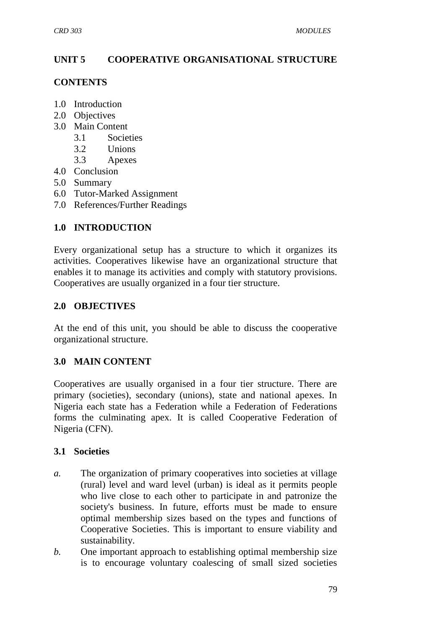# **UNIT 5 COOPERATIVE ORGANISATIONAL STRUCTURE**

### **CONTENTS**

- 1.0 Introduction
- 2.0 Objectives
- 3.0 Main Content
	- 3.1 Societies
	- 3.2 Unions
	- 3.3 Apexes
- 4.0 Conclusion
- 5.0 Summary
- 6.0 Tutor-Marked Assignment
- 7.0 References/Further Readings

# **1.0 INTRODUCTION**

Every organizational setup has a structure to which it organizes its activities. Cooperatives likewise have an organizational structure that enables it to manage its activities and comply with statutory provisions. Cooperatives are usually organized in a four tier structure.

# **2.0 OBJECTIVES**

At the end of this unit, you should be able to discuss the cooperative organizational structure.

# **3.0 MAIN CONTENT**

Cooperatives are usually organised in a four tier structure. There are primary (societies), secondary (unions), state and national apexes. In Nigeria each state has a Federation while a Federation of Federations forms the culminating apex. It is called Cooperative Federation of Nigeria (CFN).

# **3.1 Societies**

- *a.* The organization of primary cooperatives into societies at village (rural) level and ward level (urban) is ideal as it permits people who live close to each other to participate in and patronize the society's business. In future, efforts must be made to ensure optimal membership sizes based on the types and functions of Cooperative Societies. This is important to ensure viability and sustainability.
- *b.* One important approach to establishing optimal membership size is to encourage voluntary coalescing of small sized societies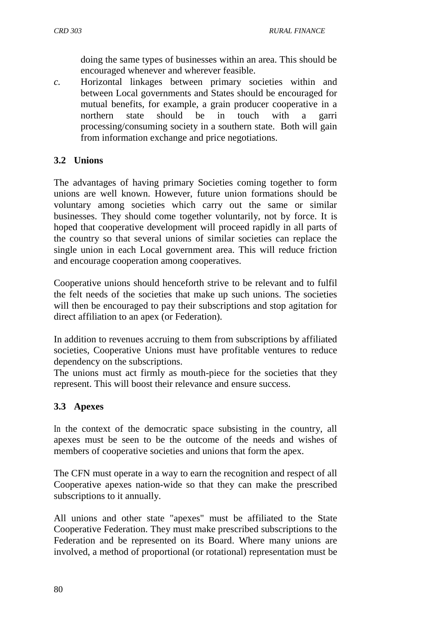doing the same types of businesses within an area. This should be encouraged whenever and wherever feasible.

*c.* Horizontal linkages between primary societies within and between Local governments and States should be encouraged for mutual benefits, for example, a grain producer cooperative in a northern state should be in touch with a garri processing/consuming society in a southern state. Both will gain from information exchange and price negotiations.

# **3.2 Unions**

The advantages of having primary Societies coming together to form unions are well known. However, future union formations should be voluntary among societies which carry out the same or similar businesses. They should come together voluntarily, not by force. It is hoped that cooperative development will proceed rapidly in all parts of the country so that several unions of similar societies can replace the single union in each Local government area. This will reduce friction and encourage cooperation among cooperatives.

Cooperative unions should henceforth strive to be relevant and to fulfil the felt needs of the societies that make up such unions. The societies will then be encouraged to pay their subscriptions and stop agitation for direct affiliation to an apex (or Federation).

In addition to revenues accruing to them from subscriptions by affiliated societies, Cooperative Unions must have profitable ventures to reduce dependency on the subscriptions.

The unions must act firmly as mouth-piece for the societies that they represent. This will boost their relevance and ensure success.

# **3.3 Apexes**

In the context of the democratic space subsisting in the country, all apexes must be seen to be the outcome of the needs and wishes of members of cooperative societies and unions that form the apex.

The CFN must operate in a way to earn the recognition and respect of all Cooperative apexes nation-wide so that they can make the prescribed subscriptions to it annually.

All unions and other state "apexes" must be affiliated to the State Cooperative Federation. They must make prescribed subscriptions to the Federation and be represented on its Board. Where many unions are involved, a method of proportional (or rotational) representation must be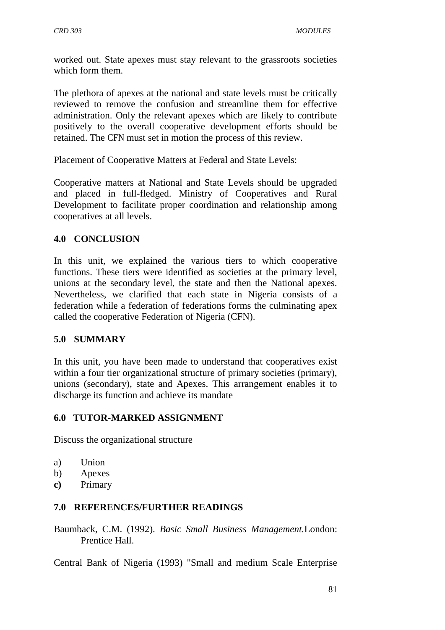worked out. State apexes must stay relevant to the grassroots societies which form them.

The plethora of apexes at the national and state levels must be critically reviewed to remove the confusion and streamline them for effective administration. Only the relevant apexes which are likely to contribute positively to the overall cooperative development efforts should be retained. The CFN must set in motion the process of this review.

Placement of Cooperative Matters at Federal and State Levels:

Cooperative matters at National and State Levels should be upgraded and placed in full-fledged. Ministry of Cooperatives and Rural Development to facilitate proper coordination and relationship among cooperatives at all levels.

#### **4.0 CONCLUSION**

In this unit, we explained the various tiers to which cooperative functions. These tiers were identified as societies at the primary level, unions at the secondary level, the state and then the National apexes. Nevertheless, we clarified that each state in Nigeria consists of a federation while a federation of federations forms the culminating apex called the cooperative Federation of Nigeria (CFN).

### **5.0 SUMMARY**

In this unit, you have been made to understand that cooperatives exist within a four tier organizational structure of primary societies (primary), unions (secondary), state and Apexes. This arrangement enables it to discharge its function and achieve its mandate

#### **6.0 TUTOR-MARKED ASSIGNMENT**

Discuss the organizational structure

- a) Union
- b) Apexes
- **c)** Primary

#### **7.0 REFERENCES/FURTHER READINGS**

Baumback, C.M. (1992). *Basic Small Business Management.*London: Prentice Hall.

Central Bank of Nigeria (1993) "Small and medium Scale Enterprise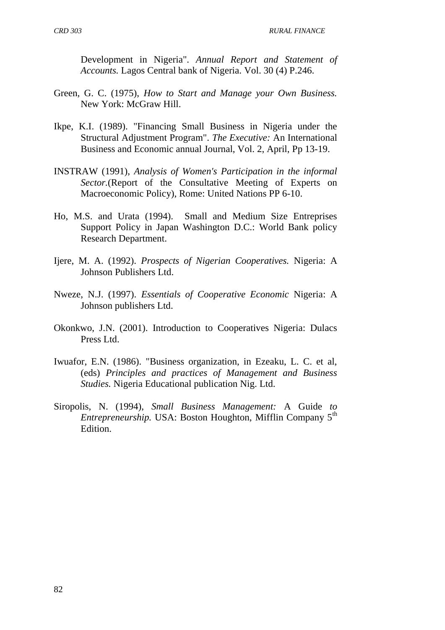Development in Nigeria". *Annual Report and Statement of Accounts.* Lagos Central bank of Nigeria. Vol. 30 (4) P.246.

- Green, G. C. (1975), *How to Start and Manage your Own Business.* New York: McGraw Hill.
- Ikpe, K.I. (1989). "Financing Small Business in Nigeria under the Structural Adjustment Program". *The Executive:* An International Business and Economic annual Journal, Vol. 2, April, Pp 13-19.
- INSTRAW (1991), *Analysis of Women's Participation in the informal Sector.*(Report of the Consultative Meeting of Experts on Macroeconomic Policy), Rome: United Nations PP 6-10.
- Ho, M.S. and Urata (1994). Small and Medium Size Entreprises Support Policy in Japan Washington D.C.: World Bank policy Research Department.
- Ijere, M. A. (1992). *Prospects of Nigerian Cooperatives.* Nigeria: A Johnson Publishers Ltd.
- Nweze, N.J. (1997). *Essentials of Cooperative Economic* Nigeria: A Johnson publishers Ltd.
- Okonkwo, J.N. (2001). Introduction to Cooperatives Nigeria: Dulacs Press Ltd.
- Iwuafor, E.N. (1986). "Business organization, in Ezeaku, L. C. et al, (eds) *Principles and practices of Management and Business Studies.* Nigeria Educational publication Nig. Ltd.
- Siropolis, N. (1994), *Small Business Management:* A Guide *to Entrepreneurship.* USA: Boston Houghton, Mifflin Company 5<sup>th</sup> Edition.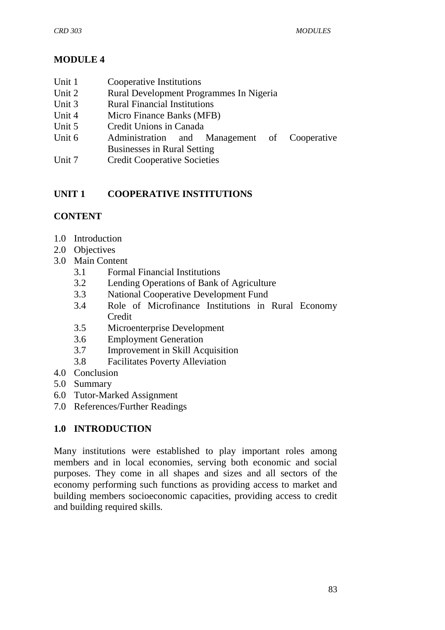# **MODULE 4**

- Unit 1 Cooperative Institutions
- Unit 2 Rural Development Programmes In Nigeria
- Unit 3 Rural Financial Institutions
- Unit 4 Micro Finance Banks (MFB)
- Unit 5 Credit Unions in Canada
- Unit 6 Administration and Management of Cooperative Businesses in Rural Setting
- Unit 7 Credit Cooperative Societies

# **UNIT 1 COOPERATIVE INSTITUTIONS**

# **CONTENT**

- 1.0 Introduction
- 2.0 Objectives
- 3.0 Main Content
	- 3.1 Formal Financial Institutions
	- 3.2 Lending Operations of Bank of Agriculture
	- 3.3 National Cooperative Development Fund
	- 3.4 Role of Microfinance Institutions in Rural Economy **Credit**
	- 3.5 Microenterprise Development
	- 3.6 Employment Generation
	- 3.7 Improvement in Skill Acquisition
	- 3.8 Facilitates Poverty Alleviation
- 4.0 Conclusion
- 5.0 Summary
- 6.0 Tutor-Marked Assignment
- 7.0 References/Further Readings

# **1.0 INTRODUCTION**

Many institutions were established to play important roles among members and in local economies, serving both economic and social purposes. They come in all shapes and sizes and all sectors of the economy performing such functions as providing access to market and building members socioeconomic capacities, providing access to credit and building required skills.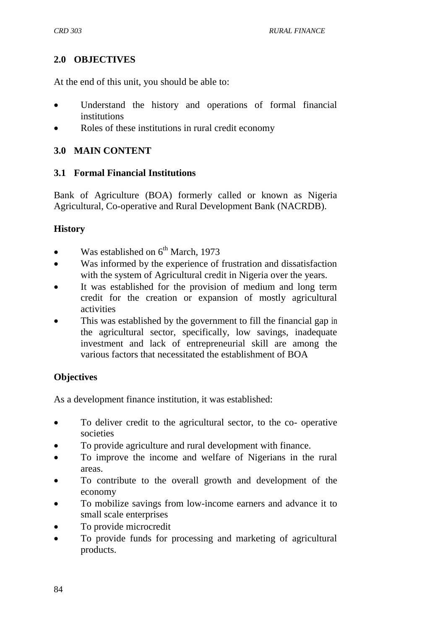### **2.0 OBJECTIVES**

At the end of this unit, you should be able to:

- Understand the history and operations of formal financial institutions
- Roles of these institutions in rural credit economy

### **3.0 MAIN CONTENT**

#### **3.1 Formal Financial Institutions**

Bank of Agriculture (BOA) formerly called or known as Nigeria Agricultural, Co-operative and Rural Development Bank (NACRDB).

### **History**

- Was established on  $6^{th}$  March, 1973
- Was informed by the experience of frustration and dissatisfaction with the system of Agricultural credit in Nigeria over the years.
- It was established for the provision of medium and long term credit for the creation or expansion of mostly agricultural activities
- This was established by the government to fill the financial gap in the agricultural sector, specifically, low savings, inadequate investment and lack of entrepreneurial skill are among the various factors that necessitated the establishment of BOA

### **Objectives**

As a development finance institution, it was established:

- To deliver credit to the agricultural sector, to the co- operative societies
- To provide agriculture and rural development with finance.
- To improve the income and welfare of Nigerians in the rural areas.
- To contribute to the overall growth and development of the economy
- To mobilize savings from low-income earners and advance it to small scale enterprises
- To provide microcredit
- To provide funds for processing and marketing of agricultural products.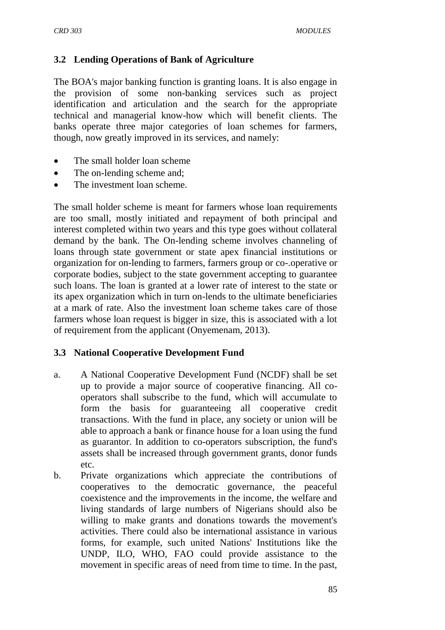### **3.2 Lending Operations of Bank of Agriculture**

The BOA's major banking function is granting loans. It is also engage in the provision of some non-banking services such as project identification and articulation and the search for the appropriate technical and managerial know-how which will benefit clients. The banks operate three major categories of loan schemes for farmers, though, now greatly improved in its services, and namely:

- The small holder loan scheme
- The on-lending scheme and;
- The investment loan scheme.

The small holder scheme is meant for farmers whose loan requirements are too small, mostly initiated and repayment of both principal and interest completed within two years and this type goes without collateral demand by the bank. The On-lending scheme involves channeling of loans through state government or state apex financial institutions or organization for on-lending to farmers, farmers group or co-.operative or corporate bodies, subject to the state government accepting to guarantee such loans. The loan is granted at a lower rate of interest to the state or its apex organization which in turn on-lends to the ultimate beneficiaries at a mark of rate. Also the investment loan scheme takes care of those farmers whose loan request is bigger in size, this is associated with a lot of requirement from the applicant (Onyemenam, 2013).

### **3.3 National Cooperative Development Fund**

- a. A National Cooperative Development Fund (NCDF) shall be set up to provide a major source of cooperative financing. All cooperators shall subscribe to the fund, which will accumulate to form the basis for guaranteeing all cooperative credit transactions. With the fund in place, any society or union will be able to approach a bank or finance house for a loan using the fund as guarantor. In addition to co-operators subscription, the fund's assets shall be increased through government grants, donor funds etc.
- b. Private organizations which appreciate the contributions of cooperatives to the democratic governance, the peaceful coexistence and the improvements in the income, the welfare and living standards of large numbers of Nigerians should also be willing to make grants and donations towards the movement's activities. There could also be international assistance in various forms, for example, such united Nations' Institutions like the UNDP, ILO, WHO, FAO could provide assistance to the movement in specific areas of need from time to time. In the past,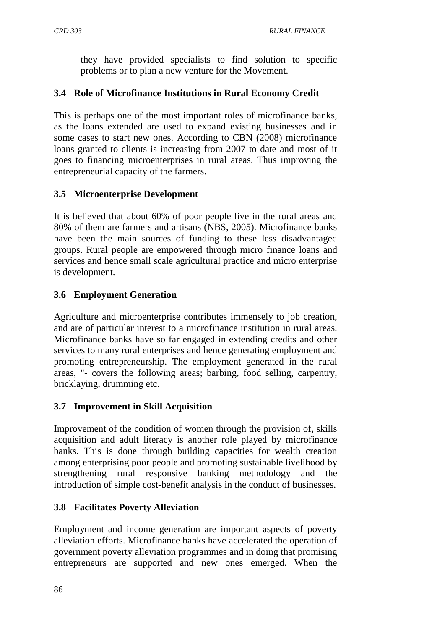they have provided specialists to find solution to specific problems or to plan a new venture for the Movement.

# **3.4 Role of Microfinance Institutions in Rural Economy Credit**

This is perhaps one of the most important roles of microfinance banks, as the loans extended are used to expand existing businesses and in some cases to start new ones. According to CBN (2008) microfinance loans granted to clients is increasing from 2007 to date and most of it goes to financing microenterprises in rural areas. Thus improving the entrepreneurial capacity of the farmers.

# **3.5 Microenterprise Development**

It is believed that about 60% of poor people live in the rural areas and 80% of them are farmers and artisans (NBS, 2005). Microfinance banks have been the main sources of funding to these less disadvantaged groups. Rural people are empowered through micro finance loans and services and hence small scale agricultural practice and micro enterprise is development.

### **3.6 Employment Generation**

Agriculture and microenterprise contributes immensely to job creation, and are of particular interest to a microfinance institution in rural areas. Microfinance banks have so far engaged in extending credits and other services to many rural enterprises and hence generating employment and promoting entrepreneurship. The employment generated in the rural areas, "- covers the following areas; barbing, food selling, carpentry, bricklaying, drumming etc.

### **3.7 Improvement in Skill Acquisition**

Improvement of the condition of women through the provision of, skills acquisition and adult literacy is another role played by microfinance banks. This is done through building capacities for wealth creation among enterprising poor people and promoting sustainable livelihood by strengthening rural responsive banking methodology and the introduction of simple cost-benefit analysis in the conduct of businesses.

# **3.8 Facilitates Poverty Alleviation**

Employment and income generation are important aspects of poverty alleviation efforts. Microfinance banks have accelerated the operation of government poverty alleviation programmes and in doing that promising entrepreneurs are supported and new ones emerged. When the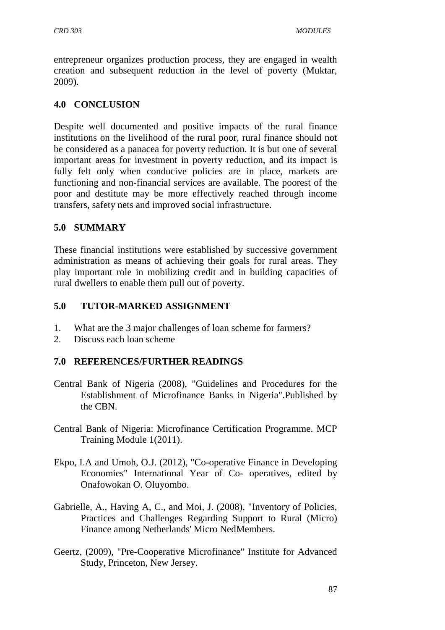entrepreneur organizes production process, they are engaged in wealth creation and subsequent reduction in the level of poverty (Muktar, 2009).

### **4.0 CONCLUSION**

Despite well documented and positive impacts of the rural finance institutions on the livelihood of the rural poor, rural finance should not be considered as a panacea for poverty reduction. It is but one of several important areas for investment in poverty reduction, and its impact is fully felt only when conducive policies are in place, markets are functioning and non-financial services are available. The poorest of the poor and destitute may be more effectively reached through income transfers, safety nets and improved social infrastructure.

### **5.0 SUMMARY**

These financial institutions were established by successive government administration as means of achieving their goals for rural areas. They play important role in mobilizing credit and in building capacities of rural dwellers to enable them pull out of poverty.

# **5.0 TUTOR-MARKED ASSIGNMENT**

- 1. What are the 3 major challenges of loan scheme for farmers?
- 2. Discuss each loan scheme

# **7.0 REFERENCES/FURTHER READINGS**

- Central Bank of Nigeria (2008), "Guidelines and Procedures for the Establishment of Microfinance Banks in Nigeria".Published by the CBN.
- Central Bank of Nigeria: Microfinance Certification Programme. MCP Training Module 1(2011).
- Ekpo, I.A and Umoh, O.J. (2012), "Co-operative Finance in Developing Economies" International Year of Co- operatives, edited by Onafowokan O. Oluyombo.
- Gabrielle, A., Having A, C., and Moi, J. (2008), "Inventory of Policies, Practices and Challenges Regarding Support to Rural (Micro) Finance among Netherlands' Micro NedMembers.
- Geertz, (2009), "Pre-Cooperative Microfinance" Institute for Advanced Study, Princeton, New Jersey.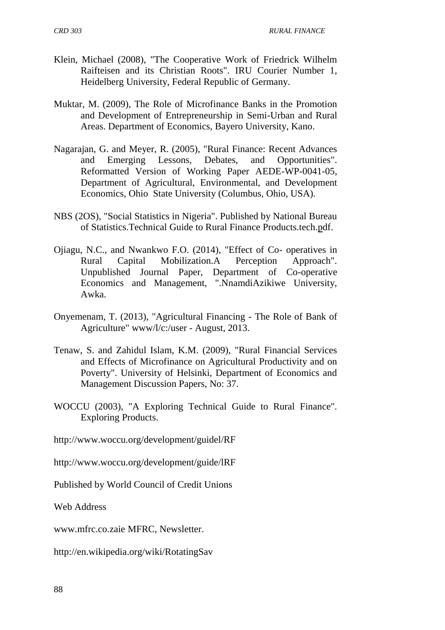- Klein, Michael (2008), "The Cooperative Work of Friedrick Wilhelm Raifteisen and its Christian Roots". IRU Courier Number 1, Heidelberg University, Federal Republic of Germany.
- Muktar, M. (2009), The Role of Microfinance Banks in the Promotion and Development of Entrepreneurship in Semi-Urban and Rural Areas. Department of Economics, Bayero University, Kano.
- Nagarajan, G. and Meyer, R. (2005), "Rural Finance: Recent Advances and Emerging Lessons, Debates, and Opportunities". Reformatted Version of Working Paper AEDE-WP-0041-05, Department of Agricultural, Environmental, and Development Economics, Ohio State University (Columbus, Ohio, USA).
- NBS (2OS), "Social Statistics in Nigeria". Published by National Bureau of Statistics.Technical Guide to Rural Finance Products.tech.pdf.
- Ojiagu, N.C., and Nwankwo F.O. (2014), "Effect of Co- operatives in Rural Capital Mobilization.A Perception Approach". Unpublished Journal Paper, Department of Co-operative Economics and Management, ".NnamdiAzikiwe University, Awka.
- Onyemenam, T. (2013), "Agricultural Financing The Role of Bank of Agriculture" www/l/c:/user - August, 2013.
- Tenaw, S. and Zahidul Islam, K.M. (2009), "Rural Financial Services and Effects of Microfinance on Agricultural Productivity and on Poverty". University of Helsinki, Department of Economics and Management Discussion Papers, No: 37.
- WOCCU (2003), "A Exploring Technical Guide to Rural Finance". Exploring Products.

[http://www.woccu.org/development/g](http://www.woccu.org/development/)uidel/RF

[http://www.woccu.org/development/g](http://www.woccu.org/development/)uide/lRF

Published by World Council of Credit Unions

Web Address

[www.mfrc.co.zaie](http://www.mfrc.co.zaie/) MFRC, Newsletter.

[http://en.wikipedia.org/wiki/RotatingS](http://en.wikipedia.org/wiki/Rotating)av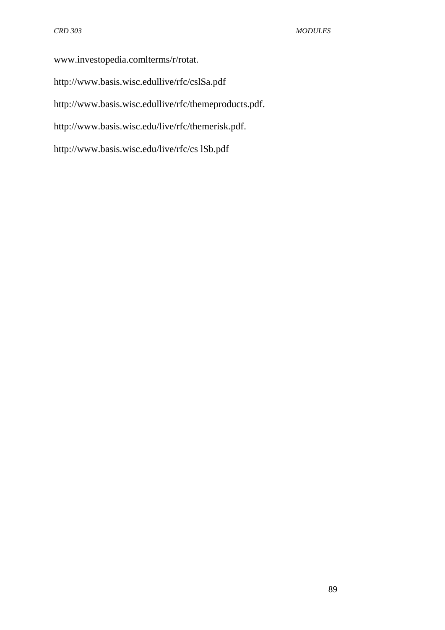[www.investopedia.comlterms/r/rotat.](http://www.investopedia.comlterms/r/rotat.) <http://www.basis.wisc.edullive/rfc/cslSa.pdf> http://www.basis.wisc.edullive/rfc/themeproducts.pdf. [http://www.basis.wisc.edu/live/rfc/themer](http://www.basis.wisc.edu/live/rfc/theme)isk.pdf. <http://www.basis.wisc.edu/live/rfc/cs> lSb.pdf

89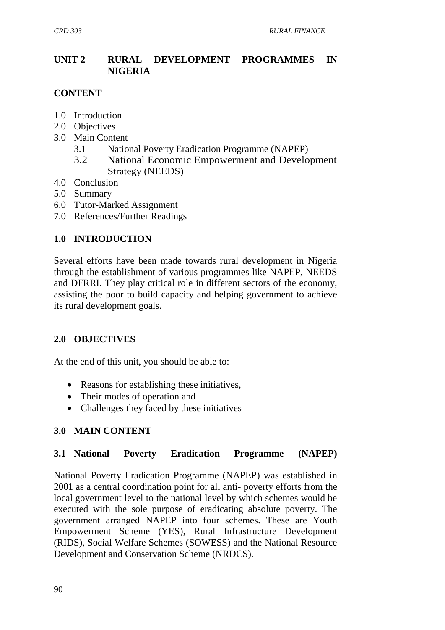# **UNIT 2 RURAL DEVELOPMENT PROGRAMMES IN NIGERIA**

# **CONTENT**

- 1.0 Introduction
- 2.0 Objectives
- 3.0 Main Content
	- 3.1 National Poverty Eradication Programme (NAPEP)
	- 3.2 National Economic Empowerment and Development Strategy (NEEDS)
- 4.0 Conclusion
- 5.0 Summary
- 6.0 Tutor-Marked Assignment
- 7.0 References/Further Readings

# **1.0 INTRODUCTION**

Several efforts have been made towards rural development in Nigeria through the establishment of various programmes like NAPEP, NEEDS and DFRRI. They play critical role in different sectors of the economy, assisting the poor to build capacity and helping government to achieve its rural development goals.

# **2.0 OBJECTIVES**

At the end of this unit, you should be able to:

- Reasons for establishing these initiatives,
- Their modes of operation and
- Challenges they faced by these initiatives

# **3.0 MAIN CONTENT**

### **3.1 National Poverty Eradication Programme (NAPEP)**

National Poverty Eradication Programme (NAPEP) was established in 2001 as a central coordination point for all anti- poverty efforts from the local government level to the national level by which schemes would be executed with the sole purpose of eradicating absolute poverty. The government arranged NAPEP into four schemes. These are Youth Empowerment Scheme (YES), Rural Infrastructure Development (RIDS), Social Welfare Schemes (SOWESS) and the National Resource Development and Conservation Scheme (NRDCS).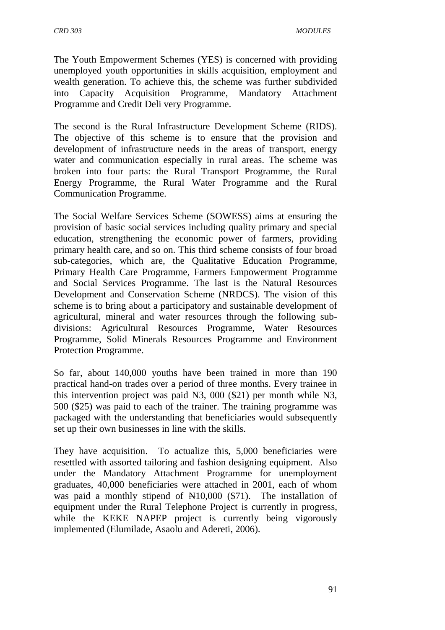The Youth Empowerment Schemes (YES) is concerned with providing unemployed youth opportunities in skills acquisition, employment and wealth generation. To achieve this, the scheme was further subdivided into Capacity Acquisition Programme, Mandatory Attachment Programme and Credit Deli very Programme.

The second is the Rural Infrastructure Development Scheme (RIDS). The objective of this scheme is to ensure that the provision and development of infrastructure needs in the areas of transport, energy water and communication especially in rural areas. The scheme was broken into four parts: the Rural Transport Programme, the Rural Energy Programme, the Rural Water Programme and the Rural Communication Programme.

The Social Welfare Services Scheme (SOWESS) aims at ensuring the provision of basic social services including quality primary and special education, strengthening the economic power of farmers, providing primary health care, and so on. This third scheme consists of four broad sub-categories, which are, the Qualitative Education Programme, Primary Health Care Programme, Farmers Empowerment Programme and Social Services Programme. The last is the Natural Resources Development and Conservation Scheme (NRDCS). The vision of this scheme is to bring about a participatory and sustainable development of agricultural, mineral and water resources through the following subdivisions: Agricultural Resources Programme, Water Resources Programme, Solid Minerals Resources Programme and Environment Protection Programme.

So far, about 140,000 youths have been trained in more than 190 practical hand-on trades over a period of three months. Every trainee in this intervention project was paid N3, 000 (\$21) per month while N3, 500 (\$25) was paid to each of the trainer. The training programme was packaged with the understanding that beneficiaries would subsequently set up their own businesses in line with the skills.

They have acquisition. To actualize this, 5,000 beneficiaries were resettled with assorted tailoring and fashion designing equipment. Also under the Mandatory Attachment Programme for unemployment graduates, 40,000 beneficiaries were attached in 2001, each of whom was paid a monthly stipend of  $\mathbb{N}10,000$  (\$71). The installation of equipment under the Rural Telephone Project is currently in progress, while the KEKE NAPEP project is currently being vigorously implemented (Elumilade, Asaolu and Adereti, 2006).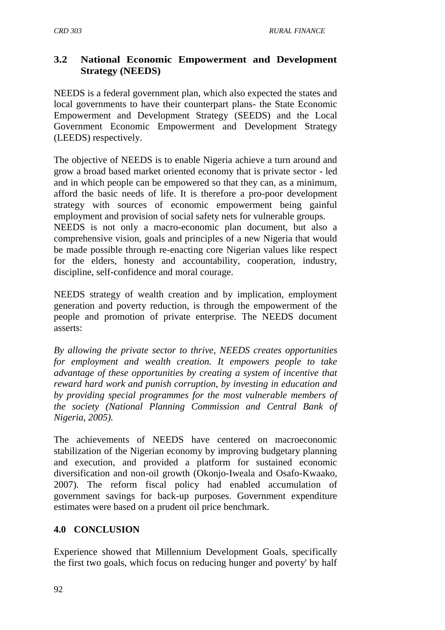# **3.2 National Economic Empowerment and Development Strategy (NEEDS)**

NEEDS is a federal government plan, which also expected the states and local governments to have their counterpart plans- the State Economic Empowerment and Development Strategy (SEEDS) and the Local Government Economic Empowerment and Development Strategy (LEEDS) respectively.

The objective of NEEDS is to enable Nigeria achieve a turn around and grow a broad based market oriented economy that is private sector - led and in which people can be empowered so that they can, as a minimum, afford the basic needs of life. It is therefore a pro-poor development strategy with sources of economic empowerment being gainful employment and provision of social safety nets for vulnerable groups. NEEDS is not only a macro-economic plan document, but also a comprehensive vision, goals and principles of a new Nigeria that would be made possible through re-enacting core Nigerian values like respect for the elders, honesty and accountability, cooperation, industry,

discipline, self-confidence and moral courage.

NEEDS strategy of wealth creation and by implication, employment generation and poverty reduction, is through the empowerment of the people and promotion of private enterprise. The NEEDS document asserts:

*By allowing the private sector to thrive, NEEDS creates opportunities for employment and wealth creation. It empowers people to take advantage of these opportunities by creating a system of incentive that reward hard work and punish corruption, by investing in education and by providing special programmes for the most vulnerable members of the society (National Planning Commission and Central Bank of Nigeria, 2005).* 

The achievements of NEEDS have centered on macroeconomic stabilization of the Nigerian economy by improving budgetary planning and execution, and provided a platform for sustained economic diversification and non-oil growth (Okonjo-Iweala and Osafo-Kwaako, 2007). The reform fiscal policy had enabled accumulation of government savings for back-up purposes. Government expenditure estimates were based on a prudent oil price benchmark.

# **4.0 CONCLUSION**

Experience showed that Millennium Development Goals, specifically the first two goals, which focus on reducing hunger and poverty' by half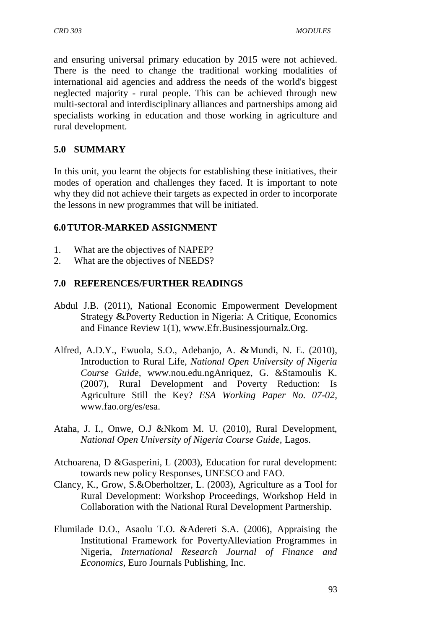and ensuring universal primary education by 2015 were not achieved. There is the need to change the traditional working modalities of international aid agencies and address the needs of the world's biggest neglected majority - rural people. This can be achieved through new multi-sectoral and interdisciplinary alliances and partnerships among aid specialists working in education and those working in agriculture and rural development.

### **5.0 SUMMARY**

In this unit, you learnt the objects for establishing these initiatives, their modes of operation and challenges they faced. It is important to note why they did not achieve their targets as expected in order to incorporate the lessons in new programmes that will be initiated.

### **6.0TUTOR-MARKED ASSIGNMENT**

- 1. What are the objectives of NAPEP?
- 2. What are the objectives of NEEDS?

# **7.0 REFERENCES/FURTHER READINGS**

- Abdul J.B. (2011), National Economic Empowerment Development Strategy &Poverty Reduction in Nigeria: A Critique, Economics and Finance Review 1(1), www.Efr.Businessjournalz.Org.
- Alfred, A.D.Y., Ewuola, S.O., Adebanjo, A. &Mundi, N. E. (2010), Introduction to Rural Life, *National Open University of Nigeria Course Guide,* [www.nou.edu.ngA](http://www.nou.edu.ng/)nriquez, G. &Stamoulis K. (2007), Rural Development and Poverty Reduction: Is Agriculture Still the Key? *ESA Working Paper No. 07-02,*  [www.fao.org/es/esa.](http://www.fao.org/es/esa)
- Ataha, J. I., Onwe, O.J &Nkom M. U. (2010), Rural Development, *National Open University of Nigeria Course Guide,* Lagos.
- Atchoarena, D &Gasperini, L (2003), Education for rural development: towards new policy Responses, UNESCO and FAO.
- Clancy, K., Grow, S.&Oberholtzer, L. (2003), Agriculture as a Tool for Rural Development: Workshop Proceedings, Workshop Held in Collaboration with the National Rural Development Partnership.
- Elumilade D.O., Asaolu T.O. &Adereti S.A. (2006), Appraising the Institutional Framework for PovertyAlleviation Programmes in Nigeria, *International Research Journal of Finance and Economics,* Euro Journals Publishing, Inc.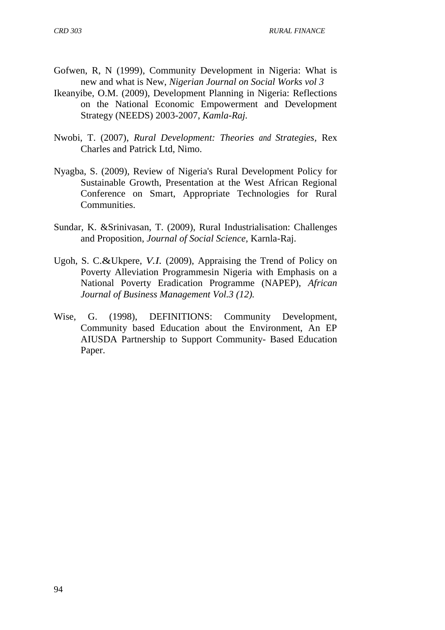- Gofwen, R, N (1999), Community Development in Nigeria: What is new and what is New, *Nigerian Journal on Social Works vol 3*
- Ikeanyibe, O.M. (2009), Development Planning in Nigeria: Reflections on the National Economic Empowerment and Development Strategy (NEEDS) 2003-2007, *Kamla-Raj.*
- Nwobi, T. (2007), *Rural Development: Theories and Strategies,* Rex Charles and Patrick Ltd, Nimo.
- Nyagba, S. (2009), Review of Nigeria's Rural Development Policy for Sustainable Growth, Presentation at the West African Regional Conference on Smart, Appropriate Technologies for Rural Communities.
- Sundar, K. &Srinivasan, T. (2009), Rural Industrialisation: Challenges and Proposition, *Journal of Social Science,* Karnla-Raj.
- Ugoh, S. C.&Ukpere, *V.I.* (2009), Appraising the Trend of Policy on Poverty Alleviation Programmesin Nigeria with Emphasis on a National Poverty Eradication Programme (NAPEP), *African Journal of Business Management Vol.3 (12).*
- Wise, G. (1998), DEFINITIONS: Community Development, Community based Education about the Environment, An EP AIUSDA Partnership to Support Community- Based Education Paper.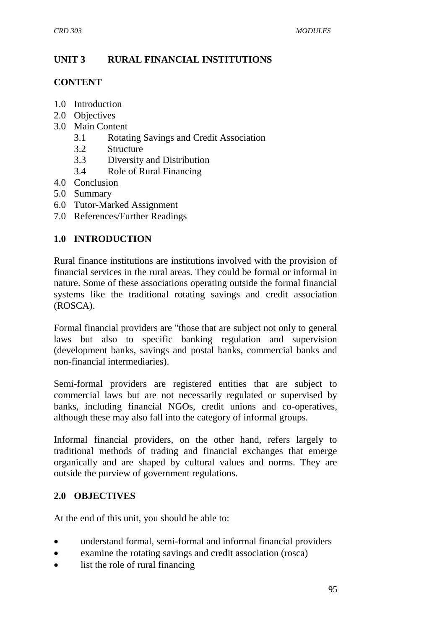# **UNIT 3 RURAL FINANCIAL INSTITUTIONS**

### **CONTENT**

- 1.0 Introduction
- 2.0 Objectives
- 3.0 Main Content
	- 3.1 Rotating Savings and Credit Association
	- 3.2 Structure
	- 3.3 Diversity and Distribution
	- 3.4 Role of Rural Financing
- 4.0 Conclusion
- 5.0 Summary
- 6.0 Tutor-Marked Assignment
- 7.0 References/Further Readings

# **1.0 INTRODUCTION**

Rural finance institutions are institutions involved with the provision of financial services in the rural areas. They could be formal or informal in nature. Some of these associations operating outside the formal financial systems like the traditional rotating savings and credit association (ROSCA).

Formal financial providers are "those that are subject not only to general laws but also to specific banking regulation and supervision (development banks, savings and postal banks, commercial banks and non-financial intermediaries).

Semi-formal providers are registered entities that are subject to commercial laws but are not necessarily regulated or supervised by banks, including financial NGOs, credit unions and co-operatives, although these may also fall into the category of informal groups.

Informal financial providers, on the other hand, refers largely to traditional methods of trading and financial exchanges that emerge organically and are shaped by cultural values and norms. They are outside the purview of government regulations.

# **2.0 OBJECTIVES**

At the end of this unit, you should be able to:

- understand formal, semi-formal and informal financial providers
- examine the rotating savings and credit association (rosca)
- list the role of rural financing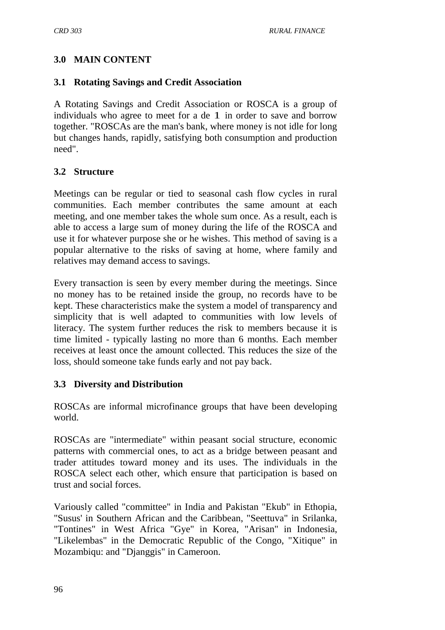# **3.0 MAIN CONTENT**

### **3.1 Rotating Savings and Credit Association**

A Rotating Savings and Credit Association or ROSCA is a group of individuals who agree to meet for a de 1 in order to save and borrow together. "ROSCAs are the man's bank, where money is not idle for long but changes hands, rapidly, satisfying both consumption and production need".

# **3.2 Structure**

Meetings can be regular or tied to seasonal cash flow cycles in rural communities. Each member contributes the same amount at each meeting, and one member takes the whole sum once. As a result, each is able to access a large sum of money during the life of the ROSCA and use it for whatever purpose she or he wishes. This method of saving is a popular alternative to the risks of saving at home, where family and relatives may demand access to savings.

Every transaction is seen by every member during the meetings. Since no money has to be retained inside the group, no records have to be kept. These characteristics make the system a model of transparency and simplicity that is well adapted to communities with low levels of literacy. The system further reduces the risk to members because it is time limited - typically lasting no more than 6 months. Each member receives at least once the amount collected. This reduces the size of the loss, should someone take funds early and not pay back.

# **3.3 Diversity and Distribution**

ROSCAs are informal microfinance groups that have been developing world.

ROSCAs are "intermediate" within peasant social structure, economic patterns with commercial ones, to act as a bridge between peasant and trader attitudes toward money and its uses. The individuals in the ROSCA select each other, which ensure that participation is based on trust and social forces.

Variously called "committee" in India and Pakistan "Ekub" in Ethopia, "Susus' in Southern African and the Caribbean, "Seettuva" in Srilanka, "Tontines" in West Africa "Gye" in Korea, "Arisan" in Indonesia, "Likelembas" in the Democratic Republic of the Congo, "Xitique" in Mozambiqu: and "Djanggis" in Cameroon.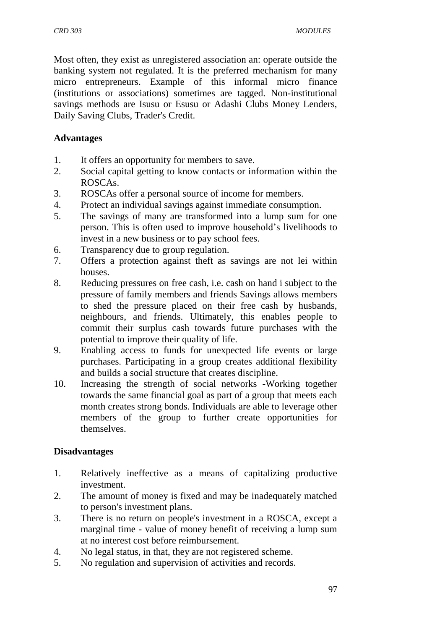Most often, they exist as unregistered association an: operate outside the banking system not regulated. It is the preferred mechanism for many micro entrepreneurs. Example of this informal micro finance (institutions or associations) sometimes are tagged. Non-institutional savings methods are Isusu or Esusu or Adashi Clubs Money Lenders, Daily Saving Clubs, Trader's Credit.

#### **Advantages**

- 1. It offers an opportunity for members to save.
- 2. Social capital getting to know contacts or information within the ROSCAs.
- 3. ROSCAs offer a personal source of income for members.
- 4. Protect an individual savings against immediate consumption.
- 5. The savings of many are transformed into a lump sum for one person. This is often used to improve household's livelihoods to invest in a new business or to pay school fees.
- 6. Transparency due to group regulation.
- 7. Offers a protection against theft as savings are not lei within houses.
- 8. Reducing pressures on free cash, i.e. cash on hand i subject to the pressure of family members and friends Savings allows members to shed the pressure placed on their free cash by husbands, neighbours, and friends. Ultimately, this enables people to commit their surplus cash towards future purchases with the potential to improve their quality of life.
- 9. Enabling access to funds for unexpected life events or large purchases. Participating in a group creates additional flexibility and builds a social structure that creates discipline.
- 10. Increasing the strength of social networks -Working together towards the same financial goal as part of a group that meets each month creates strong bonds. Individuals are able to leverage other members of the group to further create opportunities for themselves.

#### **Disadvantages**

- 1. Relatively ineffective as a means of capitalizing productive investment.
- 2. The amount of money is fixed and may be inadequately matched to person's investment plans.
- 3. There is no return on people's investment in a ROSCA, except a marginal time - value of money benefit of receiving a lump sum at no interest cost before reimbursement.
- 4. No legal status, in that, they are not registered scheme.
- 5. No regulation and supervision of activities and records.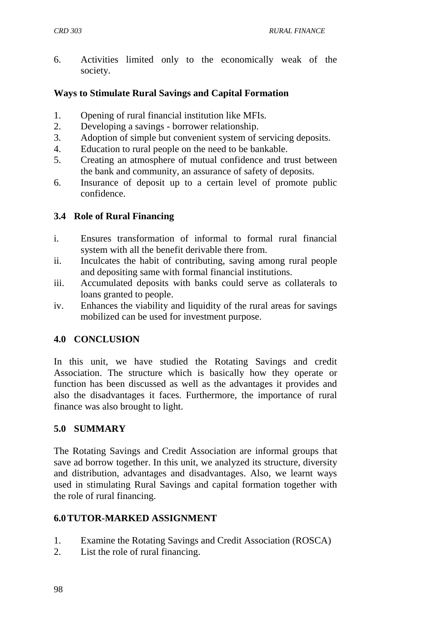6. Activities limited only to the economically weak of the society.

### **Ways to Stimulate Rural Savings and Capital Formation**

- 1. Opening of rural financial institution like MFIs.
- 2. Developing a savings borrower relationship.
- 3. Adoption of simple but convenient system of servicing deposits.
- 4. Education to rural people on the need to be bankable.
- 5. Creating an atmosphere of mutual confidence and trust between the bank and community, an assurance of safety of deposits.
- 6. Insurance of deposit up to a certain level of promote public confidence.

# **3.4 Role of Rural Financing**

- i. Ensures transformation of informal to formal rural financial system with all the benefit derivable there from.
- ii. Inculcates the habit of contributing, saving among rural people and depositing same with formal financial institutions.
- iii. Accumulated deposits with banks could serve as collaterals to loans granted to people.
- iv. Enhances the viability and liquidity of the rural areas for savings mobilized can be used for investment purpose.

# **4.0 CONCLUSION**

In this unit, we have studied the Rotating Savings and credit Association. The structure which is basically how they operate or function has been discussed as well as the advantages it provides and also the disadvantages it faces. Furthermore, the importance of rural finance was also brought to light.

# **5.0 SUMMARY**

The Rotating Savings and Credit Association are informal groups that save ad borrow together. In this unit, we analyzed its structure, diversity and distribution, advantages and disadvantages. Also, we learnt ways used in stimulating Rural Savings and capital formation together with the role of rural financing.

#### **6.0TUTOR-MARKED ASSIGNMENT**

- 1. Examine the Rotating Savings and Credit Association (ROSCA)
- 2. List the role of rural financing.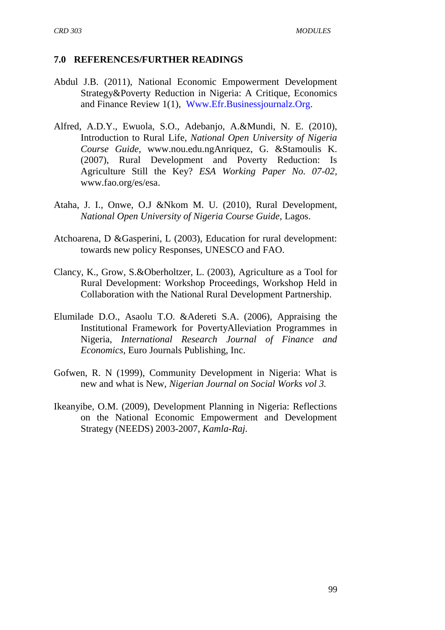#### **7.0 REFERENCES/FURTHER READINGS**

- Abdul J.B. (2011), National Economic Empowerment Development Strategy&Poverty Reduction in Nigeria: A Critique, Economics and Finance Review 1(1), [Www.Efr.Businessjournalz.Org.](http://www.efr.businessjournalz.org/)
- Alfred, A.D.Y., Ewuola, S.O., Adebanjo, A.&Mundi, N. E. (2010), Introduction to Rural Life, *National Open University of Nigeria Course Guide,* [www.nou.edu.ngA](http://www.nou.edu.ng/)nriquez, G. &Stamoulis K. (2007), Rural Development and Poverty Reduction: Is Agriculture Still the Key? *ESA Working Paper No. 07-02,*  [www.fao.org/es/esa.](http://www.fao.org/es/esa)
- Ataha, J. I., Onwe, O.J &Nkom M. U. (2010), Rural Development, *National Open University of Nigeria Course Guide,* Lagos.
- Atchoarena, D &Gasperini, L (2003), Education for rural development: towards new policy Responses, UNESCO and FAO.
- Clancy, K., Grow, S.&Oberholtzer, L. (2003), Agriculture as a Tool for Rural Development: Workshop Proceedings, Workshop Held in Collaboration with the National Rural Development Partnership.
- Elumilade D.O., Asaolu T.O. &Adereti S.A. (2006), Appraising the Institutional Framework for PovertyAlleviation Programmes in Nigeria, *International Research Journal of Finance and Economics,* Euro Journals Publishing, Inc.
- Gofwen, R. N (1999), Community Development in Nigeria: What is new and what is New, *Nigerian Journal on Social Works vol 3.*
- Ikeanyibe, O.M. (2009), Development Planning in Nigeria: Reflections on the National Economic Empowerment and Development Strategy (NEEDS) 2003-2007, *Kamla-Raj.*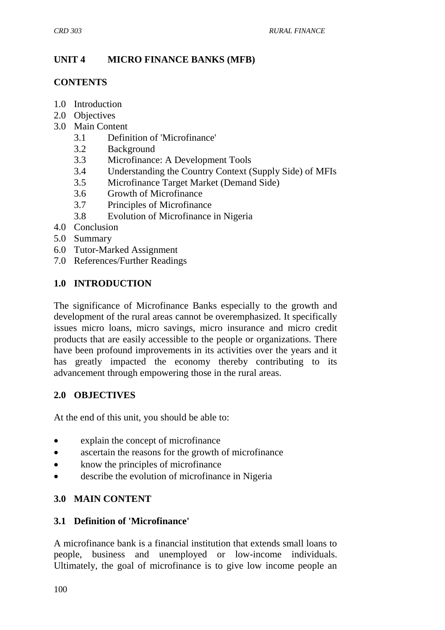# **UNIT 4 MICRO FINANCE BANKS (MFB)**

#### **CONTENTS**

- 1.0 Introduction
- 2.0 Objectives
- 3.0 Main Content
	- 3.1 Definition of 'Microfinance'
	- 3.2 Background
	- 3.3 Microfinance: A Development Tools
	- 3.4 Understanding the Country Context (Supply Side) of MFIs
	- 3.5 Microfinance Target Market (Demand Side)
	- 3.6 Growth of Microfinance
	- 3.7 Principles of Microfinance
	- 3.8 Evolution of Microfinance in Nigeria
- 4.0 Conclusion
- 5.0 Summary
- 6.0 Tutor-Marked Assignment
- 7.0 References/Further Readings

# **1.0 INTRODUCTION**

The significance of Microfinance Banks especially to the growth and development of the rural areas cannot be overemphasized. It specifically issues micro loans, micro savings, micro insurance and micro credit products that are easily accessible to the people or organizations. There have been profound improvements in its activities over the years and it has greatly impacted the economy thereby contributing to its advancement through empowering those in the rural areas.

# **2.0 OBJECTIVES**

At the end of this unit, you should be able to:

- explain the concept of microfinance
- ascertain the reasons for the growth of microfinance
- know the principles of microfinance
- describe the evolution of microfinance in Nigeria

#### **3.0 MAIN CONTENT**

#### **3.1 Definition of 'Microfinance'**

A microfinance bank is a financial institution that extends small loans to people, business and unemployed or low-income individuals. Ultimately, the goal of microfinance is to give low income people an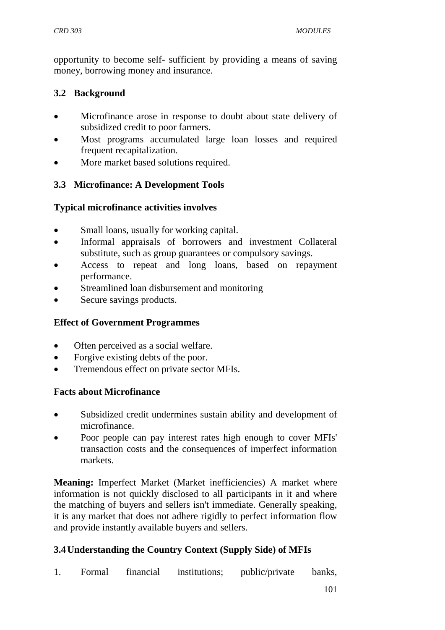opportunity to become self- sufficient by providing a means of saving money, borrowing money and insurance.

### **3.2 Background**

- Microfinance arose in response to doubt about state delivery of subsidized credit to poor farmers.
- Most programs accumulated large loan losses and required frequent recapitalization.
- More market based solutions required.

### **3.3 Microfinance: A Development Tools**

### **Typical microfinance activities involves**

- Small loans, usually for working capital.
- Informal appraisals of borrowers and investment Collateral substitute, such as group guarantees or compulsory savings.
- Access to repeat and long loans, based on repayment performance.
- Streamlined loan disbursement and monitoring
- Secure savings products.

# **Effect of Government Programmes**

- Often perceived as a social welfare.
- Forgive existing debts of the poor.
- Tremendous effect on private sector MFIs.

#### **Facts about Microfinance**

- Subsidized credit undermines sustain ability and development of microfinance.
- Poor people can pay interest rates high enough to cover MFIs' transaction costs and the consequences of imperfect information markets.

**Meaning:** Imperfect Market (Market inefficiencies) A market where information is not quickly disclosed to all participants in it and where the matching of buyers and sellers isn't immediate. Generally speaking, it is any market that does not adhere rigidly to perfect information flow and provide instantly available buyers and sellers.

# **3.4Understanding the Country Context (Supply Side) of MFIs**

1. Formal financial institutions; public/private banks,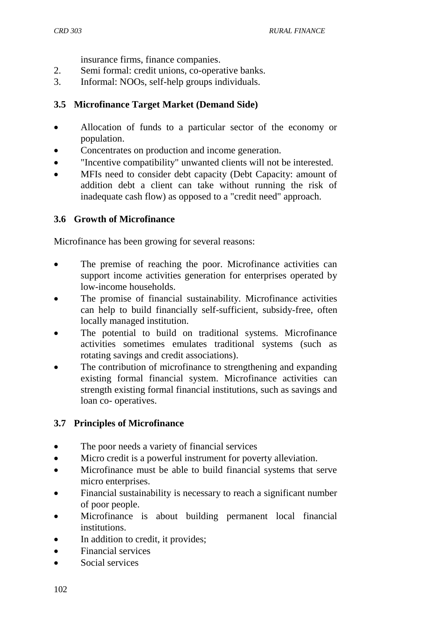insurance firms, finance companies.

- 2. Semi formal: credit unions, co-operative banks.
- 3. Informal: NOOs, self-help groups individuals.

### **3.5 Microfinance Target Market (Demand Side)**

- Allocation of funds to a particular sector of the economy or population.
- Concentrates on production and income generation.
- "Incentive compatibility" unwanted clients will not be interested.
- MFIs need to consider debt capacity (Debt Capacity: amount of addition debt a client can take without running the risk of inadequate cash flow) as opposed to a "credit need" approach.

### **3.6 Growth of Microfinance**

Microfinance has been growing for several reasons:

- The premise of reaching the poor. Microfinance activities can support income activities generation for enterprises operated by low-income households.
- The promise of financial sustainability. Microfinance activities can help to build financially self-sufficient, subsidy-free, often locally managed institution.
- The potential to build on traditional systems. Microfinance activities sometimes emulates traditional systems (such as rotating savings and credit associations).
- The contribution of microfinance to strengthening and expanding existing formal financial system. Microfinance activities can strength existing formal financial institutions, such as savings and loan co- operatives.

# **3.7 Principles of Microfinance**

- The poor needs a variety of financial services
- Micro credit is a powerful instrument for poverty alleviation.
- Microfinance must be able to build financial systems that serve micro enterprises.
- Financial sustainability is necessary to reach a significant number of poor people.
- Microfinance is about building permanent local financial institutions.
- In addition to credit, it provides;
- Financial services
- Social services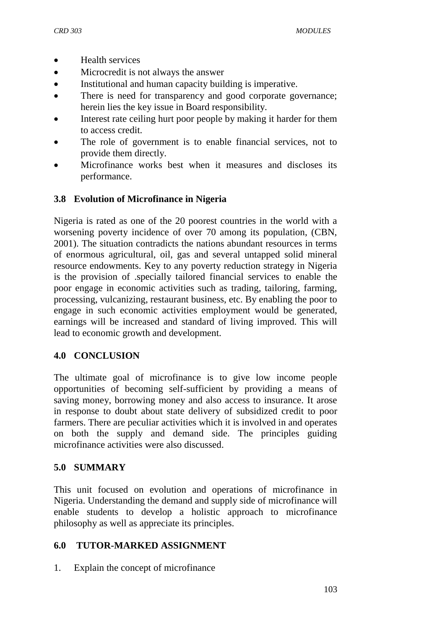- Health services
- Microcredit is not always the answer
- Institutional and human capacity building is imperative.
- There is need for transparency and good corporate governance; herein lies the key issue in Board responsibility.
- Interest rate ceiling hurt poor people by making it harder for them to access credit.
- The role of government is to enable financial services, not to provide them directly.
- Microfinance works best when it measures and discloses its performance.

### **3.8 Evolution of Microfinance in Nigeria**

Nigeria is rated as one of the 20 poorest countries in the world with a worsening poverty incidence of over 70 among its population, (CBN, 2001). The situation contradicts the nations abundant resources in terms of enormous agricultural, oil, gas and several untapped solid mineral resource endowments. Key to any poverty reduction strategy in Nigeria is the provision of .specially tailored financial services to enable the poor engage in economic activities such as trading, tailoring, farming, processing, vulcanizing, restaurant business, etc. By enabling the poor to engage in such economic activities employment would be generated, earnings will be increased and standard of living improved. This will lead to economic growth and development.

#### **4.0 CONCLUSION**

The ultimate goal of microfinance is to give low income people opportunities of becoming self-sufficient by providing a means of saving money, borrowing money and also access to insurance. It arose in response to doubt about state delivery of subsidized credit to poor farmers. There are peculiar activities which it is involved in and operates on both the supply and demand side. The principles guiding microfinance activities were also discussed.

#### **5.0 SUMMARY**

This unit focused on evolution and operations of microfinance in Nigeria. Understanding the demand and supply side of microfinance will enable students to develop a holistic approach to microfinance philosophy as well as appreciate its principles.

#### **6.0 TUTOR-MARKED ASSIGNMENT**

1. Explain the concept of microfinance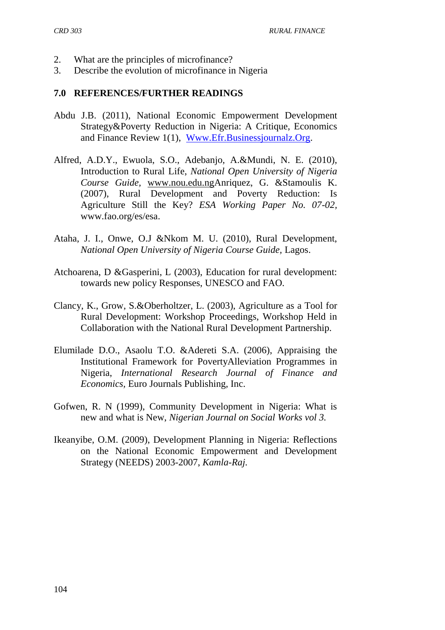- 2. What are the principles of microfinance?
- 3. Describe the evolution of microfinance in Nigeria

#### **7.0 REFERENCES/FURTHER READINGS**

- Abdu J.B. (2011), National Economic Empowerment Development Strategy&Poverty Reduction in Nigeria: A Critique, Economics and Finance Review 1(1), [Www.Efr.Businessjournalz.Org.](http://www.efr.businessjournalz.org/)
- Alfred, A.D.Y., Ewuola, S.O., Adebanjo, A.&Mundi, N. E. (2010), Introduction to Rural Life, *National Open University of Nigeria Course Guide,* [www.nou.edu.ngA](http://www.nou.edu.ng/)nriquez, G. &Stamoulis K. (2007), Rural Development and Poverty Reduction: Is Agriculture Still the Key? *ESA Working Paper No. 07-02,*  [www.fao.org/es/esa.](http://www.fao.org/es/esa)
- Ataha, J. I., Onwe, O.J &Nkom M. U. (2010), Rural Development, *National Open University of Nigeria Course Guide,* Lagos.
- Atchoarena, D &Gasperini, L (2003), Education for rural development: towards new policy Responses, UNESCO and FAO.
- Clancy, K., Grow, S.&Oberholtzer, L. (2003), Agriculture as a Tool for Rural Development: Workshop Proceedings, Workshop Held in Collaboration with the National Rural Development Partnership.
- Elumilade D.O., Asaolu T.O. &Adereti S.A. (2006), Appraising the Institutional Framework for PovertyAlleviation Programmes in Nigeria, *International Research Journal of Finance and Economics,* Euro Journals Publishing, Inc.
- Gofwen, R. N (1999), Community Development in Nigeria: What is new and what is New, *Nigerian Journal on Social Works vol 3.*
- Ikeanyibe, O.M. (2009), Development Planning in Nigeria: Reflections on the National Economic Empowerment and Development Strategy (NEEDS) 2003-2007, *Kamla-Raj.*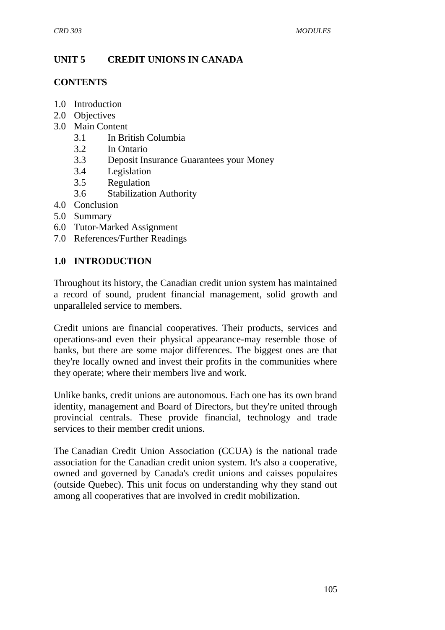# **UNIT 5 CREDIT UNIONS IN CANADA**

#### **CONTENTS**

- 1.0 Introduction
- 2.0 Objectives
- 3.0 Main Content
	- 3.1 In British Columbia
	- 3.2 In Ontario
	- 3.3 Deposit Insurance Guarantees your Money
	- 3.4 Legislation
	- 3.5 Regulation
	- 3.6 Stabilization Authority
- 4.0 Conclusion
- 5.0 Summary
- 6.0 Tutor-Marked Assignment
- 7.0 References/Further Readings

#### **1.0 INTRODUCTION**

Throughout its history, the Canadian credit union system has maintained a record of sound, prudent financial management, solid growth and unparalleled service to members.

Credit unions are financial cooperatives. Their products, services and operations-and even their physical appearance-may resemble those of banks, but there are some major differences. The biggest ones are that they're locally owned and invest their profits in the communities where they operate; where their members live and work.

Unlike banks, credit unions are autonomous. Each one has its own brand identity, management and Board of Directors, but they're united through provincial centrals. These provide financial, technology and trade services to their member credit unions.

The [Canadian Credit Union Association](https://www.ccua.com/) (CCUA) is the national trade association for the Canadian credit union system. It's also a cooperative, owned and governed by Canada's credit unions and caisses populaires (outside Quebec). This unit focus on understanding why they stand out among all cooperatives that are involved in credit mobilization.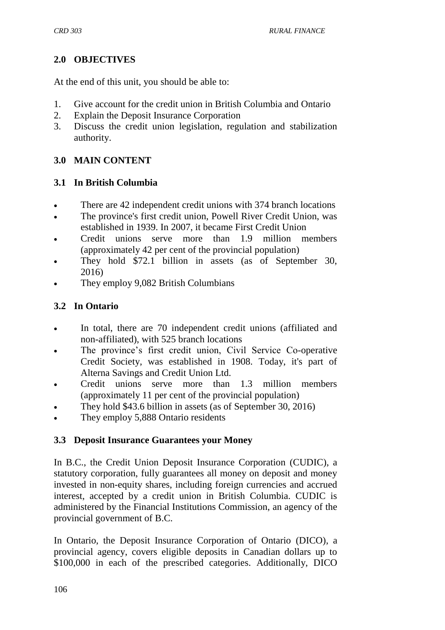# **2.0 OBJECTIVES**

At the end of this unit, you should be able to:

- 1. Give account for the credit union in British Columbia and Ontario
- 2. Explain the Deposit Insurance Corporation
- 3. Discuss the credit union legislation, regulation and stabilization authority.

# **3.0 MAIN CONTENT**

# **3.1 In British Columbia**

- There are 42 independent credit unions with 374 branch locations
- The province's first credit union, Powell River Credit Union, was established in 1939. In 2007, it became First Credit Union
- Credit unions serve more than 1.9 million members (approximately 42 per cent of the provincial population)
- They hold \$72.1 billion in assets (as of September 30, 2016)
- They employ 9,082 British Columbians

# **3.2 In Ontario**

- In total, there are 70 independent credit unions (affiliated and non-affiliated), with 525 branch locations
- The province's first credit union, Civil Service Co-operative Credit Society, was established in 1908. Today, it's part of Alterna Savings and Credit Union Ltd.
- Credit unions serve more than 1.3 million members (approximately 11 per cent of the provincial population)
- They hold \$43.6 billion in assets (as of September 30, 2016)
- They employ 5,888 Ontario residents

# **3.3 Deposit Insurance Guarantees your Money**

In B.C., the [Credit Union Deposit Insurance Corporation](http://cudicbc.ca/) (CUDIC), a statutory corporation, fully guarantees all money on deposit and money invested in non-equity shares, including foreign currencies and accrued interest, accepted by a credit union in British Columbia. CUDIC is administered by the [Financial Institutions Commission,](http://www.fic.gov.bc.ca/) an agency of the provincial government of B.C.

In Ontario, the [Deposit Insurance Corporation of Ontario](http://www.dico.com/design/0_0_eng.html) (DICO), a provincial agency, covers eligible deposits in Canadian dollars up to \$100,000 in each of the [prescribed categories.](http://www.dico.com/design/3_1_Eng.html) Additionally, DICO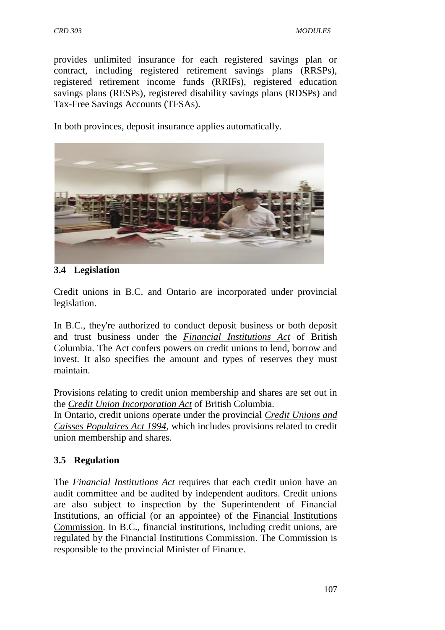provides unlimited insurance for each registered savings plan or contract, including registered retirement savings plans (RRSPs), registered retirement income funds (RRIFs), registered education savings plans (RESPs), registered disability savings plans (RDSPs) and Tax-Free Savings Accounts (TFSAs).

In both provinces, deposit insurance applies automatically.



### **3.4 Legislation**

Credit unions in B.C. and Ontario are incorporated under provincial legislation.

In B.C., they're authorized to conduct deposit business or both deposit and trust business under the *[Financial Institutions Act](http://www.bclaws.ca/EPLibraries/bclaws_new/document/ID/freeside/96141_00)* of British Columbia. The Act confers powers on credit unions to lend, borrow and invest. It also specifies the amount and types of reserves they must maintain.

Provisions relating to credit union membership and shares are set out in the *[Credit Union Incorporation Act](http://www.bclaws.ca/EPLibraries/bclaws_new/document/ID/freeside/00_96082_01)* of British Columbia.

In Ontario, credit unions operate under the provincial *[Credit Unions and](http://www.e-laws.gov.on.ca/html/statutes/english/elaws_statutes_94c11_e.htm)  Caisses [Populaires Act 1994](http://www.e-laws.gov.on.ca/html/statutes/english/elaws_statutes_94c11_e.htm)*, which includes provisions related to credit union membership and shares.

# **3.5 Regulation**

The *Financial Institutions Act* requires that each credit union have an audit committee and be audited by independent auditors. Credit unions are also subject to inspection by the Superintendent of Financial Institutions, an official (or an appointee) of the [Financial Institutions](http://www.fic.gov.bc.ca/)  [Commission.](http://www.fic.gov.bc.ca/) In B.C., financial institutions, including credit unions, are regulated by the Financial Institutions Commission. The Commission is responsible to the provincial Minister of Finance.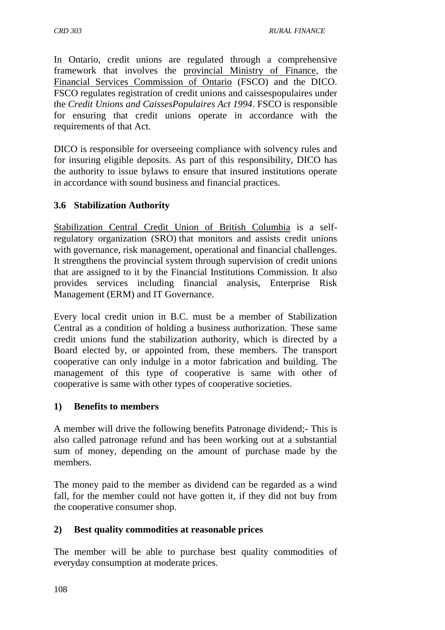In Ontario, credit unions are regulated through a comprehensive framework that involves the [provincial Ministry of Finance,](http://www.fin.gov.on.ca/en/) the [Financial Services Commission of Ontario](http://www.fsco.gov.on.ca/en/Pages/default.aspx) (FSCO) and the DICO. FSCO regulates registration of credit unions and caissespopulaires under the *Credit Unions and CaissesPopulaires Act 1994*. FSCO is responsible for ensuring that credit unions operate in accordance with the requirements of that Act.

DICO is responsible for overseeing compliance with solvency rules and for insuring eligible deposits. As part of this responsibility, DICO has the authority to issue bylaws to ensure that insured institutions operate in accordance with sound business and financial practices.

# **3.6 Stabilization Authority**

[Stabilization Central Credit Union of British Columbia](https://www.stabil.com/) is a selfregulatory organization (SRO) that monitors and assists credit unions with governance, risk management, operational and financial challenges. It strengthens the provincial system through supervision of credit unions that are assigned to it by the Financial Institutions Commission. It also provides services including financial analysis, Enterprise Risk Management (ERM) and IT Governance.

Every local credit union in B.C. must be a member of Stabilization Central as a condition of holding a business authorization. These same credit unions fund the stabilization authority, which is directed by a Board elected by, or appointed from, these members. The transport cooperative can only indulge in a motor fabrication and building. The management of this type of cooperative is same with other of cooperative is same with other types of cooperative societies.

#### **1) Benefits to members**

A member will drive the following benefits Patronage dividend;- This is also called patronage refund and has been working out at a substantial sum of money, depending on the amount of purchase made by the members.

The money paid to the member as dividend can be regarded as a wind fall, for the member could not have gotten it, if they did not buy from the cooperative consumer shop.

#### **2) Best quality commodities at reasonable prices**

The member will be able to purchase best quality commodities of everyday consumption at moderate prices.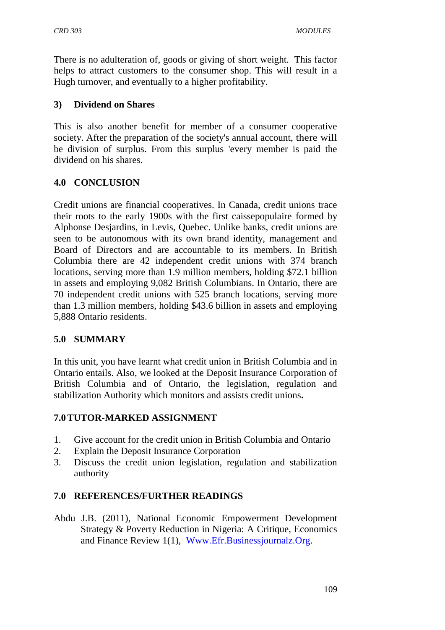There is no adulteration of, goods or giving of short weight. This factor helps to attract customers to the consumer shop. This will result in a Hugh turnover, and eventually to a higher profitability.

#### **3) Dividend on Shares**

This is also another benefit for member of a consumer cooperative society. After the preparation of the society's annual account, there will be division of surplus. From this surplus 'every member is paid the dividend on his shares.

# **4.0 CONCLUSION**

Credit unions are financial cooperatives. In Canada, credit unions trace their roots to the early 1900s with the first caissepopulaire formed by Alphonse Desjardins, in Levis, Quebec. Unlike banks, credit unions are seen to be autonomous with its own brand identity, management and Board of Directors and are accountable to its members. In British Columbia there are 42 independent credit unions with 374 branch locations, serving more than 1.9 million members, holding \$72.1 billion in assets and employing 9,082 British Columbians. In Ontario, there are 70 independent credit unions with 525 branch locations, serving more than 1.3 million members, holding \$43.6 billion in assets and employing 5,888 Ontario residents.

#### **5.0 SUMMARY**

In this unit, you have learnt what credit union in British Columbia and in Ontario entails. Also, we looked at the Deposit Insurance Corporation of British Columbia and of Ontario, the legislation, regulation and stabilization Authority which monitors and assists credit unions**.**

# **7.0TUTOR-MARKED ASSIGNMENT**

- 1. Give account for the credit union in British Columbia and Ontario
- 2. Explain the Deposit Insurance Corporation
- 3. Discuss the credit union legislation, regulation and stabilization authority

# **7.0 REFERENCES/FURTHER READINGS**

Abdu J.B. (2011), National Economic Empowerment Development Strategy & Poverty Reduction in Nigeria: A Critique, Economics and Finance Review 1(1), [Www.Efr.Businessjournalz.Org.](http://www.efr.businessjournalz.org/)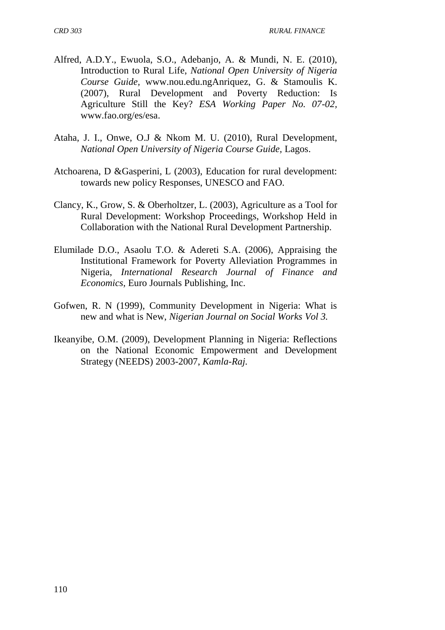- Alfred, A.D.Y., Ewuola, S.O., Adebanjo, A. & Mundi, N. E. (2010), Introduction to Rural Life, *National Open University of Nigeria Course Guide,* [www.nou.edu.ngA](http://www.nou.edu.ng/)nriquez, G. & Stamoulis K. (2007), Rural Development and Poverty Reduction: Is Agriculture Still the Key? *ESA Working Paper No. 07-02,*  [www.fao.org/es/esa.](http://www.fao.org/es/esa)
- Ataha, J. I., Onwe, O.J & Nkom M. U. (2010), Rural Development, *National Open University of Nigeria Course Guide,* Lagos.
- Atchoarena, D &Gasperini, L (2003), Education for rural development: towards new policy Responses, UNESCO and FAO.
- Clancy, K., Grow, S. & Oberholtzer, L. (2003), Agriculture as a Tool for Rural Development: Workshop Proceedings, Workshop Held in Collaboration with the National Rural Development Partnership.
- Elumilade D.O., Asaolu T.O. & Adereti S.A. (2006), Appraising the Institutional Framework for Poverty Alleviation Programmes in Nigeria, *International Research Journal of Finance and Economics,* Euro Journals Publishing, Inc.
- Gofwen, R. N (1999), Community Development in Nigeria: What is new and what is New, *Nigerian Journal on Social Works Vol 3.*
- Ikeanyibe, O.M. (2009), Development Planning in Nigeria: Reflections on the National Economic Empowerment and Development Strategy (NEEDS) 2003-2007, *Kamla-Raj.*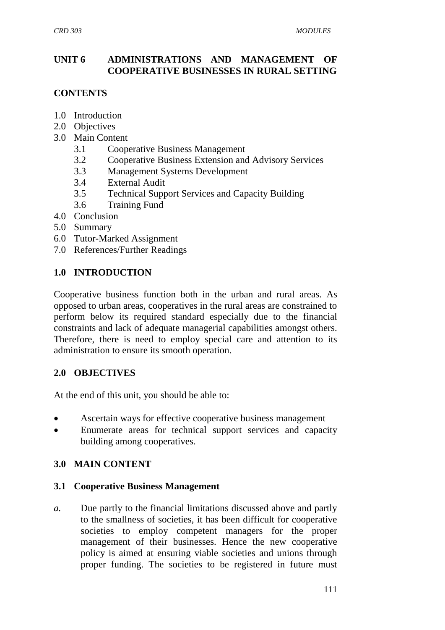### **UNIT 6 ADMINISTRATIONS AND MANAGEMENT OF COOPERATIVE BUSINESSES IN RURAL SETTING**

# **CONTENTS**

- 1.0 Introduction
- 2.0 Objectives
- 3.0 Main Content
	- 3.1 Cooperative Business Management
	- 3.2 Cooperative Business Extension and Advisory Services
	- 3.3 Management Systems Development
	- 3.4 External Audit
	- 3.5 Technical Support Services and Capacity Building
	- 3.6 Training Fund
- 4.0 Conclusion
- 5.0 Summary
- 6.0 Tutor-Marked Assignment
- 7.0 References/Further Readings

#### **1.0 INTRODUCTION**

Cooperative business function both in the urban and rural areas. As opposed to urban areas, cooperatives in the rural areas are constrained to perform below its required standard especially due to the financial constraints and lack of adequate managerial capabilities amongst others. Therefore, there is need to employ special care and attention to its administration to ensure its smooth operation.

#### **2.0 OBJECTIVES**

At the end of this unit, you should be able to:

- Ascertain ways for effective cooperative business management
- Enumerate areas for technical support services and capacity building among cooperatives.

#### **3.0 MAIN CONTENT**

#### **3.1 Cooperative Business Management**

*a.* Due partly to the financial limitations discussed above and partly to the smallness of societies, it has been difficult for cooperative societies to employ competent managers for the proper management of their businesses. Hence the new cooperative policy is aimed at ensuring viable societies and unions through proper funding. The societies to be registered in future must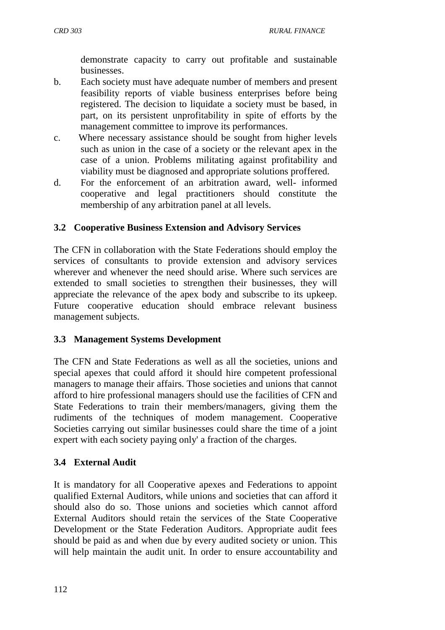demonstrate capacity to carry out profitable and sustainable businesses.

- b. Each society must have adequate number of members and present feasibility reports of viable business enterprises before being registered. The decision to liquidate a society must be based, in part, on its persistent unprofitability in spite of efforts by the management committee to improve its performances.
- c. Where necessary assistance should be sought from higher levels such as union in the case of a society or the relevant apex in the case of a union. Problems militating against profitability and viability must be diagnosed and appropriate solutions proffered.
- d. For the enforcement of an arbitration award, well- informed cooperative and legal practitioners should constitute the membership of any arbitration panel at all levels.

### **3.2 Cooperative Business Extension and Advisory Services**

The CFN in collaboration with the State Federations should employ the services of consultants to provide extension and advisory services wherever and whenever the need should arise. Where such services are extended to small societies to strengthen their businesses, they will appreciate the relevance of the apex body and subscribe to its upkeep. Future cooperative education should embrace relevant business management subjects.

#### **3.3 Management Systems Development**

The CFN and State Federations as well as all the societies, unions and special apexes that could afford it should hire competent professional managers to manage their affairs. Those societies and unions that cannot afford to hire professional managers should use the facilities of CFN and State Federations to train their members/managers, giving them the rudiments of the techniques of modem management. Cooperative Societies carrying out similar businesses could share the time of a joint expert with each society paying only' a fraction of the charges.

#### **3.4 External Audit**

It is mandatory for all Cooperative apexes and Federations to appoint qualified External Auditors, while unions and societies that can afford it should also do so. Those unions and societies which cannot afford External Auditors should retain the services of the State Cooperative Development or the State Federation Auditors. Appropriate audit fees should be paid as and when due by every audited society or union. This will help maintain the audit unit. In order to ensure accountability and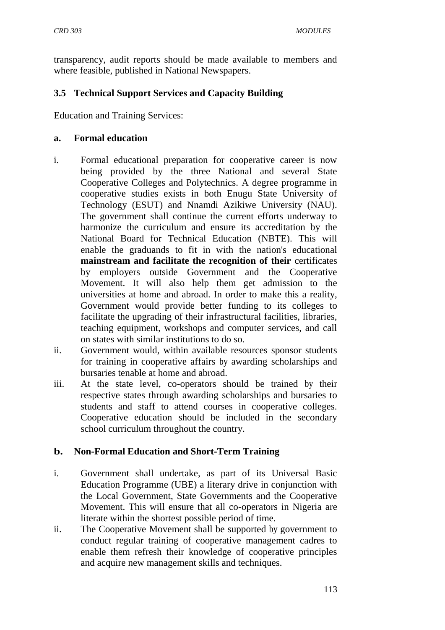transparency, audit reports should be made available to members and where feasible, published in National Newspapers.

### **3.5 Technical Support Services and Capacity Building**

Education and Training Services:

#### **a. Formal education**

- i. Formal educational preparation for cooperative career is now being provided by the three National and several State Cooperative Colleges and Polytechnics. A degree programme in cooperative studies exists in both Enugu State University of Technology (ESUT) and Nnamdi Azikiwe University (NAU). The government shall continue the current efforts underway to harmonize the curriculum and ensure its accreditation by the National Board for Technical Education (NBTE). This will enable the graduands to fit in with the nation's educational **mainstream and facilitate the recognition of their** certificates by employers outside Government and the Cooperative Movement. It will also help them get admission to the universities at home and abroad. In order to make this a reality, Government would provide better funding to its colleges to facilitate the upgrading of their infrastructural facilities, libraries, teaching equipment, workshops and computer services, and call on states with similar institutions to do so.
- ii. Government would, within available resources sponsor students for training in cooperative affairs by awarding scholarships and bursaries tenable at home and abroad.
- iii. At the state level, co-operators should be trained by their respective states through awarding scholarships and bursaries to students and staff to attend courses in cooperative colleges. Cooperative education should be included in the secondary school curriculum throughout the country.

#### **b. Non-Formal Education and Short-Term Training**

- i. Government shall undertake, as part of its Universal Basic Education Programme (UBE) a literary drive in conjunction with the Local Government, State Governments and the Cooperative Movement. This will ensure that all co-operators in Nigeria are literate within the shortest possible period of time.
- ii. The Cooperative Movement shall be supported by government to conduct regular training of cooperative management cadres to enable them refresh their knowledge of cooperative principles and acquire new management skills and techniques.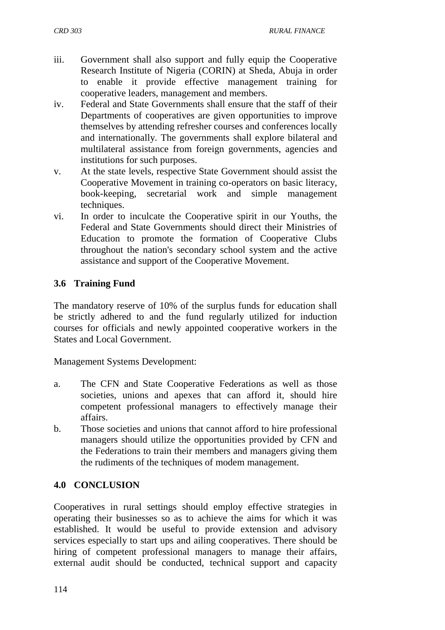- iii. Government shall also support and fully equip the Cooperative Research Institute of Nigeria (CORIN) at Sheda, Abuja in order to enable it provide effective management training for cooperative leaders, management and members.
- iv. Federal and State Governments shall ensure that the staff of their Departments of cooperatives are given opportunities to improve themselves by attending refresher courses and conferences locally and internationally. The governments shall explore bilateral and multilateral assistance from foreign governments, agencies and institutions for such purposes.
- v. At the state levels, respective State Government should assist the Cooperative Movement in training co-operators on basic literacy, book-keeping, secretarial work and simple management techniques.
- vi. In order to inculcate the Cooperative spirit in our Youths, the Federal and State Governments should direct their Ministries of Education to promote the formation of Cooperative Clubs throughout the nation's secondary school system and the active assistance and support of the Cooperative Movement.

### **3.6 Training Fund**

The mandatory reserve of 10% of the surplus funds for education shall be strictly adhered to and the fund regularly utilized for induction courses for officials and newly appointed cooperative workers in the States and Local Government.

Management Systems Development:

- a. The CFN and State Cooperative Federations as well as those societies, unions and apexes that can afford it, should hire competent professional managers to effectively manage their affairs.
- b. Those societies and unions that cannot afford to hire professional managers should utilize the opportunities provided by CFN and the Federations to train their members and managers giving them the rudiments of the techniques of modem management.

#### **4.0 CONCLUSION**

Cooperatives in rural settings should employ effective strategies in operating their businesses so as to achieve the aims for which it was established. It would be useful to provide extension and advisory services especially to start ups and ailing cooperatives. There should be hiring of competent professional managers to manage their affairs, external audit should be conducted, technical support and capacity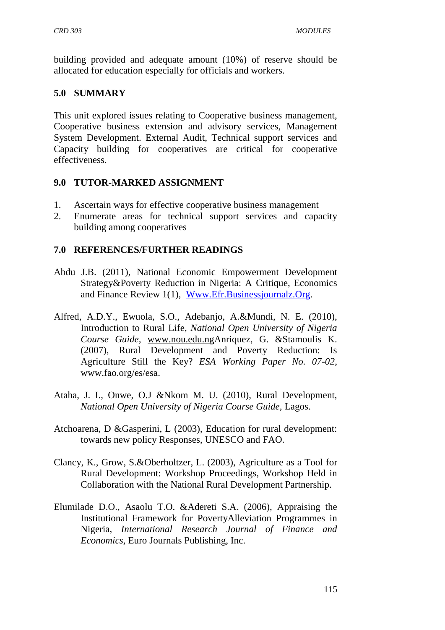building provided and adequate amount (10%) of reserve should be allocated for education especially for officials and workers.

# **5.0 SUMMARY**

This unit explored issues relating to Cooperative business management, Cooperative business extension and advisory services, Management System Development. External Audit, Technical support services and Capacity building for cooperatives are critical for cooperative effectiveness.

#### **9.0 TUTOR-MARKED ASSIGNMENT**

- 1. Ascertain ways for effective cooperative business management
- 2. Enumerate areas for technical support services and capacity building among cooperatives

# **7.0 REFERENCES/FURTHER READINGS**

- Abdu J.B. (2011), National Economic Empowerment Development Strategy&Poverty Reduction in Nigeria: A Critique, Economics and Finance Review 1(1), [Www.Efr.Businessjournalz.Org.](http://www.efr.businessjournalz.org/)
- Alfred, A.D.Y., Ewuola, S.O., Adebanjo, A.&Mundi, N. E. (2010), Introduction to Rural Life, *National Open University of Nigeria Course Guide,* [www.nou.edu.ngA](http://www.nou.edu.ng/)nriquez, G. &Stamoulis K. (2007), Rural Development and Poverty Reduction: Is Agriculture Still the Key? *ESA Working Paper No. 07-02,*  [www.fao.org/es/esa.](http://www.fao.org/es/esa)
- Ataha, J. I., Onwe, O.J &Nkom M. U. (2010), Rural Development, *National Open University of Nigeria Course Guide,* Lagos.
- Atchoarena, D &Gasperini, L (2003), Education for rural development: towards new policy Responses, UNESCO and FAO.
- Clancy, K., Grow, S.&Oberholtzer, L. (2003), Agriculture as a Tool for Rural Development: Workshop Proceedings, Workshop Held in Collaboration with the National Rural Development Partnership.
- Elumilade D.O., Asaolu T.O. &Adereti S.A. (2006), Appraising the Institutional Framework for PovertyAlleviation Programmes in Nigeria, *International Research Journal of Finance and Economics,* Euro Journals Publishing, Inc.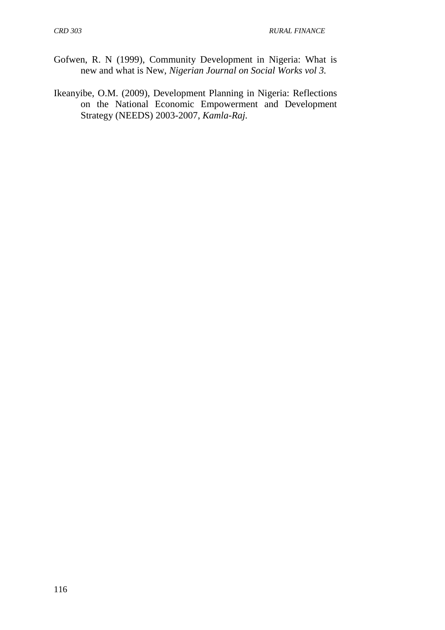- Gofwen, R. N (1999), Community Development in Nigeria: What is new and what is New, *Nigerian Journal on Social Works vol 3.*
- Ikeanyibe, O.M. (2009), Development Planning in Nigeria: Reflections on the National Economic Empowerment and Development Strategy (NEEDS) 2003-2007, *Kamla-Raj.*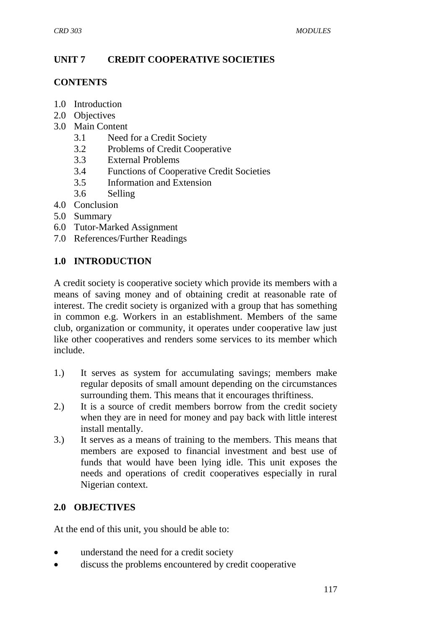# **UNIT 7 CREDIT COOPERATIVE SOCIETIES**

#### **CONTENTS**

- 1.0 Introduction
- 2.0 Objectives
- 3.0 Main Content
	- 3.1 Need for a Credit Society
	- 3.2 Problems of Credit Cooperative
	- 3.3 External Problems
	- 3.4 Functions of Cooperative Credit Societies
	- 3.5 Information and Extension
	- 3.6 Selling
- 4.0 Conclusion
- 5.0 Summary
- 6.0 Tutor-Marked Assignment
- 7.0 References/Further Readings

# **1.0 INTRODUCTION**

A credit society is cooperative society which provide its members with a means of saving money and of obtaining credit at reasonable rate of interest. The credit society is organized with a group that has something in common e.g. Workers in an establishment. Members of the same club, organization or community, it operates under cooperative law just like other cooperatives and renders some services to its member which include.

- 1.) It serves as system for accumulating savings; members make regular deposits of small amount depending on the circumstances surrounding them. This means that it encourages thriftiness.
- 2.) It is a source of credit members borrow from the credit society when they are in need for money and pay back with little interest install mentally.
- 3.) It serves as a means of training to the members. This means that members are exposed to financial investment and best use of funds that would have been lying idle. This unit exposes the needs and operations of credit cooperatives especially in rural Nigerian context.

# **2.0 OBJECTIVES**

At the end of this unit, you should be able to:

- understand the need for a credit society
- discuss the problems encountered by credit cooperative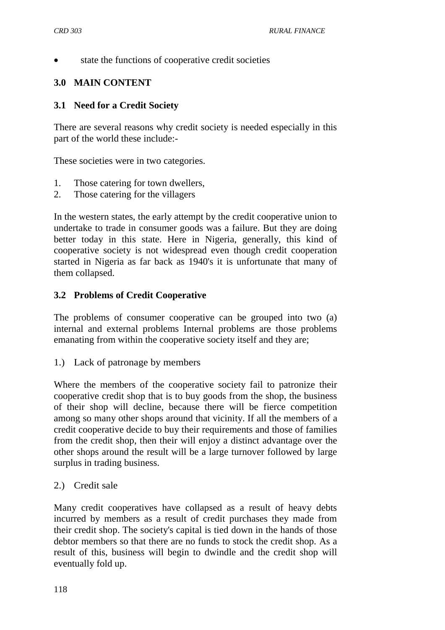state the functions of cooperative credit societies

# **3.0 MAIN CONTENT**

#### **3.1 Need for a Credit Society**

There are several reasons why credit society is needed especially in this part of the world these include:-

These societies were in two categories.

- 1. Those catering for town dwellers,
- 2. Those catering for the villagers

In the western states, the early attempt by the credit cooperative union to undertake to trade in consumer goods was a failure. But they are doing better today in this state. Here in Nigeria, generally, this kind of cooperative society is not widespread even though credit cooperation started in Nigeria as far back as 1940's it is unfortunate that many of them collapsed.

### **3.2 Problems of Credit Cooperative**

The problems of consumer cooperative can be grouped into two (a) internal and external problems Internal problems are those problems emanating from within the cooperative society itself and they are;

1.) Lack of patronage by members

Where the members of the cooperative society fail to patronize their cooperative credit shop that is to buy goods from the shop, the business of their shop will decline, because there will be fierce competition among so many other shops around that vicinity. If all the members of a credit cooperative decide to buy their requirements and those of families from the credit shop, then their will enjoy a distinct advantage over the other shops around the result will be a large turnover followed by large surplus in trading business.

#### 2.) Credit sale

Many credit cooperatives have collapsed as a result of heavy debts incurred by members as a result of credit purchases they made from their credit shop. The society's capital is tied down in the hands of those debtor members so that there are no funds to stock the credit shop. As a result of this, business will begin to dwindle and the credit shop will eventually fold up.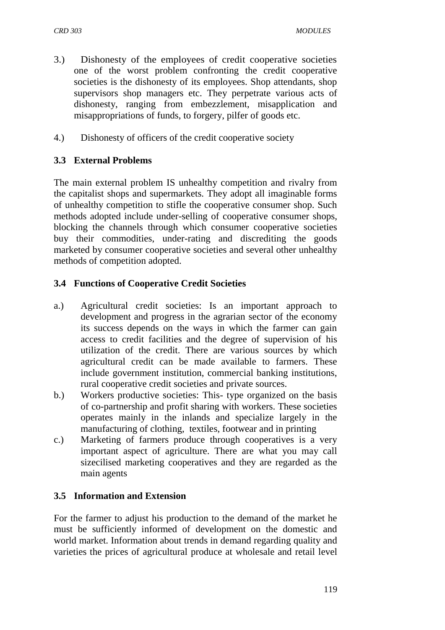- 3.) Dishonesty of the employees of credit cooperative societies one of the worst problem confronting the credit cooperative societies is the dishonesty of its employees. Shop attendants, shop supervisors shop managers etc. They perpetrate various acts of dishonesty, ranging from embezzlement, misapplication and misappropriations of funds, to forgery, pilfer of goods etc.
- 4.) Dishonesty of officers of the credit cooperative society

# **3.3 External Problems**

The main external problem IS unhealthy competition and rivalry from the capitalist shops and supermarkets. They adopt all imaginable forms of unhealthy competition to stifle the cooperative consumer shop. Such methods adopted include under-selling of cooperative consumer shops, blocking the channels through which consumer cooperative societies buy their commodities, under-rating and discrediting the goods marketed by consumer cooperative societies and several other unhealthy methods of competition adopted.

# **3.4 Functions of Cooperative Credit Societies**

- a.) Agricultural credit societies: Is an important approach to development and progress in the agrarian sector of the economy its success depends on the ways in which the farmer can gain access to credit facilities and the degree of supervision of his utilization of the credit. There are various sources by which agricultural credit can be made available to farmers. These include government institution, commercial banking institutions, rural cooperative credit societies and private sources.
- b.) Workers productive societies: This- type organized on the basis of co-partnership and profit sharing with workers. These societies operates mainly in the inlands and specialize largely in the manufacturing of clothing, textiles, footwear and in printing
- c.) Marketing of farmers produce through cooperatives is a very important aspect of agriculture. There are what you may call sizecilised marketing cooperatives and they are regarded as the main agents

# **3.5 Information and Extension**

For the farmer to adjust his production to the demand of the market he must be sufficiently informed of development on the domestic and world market. Information about trends in demand regarding quality and varieties the prices of agricultural produce at wholesale and retail level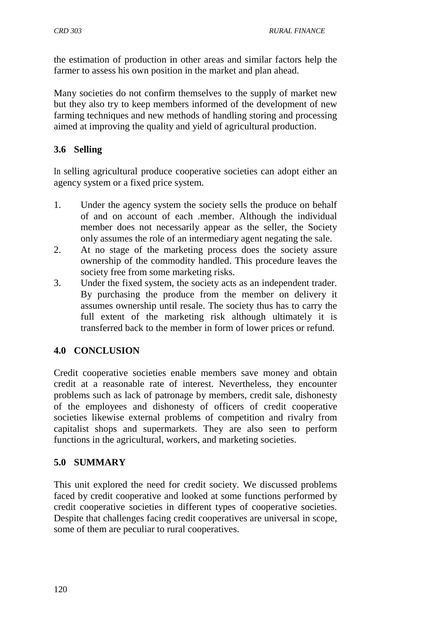the estimation of production in other areas and similar factors help the farmer to assess his own position in the market and plan ahead.

Many societies do not confirm themselves to the supply of market new but they also try to keep members informed of the development of new farming techniques and new methods of handling storing and processing aimed at improving the quality and yield of agricultural production.

# **3.6 Selling**

In selling agricultural produce cooperative societies can adopt either an agency system or a fixed price system.

- 1. Under the agency system the society sells the produce on behalf of and on account of each .member. Although the individual member does not necessarily appear as the seller, the Society only assumes the role of an intermediary agent negating the sale.
- 2. At no stage of the marketing process does the society assure ownership of the commodity handled. This procedure leaves the society free from some marketing risks.
- 3. Under the fixed system, the society acts as an independent trader. By purchasing the produce from the member on delivery it assumes ownership until resale. The society thus has to carry the full extent of the marketing risk although ultimately it is transferred back to the member in form of lower prices or refund.

# **4.0 CONCLUSION**

Credit cooperative societies enable members save money and obtain credit at a reasonable rate of interest. Nevertheless, they encounter problems such as lack of patronage by members, credit sale, dishonesty of the employees and dishonesty of officers of credit cooperative societies likewise external problems of competition and rivalry from capitalist shops and supermarkets. They are also seen to perform functions in the agricultural, workers, and marketing societies.

#### **5.0 SUMMARY**

This unit explored the need for credit society. We discussed problems faced by credit cooperative and looked at some functions performed by credit cooperative societies in different types of cooperative societies. Despite that challenges facing credit cooperatives are universal in scope, some of them are peculiar to rural cooperatives.